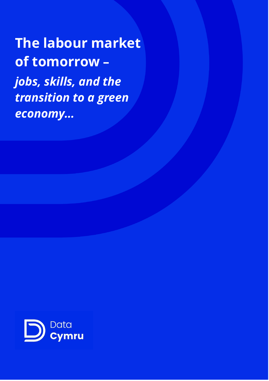**The labour market of tomorrow –** *jobs, skills, and the transition to a green economy…*

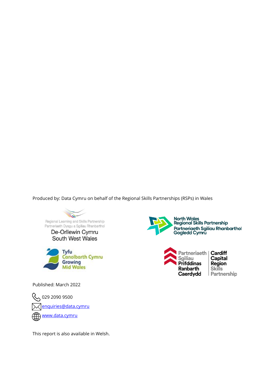Produced by: Data Cymru on behalf of the Regional Skills Partnerships (RSPs) in Wales

Regional Learning and Skills Partnership<br>Partneriaeth Dysgu a Sgiliau Rhanbarthol

De-Orllewin Cymru South West Wales



North Wales<br>Regional Skills Partnership Partneriaeth Sgiliau Rhanbarthol<br>Gogledd Cymru



Cardiff Capital **Region Skills** Partnership

Published: March 2022

 029 2090 9500 [enquiries@data.cymru](mailto:enquiries@data.cymru) [www.data.cymru](http://www.data.cymru/)

This report is also available in Welsh.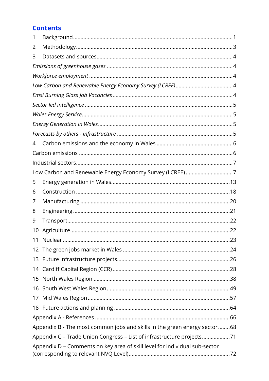# **Contents**

| 1  |                                                                            |  |
|----|----------------------------------------------------------------------------|--|
| 2  |                                                                            |  |
| 3  |                                                                            |  |
|    |                                                                            |  |
|    |                                                                            |  |
|    |                                                                            |  |
|    |                                                                            |  |
|    |                                                                            |  |
|    |                                                                            |  |
|    |                                                                            |  |
|    |                                                                            |  |
| 4  |                                                                            |  |
|    |                                                                            |  |
|    |                                                                            |  |
|    | Low Carbon and Renewable Energy Economy Survey (LCREE) 7                   |  |
| 5  |                                                                            |  |
| 6  |                                                                            |  |
| 7  |                                                                            |  |
| 8  |                                                                            |  |
| 9  |                                                                            |  |
| 10 |                                                                            |  |
|    |                                                                            |  |
|    |                                                                            |  |
|    |                                                                            |  |
|    |                                                                            |  |
| 15 |                                                                            |  |
|    |                                                                            |  |
|    |                                                                            |  |
|    |                                                                            |  |
|    |                                                                            |  |
|    | Appendix B - The most common jobs and skills in the green energy sector68  |  |
|    | Appendix C - Trade Union Congress - List of infrastructure projects71      |  |
|    | Appendix D - Comments on key area of skill level for individual sub-sector |  |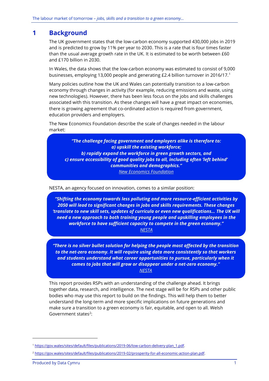## <span id="page-3-0"></span>**1 Background**

The UK government states that the low-carbon economy supported 430,000 jobs in 2019 and is predicted to grow by 11% per year to 2030. This is a rate that is four times faster than the usual average growth rate in the UK. It is estimated to be worth between £60 and £170 billion in 2030.

In Wales, the data shows that the low-carbon economy was estimated to consist of 9,000 businesses, employing 13,000 people and generating £2.4 billion turnover in 2016/17.<sup>1</sup>

Many policies outline how the UK and Wales can potentially transition to a low-carbon economy through changes in activity (for example, reducing emissions and waste, using new technologies). However, there has been less focus on the jobs and skills challenges associated with this transition. As these changes will have a great impact on economies, there is growing agreement that co-ordinated action is required from government, education providers and employers.

The New Economics Foundation describe the scale of changes needed in the labour market:

*"The challenge facing government and employers alike is therefore to: a) upskill the existing workforce; b) rapidly expand the workforce in green growth sectors, and c) ensure accessibility of good quality jobs to all, including often 'left behind' communities and demographics." [New Economics Foundation](https://www.futuregenerations.wales/wp-content/uploads/2021/05/20-05-2021-ENG-NEF-Skills-report.pdf)*

NESTA, an agency focused on innovation, comes to a similar position:

*"Shifting the economy towards less polluting and more resource-efficient activities by 2050 will lead to significant changes in jobs and skills requirements. These changes 'translate to new skill sets, updates of curricula or even new qualifications… The UK will need a new approach to both training young people and upskilling employees in the workforce to have sufficient capacity to compete in the green economy." [NESTA](https://media.nesta.org.uk/documents/Going_Green-_Preparing_the_UK_workforce_to_the_transition_to_a_net_zero_economy.June.2020.pdf)*

*"There is no silver bullet solution for helping the people most affected by the transition to the net-zero economy. It will require using data more consistently so that workers and students understand what career opportunities to pursue, particularly when it comes to jobs that will grow or disappear under a net-zero economy." [NESTA](https://media.nesta.org.uk/documents/Going_Green-_Preparing_the_UK_workforce_to_the_transition_to_a_net_zero_economy.June.2020.pdf)*

This report provides RSPs with an understanding of the challenge ahead. It brings together data, research, and intelligence. The next stage will be for RSPs and other public bodies who may use this report to build on the findings. This will help them to better understand the long-term and more specific implications on future generations and make sure a transition to a green economy is fair, equitable, and open to all. Welsh Government states<sup>2</sup>:

<sup>1</sup> [https://gov.wales/sites/default/files/publications/2019-06/low-carbon-delivery-plan\\_1.pdf.](https://gov.wales/sites/default/files/publications/2019-06/low-carbon-delivery-plan_1.pdf)

<sup>&</sup>lt;sup>2</sup> https://gov.wales/sites/default/files/publications/2019-02/prosperity-for-all-economic-action-plan.pdf.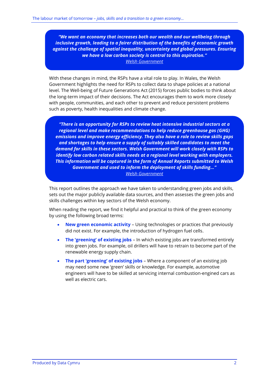*"We want an economy that increases both our wealth and our wellbeing through inclusive growth, leading to a fairer distribution of the benefits of economic growth against the challenge of spatial inequality, uncertainty and global pressures. Ensuring we have a low carbon society is central to this aspiration." [Welsh Government](https://gov.wales/sites/default/files/publications/2019-06/low-carbon-delivery-plan_1.pdf)*

With these changes in mind, the RSPs have a vital role to play. In Wales, the Welsh Government highlights the need for RSPs to collect data to shape policies at a national level. The Well-being of Future Generations Act (2015) forces public bodies to think about the long-term impact of their decisions. The Act encourages them to work more closely with people, communities, and each other to prevent and reduce persistent problems such as poverty, health inequalities and climate change.

*"There is an opportunity for RSPs to review heat intensive industrial sectors at a regional level and make recommendations to help reduce greenhouse gas (GHG) emissions and improve energy efficiency. They also have a role to review skills gaps and shortages to help ensure a supply of suitably skilled candidates to meet the demand for skills in these sectors. Welsh Government will work closely with RSPs to identify low carbon related skills needs at a regional level working with employers. This information will be captured in the form of Annual Reports submitted to Welsh Government and used to inform the deployment of skills funding…" [Welsh Government](https://gov.wales/sites/default/files/publications/2019-06/low-carbon-delivery-plan_1.pdf)*

This report outlines the approach we have taken to understanding green jobs and skills, sets out the major publicly available data sources, and then assesses the green jobs and skills challenges within key sectors of the Welsh economy.

When reading the report, we find it helpful and practical to think of the green economy by using the following broad terms:

- **New green economic activity** Using technologies or practices that previously did not exist. For example, the introduction of hydrogen fuel cells.
- **The 'greening' of existing jobs** In which existing jobs are transformed entirely into green jobs. For example, oil drillers will have to retrain to become part of the renewable energy supply chain.
- **The part 'greening' of existing jobs** Where a component of an existing job may need some new 'green' skills or knowledge. For example, automotive engineers will have to be skilled at servicing internal combustion-engined cars as well as electric cars.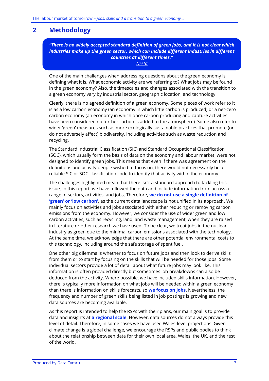# <span id="page-5-0"></span>**2 Methodology**

*"There is no widely accepted standard definition of green jobs, and it is not clear which industries make up the green sector, which can include different industries in different countries at different times."*

*[Nesta](https://media.nesta.org.uk/documents/Going_Green-_Preparing_the_UK_workforce_to_the_transition_to_a_net_zero_economy.June.2020.pdf)*

One of the main challenges when addressing questions about the green economy is defining what it is. What economic activity are we referring to? What jobs may be found in the green economy? Also, the timescales and changes associated with the transition to a green economy vary by industrial sector, geographic location, and technology.

Clearly, there is no agreed definition of a green economy. Some pieces of work refer to it is as a low carbon economy (an economy in which little carbon is produced) or a net-zero carbon economy (an economy in which once carbon producing and capture activities have been considered no further carbon is added to the atmosphere). Some also refer to wider 'green' measures such as more ecologically sustainable practices that promote (or do not adversely affect) biodiversity, including activities such as waste reduction and recycling.

The Standard Industrial Classification (SIC) and Standard Occupational Classification (SOC), which usually form the basis of data on the economy and labour market, were not designed to identify green jobs. This means that even if there was agreement on the definitions and activity people wished to focus on, there would not necessarily be a reliable SIC or SOC classification code to identify that activity within the economy.

The challenges highlighted mean that there isn't a standard approach to tackling this issue. In this report, we have followed the data and include information from across a range of sectors, activities, and jobs. Therefore, **we do not use a single definition of 'green' or 'low carbon'**, as the current data landscape is not unified in its approach. We mainly focus on activities and jobs associated with either reducing or removing carbon emissions from the economy. However, we consider the use of wider green and low carbon activities, such as recycling, land, and waste management, when they are raised in literature or other research we have used. To be clear, we treat jobs in the nuclear industry as green due to the minimal carbon emissions associated with the technology. At the same time, we acknowledge that there are other potential environmental costs to this technology, including around the safe storage of spent fuel.

One other big dilemma is whether to focus on future jobs and then look to derive skills from them or to start by focusing on the skills that will be needed for those jobs. Some individual sectors provide a lot of detail about what future jobs may look like. This information is often provided directly but sometimes job breakdowns can also be deduced from the activity. Where possible, we have included skills information. However, there is typically more information on what jobs will be needed within a green economy than there is information on skills forecasts, so **we focus on jobs**. Nevertheless, the frequency and number of green skills being listed in job postings is growing and new data sources are becoming available.

As this report is intended to help the RSPs with their plans, our main goal is to provide data and insights at **a regional scale**. However, data sources do not always provide this level of detail. Therefore, in some cases we have used Wales-level projections. Given climate change is a global challenge, we encourage the RSPs and public bodies to think about the relationship between data for their own local area, Wales, the UK, and the rest of the world.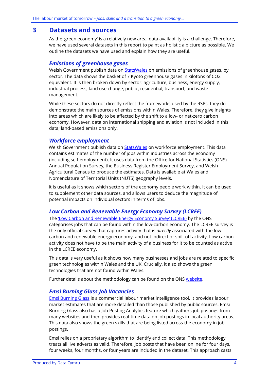### <span id="page-6-0"></span>**3 Datasets and sources**

As the 'green economy' is a relatively new area, data availability is a challenge. Therefore, we have used several datasets in this report to paint as holistic a picture as possible. We outline the datasets we have used and explain how they are useful.

#### <span id="page-6-1"></span>*Emissions of greenhouse gases*

Welsh Government publish data on **StatsWales** on emissions of greenhouse gases, by sector. The data shows the basket of 7 Kyoto greenhouse gases in kilotons of CO2 equivalent. It is then broken down by sector: agriculture, business, energy supply, industrial process, land use change, public, residential, transport, and waste management.

While these sectors do not directly reflect the frameworks used by the RSPs, they do demonstrate the main sources of emissions within Wales. Therefore, they give insights into areas which are likely to be affected by the shift to a low- or net-zero carbon economy. However, data on international shipping and aviation is not included in this data; land-based emissions only.

### <span id="page-6-2"></span>*Workforce employment*

Welsh Government publish data on **StatsWales** on workforce employment. This data contains estimates of the number of jobs within industries across the economy (including self-employment). It uses data from the Office for National Statistics (ONS) Annual Population Survey, the Business Register Employment Survey, and Welsh Agricultural Census to produce the estimates. Data is available at Wales and Nomenclature of Territorial Units (NUTS) geography levels.

It is useful as it shows which sectors of the economy people work within. It can be used to supplement other data sources, and allows users to deduce the magnitude of potential impacts on individual sectors in terms of jobs.

### <span id="page-6-3"></span>*Low Carbon and Renewable Energy Economy Survey (LCREE)*

The ['Low Carbon and Renewable Energy Economy Survey' \(LCREE\)](https://www.ons.gov.uk/economy/environmentalaccounts/methodologies/lowcarbonandrenewableenergyeconomylcreesurveyqmi) by the ONS categorises jobs that can be found within the low-carbon economy. The LCREE survey is the only official survey that captures activity that is *directly* associated with the low carbon and renewable energy economy, and not indirect or spill-off activity. Low carbon activity does not have to be the main activity of a business for it to be counted as active in the LCREE economy.

This data is very useful as it shows how many businesses and jobs are related to specific green technologies within Wales and the UK. Crucially, it also shows the green technologies that are not found within Wales.

Further details about the methodology can be found on the ONS [website.](https://www.ons.gov.uk/economy/environmentalaccounts/methodologies/lowcarbonandrenewableenergyeconomylcreesurveyqmi)

### <span id="page-6-4"></span>*Emsi Burning Glass Job Vacancies*

[Emsi](https://www.economicmodeling.com/) Burning Glass is a commercial labour market intelligence tool. It provides labour market estimates that are more detailed than those published by public sources. Emsi Burning Glass also has a Job Posting Analytics feature which gathers job postings from many websites and then provides real-time data on job postings in local authority areas. This data also shows the green skills that are being listed across the economy in job postings.

Emsi relies on a proprietary algorithm to identify and collect data. This methodology treats all live adverts as valid. Therefore, job posts that have been online for four days, four weeks, four months, or four years are included in the dataset. This approach casts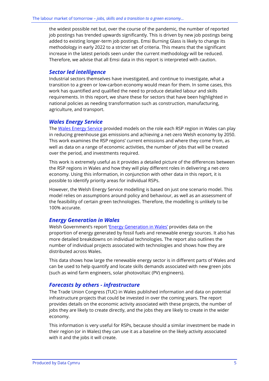the widest possible net but, over the course of the pandemic, the number of reported job postings has trended upwards significantly. This is driven by new job postings being added to existing longer-term job postings. Emsi Burning Glass is likely to change its methodology in early 2022 to a stricter set of criteria. This means that the significant increase in the latest periods seen under the current methodology will be reduced. Therefore, we advise that all Emsi data in this report is interpreted with caution.

#### <span id="page-7-0"></span>*Sector led intelligence*

Industrial sectors themselves have investigated, and continue to investigate, what a transition to a green or low-carbon economy would mean for them. In some cases, this work has quantified and qualified the need to produce detailed labour and skills requirements. In this report, we share these for sectors that have been highlighted in national policies as needing transformation such as construction, manufacturing, agriculture, and transport.

#### <span id="page-7-1"></span>*Wales Energy Service*

Th[e Wales Energy Service](https://gov.wales/energy-service-public-sector-and-community-groups) provided models on the role each RSP region in Wales can play in reducing greenhouse gas emissions and achieving a net-zero Welsh economy by 2050. This work examines the RSP regions' current emissions and where they come from, as well as data on a range of economic activities, the number of jobs that will be created over the period, and investments required.

This work is extremely useful as it provides a detailed picture of the differences between the RSP regions in Wales and how they will play different roles in delivering a net-zero economy. Using this information, in conjunction with other data in this report, it is possible to identify priority areas for individual RSPs.

However, the Welsh Energy Service modelling is based on just one scenario model. This model relies on assumptions around policy and behaviour, as well as an assessment of the feasibility of certain green technologies. Therefore, the modelling is unlikely to be 100% accurate.

### <span id="page-7-2"></span>*Energy Generation in Wales*

Welsh Government's report '[Energy Generation in Wales](https://gov.wales/energy-generation-wales-2019)' provides data on the proportion of energy generated by fossil fuels and renewable energy sources. It also has more detailed breakdowns on individual technologies. The report also outlines the number of individual projects associated with technologies and shows how they are distributed across Wales.

This data shows how large the renewable energy sector is in different parts of Wales and can be used to help quantify and locate skills demands associated with new green jobs (such as wind farm engineers, solar photovoltaic (PV) engineers).

#### <span id="page-7-3"></span>*Forecasts by others - infrastructure*

Th[e Trade Union Congress \(TUC\)](https://www.tuc.org.uk/green) in Wales published information and data on potential infrastructure projects that could be invested in over the coming years. The report provides details on the economic activity associated with these projects, the number of jobs they are likely to create directly, and the jobs they are likely to create in the wider economy.

This information is very useful for RSPs, because should a similar investment be made in their region (or in Wales) they can use it as a baseline on the likely activity associated with it and the jobs it will create.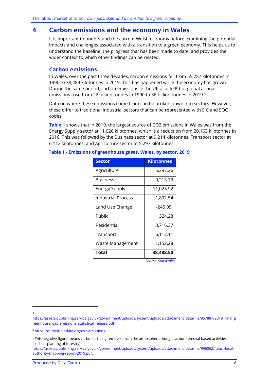## <span id="page-8-0"></span>**4 Carbon emissions and the economy in Wales**

It is important to understand the current Welsh economy before examining the potential impacts and challenges associated with a transition to a green economy. This helps us to understand the baseline, the progress that has been made to date, and provides the wider context to which other findings can be related.

#### <span id="page-8-1"></span>**Carbon emissions**

In Wales, over the past three decades, carbon emissions fell from 55,787 kilotonnes in 1990 to 38,489 kilotonnes in 2019. This has happened while the economy has grown. During the same period, carbon emissions in the UK also fell<sup>3</sup> but global annual emissions rose from 22 billion tonnes in 1990 to 36 billion tonnes in 2019.<sup>4</sup>

Data on where these emissions come from can be broken down into sectors*.* However, these differ to traditional industrial sectors that can be represented with SIC and SOC codes.

**[Table 1](#page-8-2)** shows that in 2019, the largest source of CO2 emissions in Wales was from the Energy Supply sector at 11,026 kilotonnes, which is a reduction from 20,163 kilotonnes in 2016. This was followed by the Business sector at 9,214 kilotonnes, Transport sector at 6,112 kilotonnes, and Agriculture sector at 5,297 kilotonnes.

| <b>Sector</b>             | <b>Kilotonnes</b>    |
|---------------------------|----------------------|
| Agriculture               | 5,297.26             |
| <b>Business</b>           | 9,213.73             |
| <b>Energy Supply</b>      | 11,025.92            |
| <b>Industrial Process</b> | 1,892.54             |
| Land Use Change           | -245.99 <sup>5</sup> |
| Public                    | 324.28               |
| Residential               | 3,716.37             |
| Transport                 | 6,112.11             |
| Waste Management          | 1,152.28             |
| Total                     | 38,488.50            |

#### <span id="page-8-2"></span>**Table 1 - Emissions of greenhouse gases, Wales, by sector, 2019**

 *Source: [StatsWales](https://statswales.gov.wales/Catalogue/Environment-and-Countryside/Greenhouse-Gas/emissionsofgreenhousegases-by-year)*

3

[https://assets.publishing.service.gov.uk/government/uploads/system/uploads/attachment\\_data/file/957887/2019\\_Final\\_g](https://assets.publishing.service.gov.uk/government/uploads/system/uploads/attachment_data/file/957887/2019_Final_greenhouse_gas_emissions_statistical_release.pdf) reenhouse gas emissions statistical release.pdf.

<sup>4</sup> [https://ourworldindata.org/co2-emissions.](https://ourworldindata.org/co2-emissions)

<sup>5</sup> This negative figure means carbon is being removed from the atmosphere though carbon removal based activities (such as planting of forestry)

[https://assets.publishing.service.gov.uk/government/uploads/system/uploads/attachment\\_data/file/996062/lulucf-local](https://assets.publishing.service.gov.uk/government/uploads/system/uploads/attachment_data/file/996062/lulucf-local-authority-mapping-report-2019.pdf)[authority-mapping-report-2019.pdf.](https://assets.publishing.service.gov.uk/government/uploads/system/uploads/attachment_data/file/996062/lulucf-local-authority-mapping-report-2019.pdf)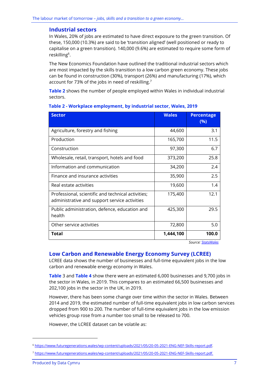#### <span id="page-9-0"></span>**Industrial sectors**

In Wales, 20% of jobs are estimated to have direct exposure to the green transition. Of these, 150,000 (10.3%) are said to be 'transition aligned' (well positioned or ready to capitalise on a green transition). 140,000 (9.6%) are estimated to require some form of reskilling<sup>6</sup>.

The New Economics Foundation have outlined the traditional industrial sectors which are most impacted by the skills transition to a low carbon green economy. These jobs can be found in construction (30%), transport (26%) and manufacturing (17%), which account for 73% of the jobs in need of reskilling.<sup>7</sup>

**[Table 2](#page-9-2)** shows the number of people employed within Wales in individual industrial sectors.

| <b>Sector</b>                                                                                       | <b>Wales</b> | <b>Percentage</b><br>(%) |
|-----------------------------------------------------------------------------------------------------|--------------|--------------------------|
| Agriculture, forestry and fishing                                                                   | 44,600       | 3.1                      |
| Production                                                                                          | 165,700      | 11.5                     |
| Construction                                                                                        | 97,300       | 6.7                      |
| Wholesale, retail, transport, hotels and food                                                       | 373,200      | 25.8                     |
| Information and communication                                                                       | 34,200       | 2.4                      |
| Finance and insurance activities                                                                    | 35,900       | 2.5                      |
| Real estate activities                                                                              | 19,600       | 1.4                      |
| Professional, scientific and technical activities;<br>administrative and support service activities | 175,400      | 12.1                     |
| Public administration, defence, education and<br>health                                             | 425,300      | 29.5                     |
| Other service activities                                                                            | 72,800       | 5.0                      |
| <b>Total</b>                                                                                        | 1,444,100    | 100.0                    |

#### <span id="page-9-2"></span>**Table 2 - Workplace employment, by industrial sector, Wales, 2019**

 *Source[: StatsWales](https://statswales.gov.wales/Catalogue/Business-Economy-and-Labour-Market/People-and-Work/Employment/Jobs/Whole-Workforce/workplaceemployment-by-industry-area)*

### <span id="page-9-1"></span>**Low Carbon and Renewable Energy Economy Survey (LCREE)**

LCREE data shows the number of businesses and full-time equivalent jobs in the low carbon and renewable energy economy in Wales[.](#page-10-0)

**[Table](#page-10-0)** 3 and **[Table 4](#page-11-0)** show there were an estimated 6,000 businesses and 9,700 jobs in the sector in Wales, in 2019. This compares to an estimated 66,500 businesses and 202,100 jobs in the sector in the UK, in 2019.

However, there has been some change over time within the sector in Wales. Between 2014 and 2019, the estimated number of full-time equivalent jobs in low carbon services dropped from 900 to 200. The number of full-time equivalent jobs in the low emission vehicles group rose from a number too small to be released to 700.

However, the LCREE dataset can be volatile as:

<sup>6</sup> [https://www.futuregenerations.wales/wp-content/uploads/2021/05/20-05-2021-ENG-NEF-Skills-report.pdf.](https://www.futuregenerations.wales/wp-content/uploads/2021/05/20-05-2021-ENG-NEF-Skills-report.pdf)

<sup>7</sup> [https://www.futuregenerations.wales/wp-content/uploads/2021/05/20-05-2021-ENG-NEF-Skills-report.pdf.](https://www.futuregenerations.wales/wp-content/uploads/2021/05/20-05-2021-ENG-NEF-Skills-report.pdf)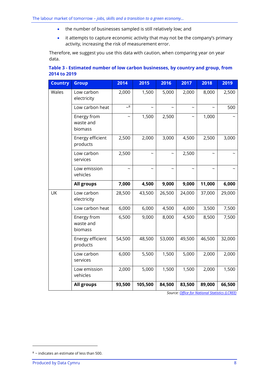- the number of businesses sampled is still relatively low; and
- it attempts to capture economic activity that may not be the company's primary activity, increasing the risk of measurement error.

<span id="page-10-0"></span>Therefore, we suggest you use this data with caution, when comparing year on year data.

| Table 3 - Estimated number of low carbon businesses, by country and group, from |  |
|---------------------------------------------------------------------------------|--|
| 2014 to 2019                                                                    |  |

| <b>Country</b> | <b>Group</b>                        | 2014            | 2015    | 2016   | 2017   | 2018   | 2019   |
|----------------|-------------------------------------|-----------------|---------|--------|--------|--------|--------|
| Wales          | Low carbon<br>electricity           | 2,000           | 1,500   | 5,000  | 2,000  | 8,000  | 2,500  |
|                | Low carbon heat                     | $\overline{28}$ |         |        |        |        | 500    |
|                | Energy from<br>waste and<br>biomass |                 | 1,500   | 2,500  |        | 1,000  |        |
|                | Energy efficient<br>products        | 2,500           | 2,000   | 3,000  | 4,500  | 2,500  | 3,000  |
|                | Low carbon<br>services              | 2,500           |         |        | 2,500  |        |        |
|                | Low emission<br>vehicles            |                 |         |        |        |        |        |
|                | All groups                          | 7,000           | 4,500   | 9,000  | 9,000  | 11,000 | 6,000  |
| UK             | Low carbon<br>electricity           | 28,500          | 43,500  | 26,500 | 24,000 | 37,000 | 29,000 |
|                | Low carbon heat                     | 6,000           | 6,000   | 4,500  | 4,000  | 3,500  | 7,500  |
|                | Energy from<br>waste and<br>biomass | 6,500           | 9,000   | 8,000  | 4,500  | 8,500  | 7,500  |
|                | Energy efficient<br>products        | 54,500          | 48,500  | 53,000 | 49,500 | 46,500 | 32,000 |
|                | Low carbon<br>services              | 6,000           | 5,500   | 1,500  | 5,000  | 2,000  | 2,000  |
|                | Low emission<br>vehicles            | 2,000           | 5,000   | 1,500  | 1,500  | 2,000  | 1,500  |
|                | All groups                          | 93,500          | 105,500 | 84,500 | 83,500 | 89,000 | 66,500 |

*Source[: Office for National Statistics \(LCREE\)](https://www.ons.gov.uk/economy/environmentalaccounts/methodologies/lowcarbonandrenewableenergyeconomylcreesurveyqmi)*

 $8 \sim$  indicates an estimate of less than 500.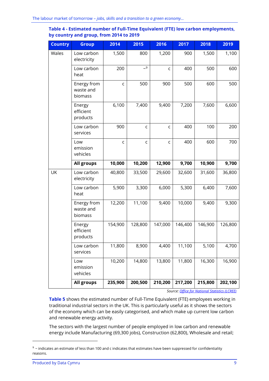<span id="page-11-0"></span>

|                                         | Table 4 - Estimated number of Full-Time Equivalent (FTE) low carbon employments, |  |
|-----------------------------------------|----------------------------------------------------------------------------------|--|
| by country and group, from 2014 to 2019 |                                                                                  |  |

| <b>Country</b> | <b>Group</b>                        | 2014        | 2015        | 2016        | 2017    | 2018    | 2019    |
|----------------|-------------------------------------|-------------|-------------|-------------|---------|---------|---------|
| Wales          | Low carbon<br>electricity           | 1,500       | 800         | 1,200       | 900     | 1,500   | 1,100   |
|                | Low carbon<br>heat                  | 200         | $-9$        | $\mathsf C$ | 400     | 500     | 600     |
|                | Energy from<br>waste and<br>biomass | $\mathsf C$ | 500         | 900         | 500     | 600     | 500     |
|                | Energy<br>efficient<br>products     | 6,100       | 7,400       | 9,400       | 7,200   | 7,600   | 6,600   |
|                | Low carbon<br>services              | 900         | $\mathsf C$ | C           | 400     | 100     | 200     |
|                | Low<br>emission<br>vehicles         | $\mathsf C$ | $\mathsf C$ | C           | 400     | 600     | 700     |
|                | All groups                          | 10,000      | 10,200      | 12,900      | 9,700   | 10,900  | 9,700   |
| UK             | Low carbon<br>electricity           | 40,800      | 33,500      | 29,600      | 32,600  | 31,600  | 36,800  |
|                | Low carbon<br>heat                  | 5,900       | 3,300       | 6,000       | 5,300   | 6,400   | 7,600   |
|                | Energy from<br>waste and<br>biomass | 12,200      | 11,100      | 9,400       | 10,000  | 9,400   | 9,300   |
|                | Energy<br>efficient<br>products     | 154,900     | 128,800     | 147,000     | 146,400 | 146,900 | 126,800 |
|                | Low carbon<br>services              | 11,800      | 8,900       | 4,400       | 11,100  | 5,100   | 4,700   |
|                | Low<br>emission<br>vehicles         | 10,200      | 14,800      | 13,800      | 11,800  | 16,300  | 16,900  |
|                | All groups                          | 235,900     | 200,500     | 210,200     | 217,200 | 215,800 | 202,100 |

*Source[: Office for National Statistics \(LCREE\)](https://www.ons.gov.uk/economy/environmentalaccounts/methodologies/lowcarbonandrenewableenergyeconomylcreesurveyqmi)*

**[Table 5](#page-12-0)** shows the estimated number of Full-Time Equivalent (FTE) employees working in traditional industrial sectors in the UK. This is particularly useful as it shows the sectors of the economy which can be easily categorised, and which make up current low carbon and renewable energy activity.

The sectors with the largest number of people employed in low carbon and renewable energy include Manufacturing (69,300 jobs), Construction (62,800), Wholesale and retail;

 $9$  ~ indicates an estimate of less than 100 and c indicates that estimates have been suppressed for confidentiality reasons.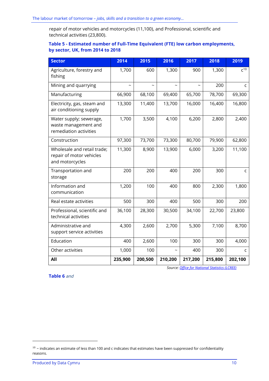repair of motor vehicles and motorcycles (11,100), and Professional, scientific and technical activities (23,800).

#### <span id="page-12-0"></span>**Table 5 - Estimated number of Full-Time Equivalent (FTE) low carbon employments, by sector, UK, from 2014 to 2018**

| <b>Sector</b>                                                              | 2014    | 2015    | 2016    | 2017                  | 2018    | 2019         |
|----------------------------------------------------------------------------|---------|---------|---------|-----------------------|---------|--------------|
| Agriculture, forestry and<br>fishing                                       | 1,700   | 600     | 1,300   | 900                   | 1,300   | $C^{10}$     |
| Mining and quarrying                                                       |         |         |         | $\tilde{\phantom{a}}$ | 200     | $\mathsf{C}$ |
| Manufacturing                                                              | 66,900  | 68,100  | 69,400  | 65,700                | 78,700  | 69,300       |
| Electricity, gas, steam and<br>air conditioning supply                     | 13,300  | 11,400  | 13,700  | 16,000                | 16,400  | 16,800       |
| Water supply; sewerage,<br>waste management and<br>remediation activities  | 1,700   | 3,500   | 4,100   | 6,200                 | 2,800   | 2,400        |
| Construction                                                               | 97,300  | 73,700  | 73,300  | 80,700                | 79,900  | 62,800       |
| Wholesale and retail trade;<br>repair of motor vehicles<br>and motorcycles | 11,300  | 8,900   | 13,900  | 6,000                 | 3,200   | 11,100       |
| Transportation and<br>storage                                              | 200     | 200     | 400     | 200                   | 300     | $\mathsf{C}$ |
| Information and<br>communication                                           | 1,200   | 100     | 400     | 800                   | 2,300   | 1,800        |
| Real estate activities                                                     | 500     | 300     | 400     | 500                   | 300     | 200          |
| Professional, scientific and<br>technical activities                       | 36,100  | 28,300  | 30,500  | 34,100                | 22,700  | 23,800       |
| Administrative and<br>support service activities                           | 4,300   | 2,600   | 2,700   | 5,300                 | 7,100   | 8,700        |
| Education                                                                  | 400     | 2,600   | 100     | 300                   | 300     | 4,000        |
| Other activities                                                           | 1,000   | 100     |         | 400                   | 300     | $\mathsf{C}$ |
| All                                                                        | 235,900 | 200,500 | 210,200 | 217,200               | 215,800 | 202,100      |

**[Table 6](#page-13-0)** *and*

*Source[: Office for National Statistics \(LCREE\)](https://www.ons.gov.uk/economy/environmentalaccounts/methodologies/lowcarbonandrenewableenergyeconomylcreesurveyqmi)*

 $10$  ~ indicates an estimate of less than 100 and c indicates that estimates have been suppressed for confidentiality reasons.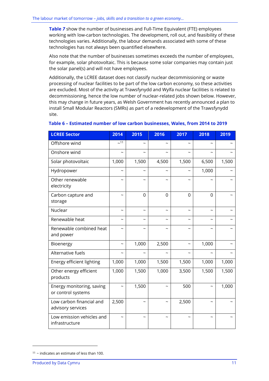**[Table](#page-14-0)** *7* show the number of businesses and Full-Time Equivalent (FTE) employees working with low-carbon technologies. The development, roll out, and feasibility of these technologies varies. Additionally, the labour demands associated with some of these technologies has not always been quantified elsewhere.

Also note that the number of businesses sometimes exceeds the number of employees, for example, solar photovoltaic. This is because some solar companies may contain just the solar panel(s) and will not have employees.

Additionally, the LCREE dataset does not classify nuclear decommissioning or waste processing of nuclear facilities to be part of the low carbon economy, so these activities are excluded. Most of the activity at Trawsfynydd and Wylfa nuclear facilities is related to decommissioning, hence the low number of nuclear-related jobs shown below. However, this may change in future years, as Welsh Government has recently announced a plan to install Small Modular Reactors (SMRs) as part of a redevelopment of the Trawsfynydd site.

| <b>LCREE Sector</b>                             | 2014                     | 2015                      | 2016                      | 2017                      | 2018                      | 2019  |
|-------------------------------------------------|--------------------------|---------------------------|---------------------------|---------------------------|---------------------------|-------|
| Offshore wind                                   | ~11                      | $\tilde{}$                |                           |                           |                           |       |
| Onshore wind                                    | $\overline{\phantom{0}}$ | $\overline{\phantom{0}}$  |                           |                           |                           |       |
| Solar photovoltaic                              | 1,000                    | 1,500                     | 4,500                     | 1,500                     | 6,500                     | 1,500 |
| Hydropower                                      | $\tilde{}$               | $\tilde{}$                | $\widetilde{\phantom{m}}$ | $\tilde{\phantom{a}}$     | 1,000                     |       |
| Other renewable<br>electricity                  |                          | ∼                         |                           |                           |                           |       |
| Carbon capture and<br>storage                   |                          | $\overline{0}$            | $\Omega$                  | $\overline{0}$            | $\Omega$                  |       |
| Nuclear                                         | $\tilde{\phantom{a}}$    | $\widetilde{\phantom{m}}$ | $\tilde{\phantom{a}}$     | $\widetilde{\phantom{m}}$ | $\widetilde{\phantom{m}}$ |       |
| Renewable heat                                  |                          | $\tilde{}$                |                           |                           |                           |       |
| Renewable combined heat<br>and power            | $\tilde{}$               | $\tilde{}$                | ~                         | $\tilde{\phantom{a}}$     | $\tilde{}$                |       |
| Bioenergy                                       | $\tilde{}$               | 1,000                     | 2,500                     |                           | 1,000                     |       |
| Alternative fuels                               |                          |                           |                           |                           |                           |       |
| Energy efficient lighting                       | 1,000                    | 1,000                     | 1,500                     | 1,500                     | 1,000                     | 1,000 |
| Other energy efficient<br>products              | 1,000                    | 1,500                     | 1,000                     | 3,500                     | 1,500                     | 1,500 |
| Energy monitoring, saving<br>or control systems |                          | 1,500                     | ∼                         | 500                       |                           | 1,000 |
| Low carbon financial and<br>advisory services   | 2,500                    | ∼                         | $\tilde{\phantom{a}}$     | 2,500                     | $\tilde{\phantom{a}}$     |       |
| Low emission vehicles and<br>infrastructure     |                          | $\tilde{}$                | $\tilde{\phantom{a}}$     |                           | $\widetilde{\phantom{m}}$ |       |

#### <span id="page-13-0"></span>**Table 6 – Estimated number of low carbon businesses, Wales, from 2014 to 2019**

 $11$  ~ indicates an estimate of less than 100.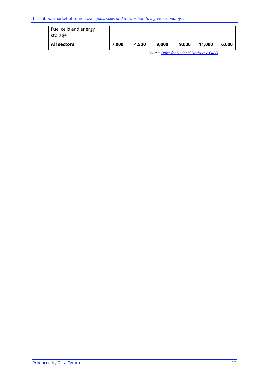<span id="page-14-0"></span>

| Fuel cells and energy<br>storage | $\tilde{\phantom{a}}$ | $\tilde{\phantom{a}}$ | $\tilde{\phantom{a}}$ | $\tilde{\phantom{a}}$ | $\tilde{\phantom{a}}$ | $\tilde{\phantom{a}}$ |
|----------------------------------|-----------------------|-----------------------|-----------------------|-----------------------|-----------------------|-----------------------|
| <b>All sectors</b>               | 7,000                 | 4,500                 | 9,000                 | 9,000                 | 11,000                | 6.000                 |

*Source[: Office for National Statistics \(LCREE\)](https://www.ons.gov.uk/economy/environmentalaccounts/methodologies/lowcarbonandrenewableenergyeconomylcreesurveyqmi)*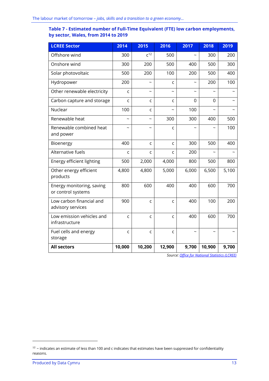#### **Table 7 - Estimated number of Full-Time Equivalent (FTE) low carbon employments, by sector, Wales, from 2014 to 2019**

| <b>LCREE Sector</b>                             | 2014                     | 2015                      | 2016                  | 2017                  | 2018     | 2019  |
|-------------------------------------------------|--------------------------|---------------------------|-----------------------|-----------------------|----------|-------|
| Offshore wind                                   | 300                      | $C^{12}$                  | 500                   |                       | 300      | 200   |
| Onshore wind                                    | 300                      | 200                       | 500                   | 400                   | 500      | 300   |
| Solar photovoltaic                              | 500                      | 200                       | 100                   | 200                   | 500      | 400   |
| Hydropower                                      | 200                      | $\widetilde{\phantom{m}}$ | C                     |                       | 200      | 100   |
| Other renewable electricity                     | C                        | $\tilde{\phantom{a}}$     | $\tilde{\phantom{a}}$ |                       |          |       |
| Carbon capture and storage                      | C                        | C                         | C                     | 0                     | $\Omega$ |       |
| Nuclear                                         | 100                      | C                         |                       | 100                   |          |       |
| Renewable heat                                  | $\overline{\phantom{0}}$ | $\tilde{\phantom{0}}$     | 300                   | 300                   | 400      | 500   |
| Renewable combined heat<br>and power            | $\tilde{\phantom{a}}$    | $\tilde{\phantom{a}}$     | C                     |                       |          | 100   |
| Bioenergy                                       | 400                      | $\mathsf{C}$              | C                     | 300                   | 500      | 400   |
| Alternative fuels                               | C                        | $\mathsf{C}$              | C                     | 200                   |          |       |
| Energy efficient lighting                       | 500                      | 2,000                     | 4,000                 | 800                   | 500      | 800   |
| Other energy efficient<br>products              | 4,800                    | 4,800                     | 5,000                 | 6,000                 | 6,500    | 5,100 |
| Energy monitoring, saving<br>or control systems | 800                      | 600                       | 400                   | 400                   | 600      | 700   |
| Low carbon financial and<br>advisory services   | 900                      | $\mathsf{C}$              | C                     | 400                   | 100      | 200   |
| Low emission vehicles and<br>infrastructure     | $\mathsf{C}$             | $\mathsf C$               | C                     | 400                   | 600      | 700   |
| Fuel cells and energy<br>storage                | C                        | $\mathsf{C}$              | C                     | $\tilde{\phantom{a}}$ |          |       |
| <b>All sectors</b>                              | 10,000                   | 10,200                    | 12,900                | 9,700                 | 10,900   | 9,700 |

*Source[: Office for National Statistics \(LCREE\)](https://www.ons.gov.uk/economy/environmentalaccounts/methodologies/lowcarbonandrenewableenergyeconomylcreesurveyqmi)*

 $12$  ~ indicates an estimate of less than 100 and c indicates that estimates have been suppressed for confidentiality reasons.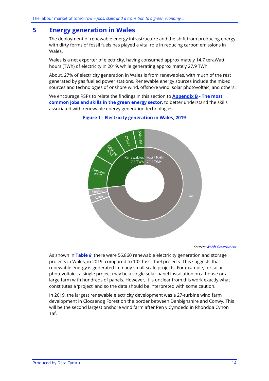## <span id="page-16-0"></span>**5 Energy generation in Wales**

The deployment of renewable energy infrastructure and the shift from producing energy with dirty forms of fossil fuels has played a vital role in reducing carbon emissions in Wales.

Wales is a net exporter of electricity, having consumed approximately 14.7 teraWatt hours (TWh) of electricity in 2019, while generating approximately 27.9 TWh.

About, 27% of electricity generation in Wales is from renewables, with much of the rest generated by gas fuelled power stations. Renewable energy sources include the mixed sources and technologies of onshore wind, offshore wind, solar photovoltaic, and others.

We encourage RSPs to relate the findings in this section to **[Appendix B](#page-74-0) - The most common jobs and skills in the green energy sector**, to better understand the skills associated with renewable energy generation technologies.



#### **Figure 1 - Electricity generation in Wales, 2019**

*Source[: Welsh Government](https://gov.wales/energy-generation-wales-2019)*

As shown in **[Table](#page-17-0)** *8*, there were 56,860 renewable electricity generation and storage projects in Wales, in 2019, compared to 102 fossil fuel projects. This suggests that renewable energy is generated in many small-scale projects. For example, for solar photovoltaic - a single project may be a single solar panel installation on a house or a large farm with hundreds of panels. However, it is unclear from this work exactly what constitutes a 'project' and so the data should be interpreted with some caution.

In 2019, the largest renewable electricity development was a 27-turbine wind farm development in Clocaenog Forest on the border between Denbighshire and Conwy. This will be the second largest onshore wind farm after Pen y Cymoedd in Rhondda Cynon Taf.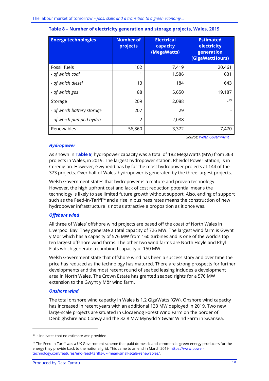| <b>Energy technologies</b> | <b>Number of</b><br>projects | <b>Electrical</b><br>capacity<br>(MegaWatts) | <b>Estimated</b><br>electricity<br>generation<br>(GigaWattHours) |
|----------------------------|------------------------------|----------------------------------------------|------------------------------------------------------------------|
| Fossil fuels               | 102                          | 7,419                                        | 20,461                                                           |
| - of which coal            | 1                            | 1,586                                        | 631                                                              |
| - of which diesel          | 13                           | 184                                          | 643                                                              |
| - of which gas             | 88                           | 5,650                                        | 19,187                                                           |
| Storage                    | 209                          | 2,088                                        | $-13$                                                            |
| - of which battery storage | 207                          | 29                                           |                                                                  |
| - of which pumped hydro    | $\mathfrak{D}$               | 2,088                                        |                                                                  |
| Renewables                 | 56,860                       | 3,372                                        | 7.470                                                            |

#### <span id="page-17-0"></span>**Table 8 – Number of electricity generation and storage projects, Wales, 2019**

*Source[: Welsh Government](https://gov.wales/energy-generation-wales-2019)*

#### *Hydropower*

As shown in **[Table](#page-19-0)** *9*, hydropower capacity was a total of 182 MegaWatts (MW) from 363 projects in Wales, in 2019. The largest hydropower station, Rheidol Power Station, is in Ceredigion. However, Gwynedd has by far the most hydropower projects at 144 of the 373 projects. Over half of Wales' hydropower is generated by the three largest projects.

Welsh Government states that hydropower is a mature and proven technology. However, the high upfront cost and lack of cost reduction potential means the technology is likely to see limited future growth without support. Also, ending of support such as the Feed-In-Tariff<sup>14</sup> and a rise in business rates means the construction of new hydropower infrastructure is not as attractive a proposition as it once was.

#### *Offshore wind*

All three of Wales' offshore wind projects are based off the coast of North Wales in Liverpool Bay. They generate a total capacity of 726 MW. The largest wind farm is Gwynt y Môr which has a capacity of 576 MW from 160 turbines and is one of the world's top ten largest offshore wind farms. The other two wind farms are North Hoyle and Rhyl Flats which generate a combined capacity of 150 MW.

Welsh Government state that offshore wind has been a success story and over time the price has reduced as the technology has matured. There are strong prospects for further developments and the most recent round of seabed leasing includes a development area in North Wales. The Crown Estate has granted seabed rights for a 576 MW extension to the Gwynt y Môr wind farm.

#### *Onshore wind*

The total onshore wind capacity in Wales is 1.2 GigaWatts (GW). Onshore wind capacity has increased in recent years with an additional 133 MW deployed in 2019. Two new large-scale projects are situated in Clocaenog Forest Wind Farm on the border of Denbighshire and Conwy and the 32.8 MW Mynydd Y Gwair Wind Farm in Swansea.

<sup>&</sup>lt;sup>13</sup> - indicates that no estimate was provided.

<sup>&</sup>lt;sup>14</sup> The Feed-in-Tariff was a UK Government scheme that paid domestic and commercial green energy producers for the energy they provide back to the national grid. This came to an end in March 2019[. https://www.power](https://www.power-technology.com/features/end-feed-tariffs-uk-mean-small-scale-renewables/)[technology.com/features/end-feed-tariffs-uk-mean-small-scale-renewables/.](https://www.power-technology.com/features/end-feed-tariffs-uk-mean-small-scale-renewables/)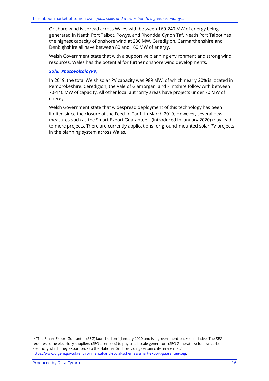Onshore wind is spread across Wales with between 160-240 MW of energy being generated in Neath Port Talbot, Powys, and Rhondda Cynon Taf. Neath Port Talbot has the highest capacity of onshore wind at 230 MW. Ceredigion, Carmarthenshire and Denbighshire all have between 80 and 160 MW of energy.

Welsh Government state that with a supportive planning environment and strong wind resources, Wales has the potential for further onshore wind developments.

#### *Solar Photovoltaic (PV)*

In 2019, the total Welsh solar PV capacity was 989 MW, of which nearly 20% is located in Pembrokeshire. Ceredigion, the Vale of Glamorgan, and Flintshire follow with between 70-140 MW of capacity. All other local authority areas have projects under 70 MW of energy.

Welsh Government state that widespread deployment of this technology has been limited since the closure of the Feed-in-Tariff in March 2019. However, several new measures such as the Smart Export Guarantee<sup>15</sup> (introduced in January 2020) may lead to more projects. There are currently applications for ground-mounted solar PV projects in the planning system across Wales.

<sup>&</sup>lt;sup>15</sup> "The Smart Export Guarantee (SEG) launched on 1 January 2020 and is a government-backed initiative. The SEG requires some electricity suppliers (SEG Licensees) to pay small-scale generators (SEG Generators) for low-carbon electricity which they export back to the National Grid, providing certain criteria are met." [https://www.ofgem.gov.uk/environmental-and-social-schemes/smart-export-guarantee-seg.](https://www.ofgem.gov.uk/environmental-and-social-schemes/smart-export-guarantee-seg)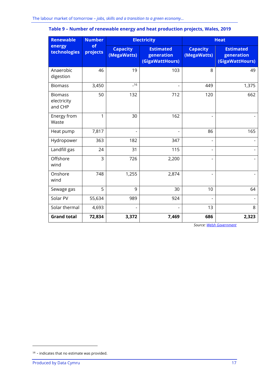| <b>Renewable</b>                         | <b>Electricity</b><br><b>Number</b><br>of<br>energy<br><b>Capacity</b><br><b>Estimated</b><br>projects<br>(MegaWatts)<br>generation<br>(GigaWattHours) |                |       | <b>Heat</b>                    |                                                   |
|------------------------------------------|--------------------------------------------------------------------------------------------------------------------------------------------------------|----------------|-------|--------------------------------|---------------------------------------------------|
| technologies                             |                                                                                                                                                        |                |       | <b>Capacity</b><br>(MegaWatts) | <b>Estimated</b><br>generation<br>(GigaWattHours) |
| Anaerobic<br>digestion                   | 46                                                                                                                                                     | 19             | 103   | 8                              | 49                                                |
| <b>Biomass</b>                           | 3,450                                                                                                                                                  | $-16$          |       | 449                            | 1,375                                             |
| <b>Biomass</b><br>electricity<br>and CHP | 50                                                                                                                                                     | 132            | 712   | 120                            | 662                                               |
| Energy from<br>Waste                     | 1                                                                                                                                                      | 30             | 162   |                                |                                                   |
| Heat pump                                | 7,817                                                                                                                                                  |                |       | 86                             | 165                                               |
| Hydropower                               | 363                                                                                                                                                    | 182            | 347   | $\overline{\phantom{0}}$       |                                                   |
| Landfill gas                             | 24                                                                                                                                                     | 31             | 115   | $\overline{\phantom{a}}$       |                                                   |
| Offshore<br>wind                         | 3                                                                                                                                                      | 726            | 2,200 |                                |                                                   |
| Onshore<br>wind                          | 748                                                                                                                                                    | 1,255          | 2,874 | $\overline{a}$                 |                                                   |
| Sewage gas                               | 5                                                                                                                                                      | 9              | 30    | 10                             | 64                                                |
| Solar PV                                 | 55,634                                                                                                                                                 | 989            | 924   |                                |                                                   |
| Solar thermal                            | 4,693                                                                                                                                                  | $\overline{a}$ |       | 13                             | 8                                                 |
| <b>Grand total</b>                       | 72,834                                                                                                                                                 | 3,372          | 7,469 | 686                            | 2,323                                             |

### <span id="page-19-0"></span>**Table 9 – Number of renewable energy and heat production projects, Wales, 2019**

*Source[: Welsh Government](https://gov.wales/energy-generation-wales-2019)*

<sup>16</sup> - indicates that no estimate was provided.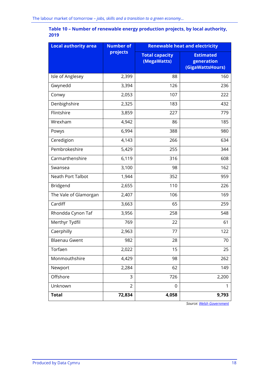### **Table 10 – Number of renewable energy production projects, by local authority, 2019**

| <b>Local authority area</b> | <b>Number of</b><br><b>Renewable heat and electricity</b> |                                      |                                                    |
|-----------------------------|-----------------------------------------------------------|--------------------------------------|----------------------------------------------------|
|                             | projects                                                  | <b>Total capacity</b><br>(MegaWatts) | <b>Estimated</b><br>generation<br>(GigaWattsHours) |
| Isle of Anglesey            | 2,399                                                     | 88                                   | 160                                                |
| Gwynedd                     | 3,394                                                     | 126                                  | 236                                                |
| Conwy                       | 2,053                                                     | 107                                  | 222                                                |
| Denbighshire                | 2,325                                                     | 183                                  | 432                                                |
| Flintshire                  | 3,859                                                     | 227                                  | 779                                                |
| Wrexham                     | 4,942                                                     | 86                                   | 185                                                |
| Powys                       | 6,994                                                     | 388                                  | 980                                                |
| Ceredigion                  | 4,143                                                     | 266                                  | 634                                                |
| Pembrokeshire               | 5,429                                                     | 255                                  | 344                                                |
| Carmarthenshire             | 6,119                                                     | 316                                  | 608                                                |
| Swansea                     | 3,100                                                     | 98                                   | 162                                                |
| Neath Port Talbot           | 1,944                                                     | 352                                  | 959                                                |
| Bridgend                    | 2,655                                                     | 110                                  | 226                                                |
| The Vale of Glamorgan       | 2,407                                                     | 106                                  | 169                                                |
| Cardiff                     | 3,663                                                     | 65                                   | 259                                                |
| Rhondda Cynon Taf           | 3,956                                                     | 258                                  | 548                                                |
| Merthyr Tydfil              | 769                                                       | 22                                   | 61                                                 |
| Caerphilly                  | 2,963                                                     | 77                                   | 122                                                |
| <b>Blaenau Gwent</b>        | 982                                                       | 28                                   | 70                                                 |
| Torfaen                     | 2,022                                                     | 15                                   | 25                                                 |
| Monmouthshire               | 4,429                                                     | 98                                   | 262                                                |
| Newport                     | 2,284                                                     | 62                                   | 149                                                |
| Offshore                    | 3                                                         | 726                                  | 2,200                                              |
| Unknown                     | $\overline{2}$                                            | 0                                    | 1                                                  |
| <b>Total</b>                | 72,834                                                    | 4,058                                | 9,793                                              |

*Source[: Welsh Government](https://gov.wales/energy-generation-wales-2019)*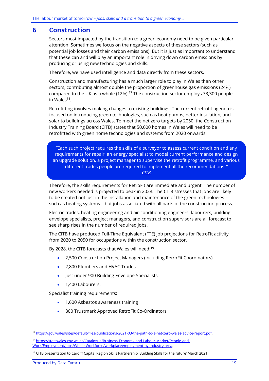### <span id="page-21-0"></span>**6 Construction**

Sectors most impacted by the transition to a green economy need to be given particular attention. Sometimes we focus on the negative aspects of these sectors (such as potential job losses and their carbon emissions). But it is just as important to understand that these can and will play an important role in driving down carbon emissions by producing or using new technologies and skills.

Therefore, we have used intelligence and data directly from these sectors.

Construction and manufacturing has a much larger role to play in Wales than other sectors, contributing almost double the proportion of greenhouse gas emissions (24%) compared to the UK as a whole (12%).<sup>17</sup> The construction sector employs 73,300 people in Wales $^{18}$ .

Retrofitting involves making changes to existing buildings. The current retrofit agenda is focused on introducing green technologies, such as heat pumps, better insulation, and solar to buildings across Wales. To meet the net zero targets by 2050, the Construction Industry Training Board (CITB) states that 50,000 homes in Wales will need to be retrofitted with green home technologies and systems from 2020 onwards.

*"*Each such project requires the skills of a surveyor to assess current condition and any requirements for repair, an energy specialist to model current performance and design an upgrade solution, a project manager to supervise the retrofit programme, and various different trades people are required to implement all the recommendations.*" [CITB](https://www.citb.co.uk/media/vnfoegub/b06414_net_zero_report_v12.pdf)*

Therefore, the skills requirements for RetroFit are immediate and urgent. The number of new workers needed is projected to peak in 2028. The CITB stresses that jobs are likely to be created not just in the installation and maintenance of the green technologies – such as heating systems – but jobs associated with all parts of the construction process.

Electric trades, heating engineering and air-conditioning engineers, labourers, building envelope specialists, project managers, and construction supervisors are all forecast to see sharp rises in the number of required jobs.

The CITB have produced Full-Time Equivalent (FTE) job projections for RetroFit activity from 2020 to 2050 for occupations within the construction sector.

By 2028, the CITB forecasts that Wales will need:<sup>19</sup>

- 2,500 Construction Project Managers (including RetroFit Coordinators)
- 2,800 Plumbers and HVAC Trades
- Just under 900 Building Envelope Specialists
- 1,400 Labourers.

Specialist training requirements:

- 1,600 Asbestos awareness training
- 800 Trustmark Approved RetroFit Co-Ordinators

<sup>17</sup> [https://gov.wales/sites/default/files/publications/2021-03/the-path-to-a-net-zero-wales-advice-report.pdf.](https://gov.wales/sites/default/files/publications/2021-03/the-path-to-a-net-zero-wales-advice-report.pdf) 

<sup>18</sup> [https://statswales.gov.wales/Catalogue/Business-Economy-and-Labour-Market/People-and-](https://statswales.gov.wales/Catalogue/Business-Economy-and-Labour-Market/People-and-Work/Employment/Jobs/Whole-Workforce/workplaceemployment-by-industry-area)[Work/Employment/Jobs/Whole-Workforce/workplaceemployment-by-industry-area.](https://statswales.gov.wales/Catalogue/Business-Economy-and-Labour-Market/People-and-Work/Employment/Jobs/Whole-Workforce/workplaceemployment-by-industry-area)

<sup>19</sup> CITB presentation to Cardiff Capital Region Skills Partnership 'Building Skills for the future' March 2021.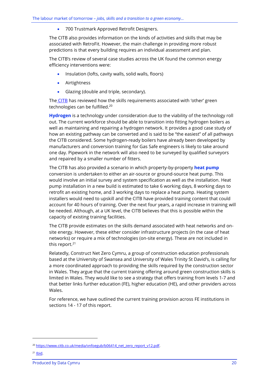• 700 Trustmark Approved Retrofit Designers.

The CITB also provides information on the kinds of activities and skills that may be associated with RetroFit. However, the main challenge in providing more robust predictions is that every building requires an individual assessment and plan.

The CITB's review of several case studies across the UK found the common energy efficiency interventions were:

- Insulation (lofts, cavity walls, solid walls, floors)
- **Airtightness**
- Glazing (double and triple, secondary).

The [CITB](https://www.citb.co.uk/about-citb/construction-industry-research-reports/search-our-construction-industry-research-reports/building-skills-for-net-zero/) has reviewed how the skills requirements associated with 'other' green technologies can be fulfilled.<sup>20</sup>

**Hydrogen** is a technology under consideration due to the viability of the technology roll out. The current workforce should be able to transition into fitting hydrogen boilers as well as maintaining and repairing a hydrogen network. It provides a good case study of how an existing pathway can be converted and is said to be "the easiest" of all pathways the CITB considered. Some hydrogen-ready boilers have already been developed by manufacturers and conversion training for Gas Safe engineers is likely to take around one day. Pipework in the network will also need to be surveyed by qualified surveyors and repaired by a smaller number of fitters.

The CITB has also provided a scenario in which property-by-property **heat pump** conversion is undertaken to either an air-source or ground-source heat pump. This would involve an initial survey and system specification as well as the installation. Heat pump installation in a new build is estimated to take 6 working days, 8 working days to retrofit an existing home, and 3 working days to replace a heat pump. Heating system installers would need to upskill and the CITB have provided training content that could account for 40 hours of training. Over the next four years, a rapid increase in training will be needed. Although, at a UK level, the CITB believes that this is possible within the capacity of existing training facilities.

The CITB provide estimates on the skills demand associated with heat networks and onsite energy. However, these either consider infrastructure projects (in the case of heat networks) or require a mix of technologies (on-site energy). These are not included in this report. 21

Relatedly, Construct Net Zero Cymru, a group of construction education professionals based at the University of Swansea and University of Wales Trinity St David's, is calling for a more coordinated approach to providing the skills required by the construction sector in Wales. They argue that the current training offering around green construction skills is limited in Wales. They would like to see a strategy that offers training from levels 1-7 and that better links further education (FE), higher education (HE), and other providers across Wales.

For reference, we have outlined the current training provision across FE institutions in sections 14 - 17 of this report.

<sup>&</sup>lt;sup>20</sup> [https://www.citb.co.uk/media/vnfoegub/b06414\\_net\\_zero\\_report\\_v12.pdf.](https://www.citb.co.uk/media/vnfoegub/b06414_net_zero_report_v12.pdf)

 $21$  [Ibid.](https://www.citb.co.uk/media/vnfoegub/b06414_net_zero_report_v12.pdf)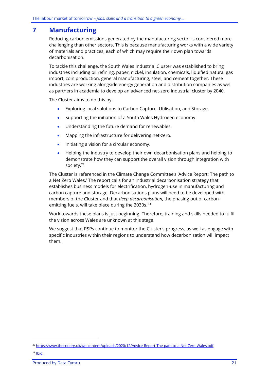## <span id="page-23-0"></span>**7 Manufacturing**

Reducing carbon emissions generated by the manufacturing sector is considered more challenging than other sectors. This is because manufacturing works with a wide variety of materials and practices, each of which may require their own plan towards decarbonisation.

To tackle this challenge, the South Wales Industrial Cluster was established to bring industries including oil refining, paper, nickel, insulation, chemicals, liquified natural gas import, coin production, general manufacturing, steel, and cement together. These industries are working alongside energy generation and distribution companies as well as partners in academia to develop an advanced net-zero industrial cluster by 2040.

The Cluster aims to do this by:

- Exploring local solutions to Carbon Capture, Utilisation, and Storage.
- Supporting the initiation of a South Wales Hydrogen economy.
- Understanding the future demand for renewables.
- Mapping the infrastructure for delivering net-zero.
- Initiating a vision for a circular economy.
- Helping the industry to develop their own decarbonisation plans and helping to demonstrate how they can support the overall vision through integration with society.<sup>22</sup>

The Cluster is referenced in the Climate Change Committee's 'Advice Report: The path to a Net Zero Wales.' The report calls for an industrial decarbonisation strategy that establishes business models for electrification, hydrogen-use in manufacturing and carbon capture and storage. Decarbonisations plans will need to be developed with members of the Cluster and that *deep decarbonisation,* the phasing out of carbonemitting fuels, will take place during the 2030s.<sup>23</sup>

Work towards these plans is just beginning. Therefore, training and skills needed to fulfil the vision across Wales are unknown at this stage.

We suggest that RSPs continue to monitor the Cluster's progress, as well as engage with specific industries within their regions to understand how decarbonisation will impact them.

<sup>22</sup> [https://www.theccc.org.uk/wp-content/uploads/2020/12/Advice-Report-The-path-to-a-Net-Zero-Wales.pdf.](https://www.theccc.org.uk/wp-content/uploads/2020/12/Advice-Report-The-path-to-a-Net-Zero-Wales.pdf)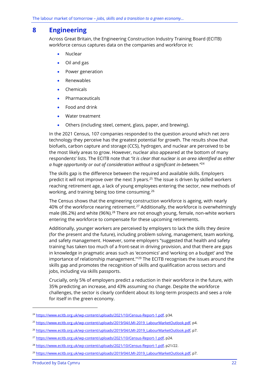## <span id="page-24-0"></span>**8 Engineering**

Across Great Britain, the Engineering Construction Industry Training Board (ECITB) workforce census captures data on the companies and workforce in:

- Nuclear
- Oil and gas
- Power generation
- Renewables
- Chemicals
- **Pharmaceuticals**
- Food and drink
- Water treatment
- Others (including steel, cement, glass, paper, and brewing).

In the 2021 Census, 107 companies responded to the question around which net zero technology they perceive has the greatest potential for growth. The results show that biofuels, carbon capture and storage (CCS), hydrogen, and nuclear are perceived to be the most likely areas to grow. However, nuclear also appeared at the bottom of many respondents' lists. The ECITB note that *"it is clear that nuclear is an area identified as either a huge opportunity or out of consideration without a significant in-between."*<sup>24</sup>

The skills gap is the difference between the required and available skills. Employers predict it will not improve over the next 3 years.<sup>25</sup> The issue is driven by skilled workers reaching retirement age, a lack of young employees entering the sector, new methods of working, and training being too time consuming.<sup>26</sup>

The Census shows that the engineering construction workforce is ageing, with nearly 40% of the workforce nearing retirement.<sup>27</sup> Additionally, the workforce is overwhelmingly male (86.2%) and white (96%).<sup>28</sup> There are not enough young, female, non-white workers entering the workforce to compensate for these upcoming retirements.

Additionally, younger workers are perceived by employers to lack the skills they desire (for the present and the future), including problem solving, management, team working, and safety management. However, some employers "suggested that health and safety training has taken too much of a front-seat in driving provision, and that there are gaps in knowledge in pragmatic areas such as 'economics' and 'working on a budget' and 'the importance of relationship management."<sup>29</sup> The ECITB recognises the issues around the skills gap and promotes the recognition of skills and qualification across sectors and jobs, including via skills passports.

Crucially, only 5% of employers predict a reduction in their workforce in the future, with 35% predicting an increase, and 43% assuming no change. Despite the workforce challenges, the sector is clearly confident about its long-term prospects and sees a role for itself in the green economy.

<sup>&</sup>lt;sup>24</sup> [https://www.ecitb.org.uk/wp-content/uploads/2021/10/Census-Report-1.pdf,](https://www.ecitb.org.uk/wp-content/uploads/2021/10/Census-Report-1.pdf) p34.

<sup>25</sup> [https://www.ecitb.org.uk/wp-content/uploads/2019/04/LMI-2019\\_LabourMarketOutlook.pdf,](https://www.ecitb.org.uk/wp-content/uploads/2019/04/LMI-2019_LabourMarketOutlook.pdf) p4.

<sup>&</sup>lt;sup>26</sup> [https://www.ecitb.org.uk/wp-content/uploads/2019/04/LMI-2019\\_LabourMarketOutlook.pdf,](https://www.ecitb.org.uk/wp-content/uploads/2019/04/LMI-2019_LabourMarketOutlook.pdf) p7.

<sup>&</sup>lt;sup>27</sup> [https://www.ecitb.org.uk/wp-content/uploads/2021/10/Census-Report-1.pdf,](https://www.ecitb.org.uk/wp-content/uploads/2021/10/Census-Report-1.pdf) p24.

<sup>28</sup> [https://www.ecitb.org.uk/wp-content/uploads/2021/10/Census-Report-1.pdf,](https://www.ecitb.org.uk/wp-content/uploads/2021/10/Census-Report-1.pdf) p21/22.

<sup>&</sup>lt;sup>29</sup> [https://www.ecitb.org.uk/wp-content/uploads/2019/04/LMI-2019\\_LabourMarketOutlook.pdf,](https://www.ecitb.org.uk/wp-content/uploads/2019/04/LMI-2019_LabourMarketOutlook.pdf) p7.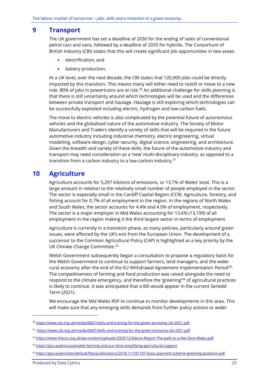### <span id="page-25-0"></span>**9 Transport**

The UK government has set a deadline of 2030 for the ending of sales of conventional petrol cars and vans, followed by a deadline of 2035 for hybrids. The Consortium of British Industry (CBI) states that this will create significant job opportunities in two areas:

- electrification; and
- battery production.

At a UK level, over the next decade, the CBI states that 120,000 jobs could be directly impacted by this transition. This means many will either need to reskill or move to a new role. 80% of jobs in powertrains are at risk.<sup>30</sup> An additional challenge for skills planning is that there is still uncertainty around which technologies will be used and the differences between private transport and haulage. Haulage is still exploring which technologies can be successfully exploited including electric, hydrogen and low-carbon fuels.

The move to electric vehicles is also complicated by the potential future of autonomous vehicles and the globalised nature of the automotive industry. The Society of Motor Manufacturers and Traders identify a variety of skills that will be required in the future automotive industry including industrial chemistry, electric engineering, virtual modelling, software design, cyber security, digital science, engineering, and architecture. Given the breadth and variety of these skills, the future of the automotive industry and transport may need consideration as a 'new' multi-disciplinary industry, as opposed to a transition from a carbon industry to a low-carbon industry.<sup>31</sup>

## <span id="page-25-1"></span>**10 Agriculture**

Agriculture accounts for 5,297 kilotons of emissions, or 13.7% of Wales' total. This is a large amount in relation to the relatively small number of people employed in the sector. The sector is especially small in the Cardiff Capital Region (CCR). Agriculture, forestry, and fishing account for 0.7% of all employment in the region. In the regions of North Wales and South Wales, the sector accounts for 4.4% and 4.0% of employment, respectively. The sector is a major employer in Mid Wales accounting for 13.6% (13,199) of all employment in the region making it the third largest sector in terms of employment.

Agriculture is currently in a transition phase, as many policies, particularly around green issues, were affected by the UK's exit from the European Union. The development of a successor to the Common Agricultural Policy (CAP) is highlighted as a key priority by the UK Climate Change Committee.<sup>32</sup>

Welsh Government subsequently began a consultation to propose a regulatory basis for the Welsh Government to continue to support farmers, land managers, and the wider rural economy after the end of the EU Withdrawal Agreement Implementation Period $^{\rm 33}$ . The competitiveness of farming and food production was raised alongside the need to respond to the climate emergency, and therefore the 'greening'<sup>34</sup> of agricultural practices is likely to continue. It was anticipated that a Bill would appear in the current Senedd Term (2021).

We encourage the Mid Wales RSP to continue to monitor developments in this area. This will make sure that any emerging skills demands from further policy actions or wider

<sup>&</sup>lt;sup>30</sup> [https://www.cbi.org.uk/media/6847/skills-and-training-for-the-green-economy-cbi-2021.pdf.](https://www.cbi.org.uk/media/6847/skills-and-training-for-the-green-economy-cbi-2021.pdf)

<sup>31</sup> https://www.cbi.org.uk/media/6847/skills-and-training-for-the-green-economy-cbi-2021.pdf.

<sup>32</sup> [https://www.theccc.org.uk/wp-content/uploads/2020/12/Advice-Report-The-path-to-a-Net-Zero-Wales.pdf.](https://www.theccc.org.uk/wp-content/uploads/2020/12/Advice-Report-The-path-to-a-Net-Zero-Wales.pdf)

<sup>33</sup> [https://gov.wales/sustainable-farming-and-our-land-simplifying-agricultural-support.](https://gov.wales/sustainable-farming-and-our-land-simplifying-agricultural-support)

<sup>34</sup> [https://gov.wales/sites/default/files/publications/2018-11/181107-basic-payment-scheme-greening-guidance.pdf.](https://gov.wales/sites/default/files/publications/2018-11/181107-basic-payment-scheme-greening-guidance.pdf)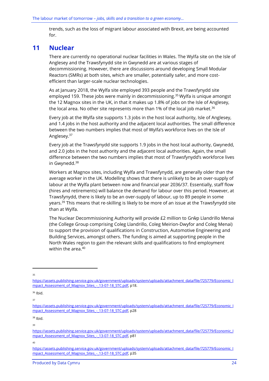trends, such as the loss of migrant labour associated with Brexit, are being accounted for.

### <span id="page-26-0"></span>**11 Nuclear**

There are currently no operational nuclear facilities in Wales. The Wylfa site on the Isle of Anglesey and the Trawsfynydd site in Gwynedd are at various stages of decommissioning. However, there are discussions around developing Small Modular Reactors (SMRs) at both sites, which are smaller, potentially safer, and more costefficient than larger-scale nuclear technologies.

As at January 2018, the Wylfa site employed 393 people and the Trawsfynydd site employed 159. These jobs were mainly in decommissioning.<sup>35</sup> Wylfa is unique amongst the 12 Magnox sites in the UK, in that it makes up 1.8% of jobs on the Isle of Anglesey, the local area. No other site represents more than 1% of the local job market.<sup>36</sup>

Every job at the Wylfa site supports 1.3 jobs in the host local authority, Isle of Anglesey, and 1.4 jobs in the host authority and the adjacent local authorities. The small difference between the two numbers implies that most of Wylfa's workforce lives on the Isle of Anglesey.<sup>37</sup>

Every job at the Trawsfynydd site supports 1.9 jobs in the host local authority, Gwynedd, and 2.0 jobs in the host authority and the adjacent local authorities. Again, the small difference between the two numbers implies that most of Trawsfynydd's workforce lives in Gwynedd. 38

Workers at Magnox sites, including Wylfa and Trawsfynydd, are generally older than the average worker in the UK. Modelling shows that there is unlikely to be an over-supply of labour at the Wylfa plant between now and financial year 2036/37. Essentially, staff flow (hires and retirements) will balance the demand for labour over this period. However, at Trawsfynydd, there is likely to be an over-supply of labour, up to 89 people in some years.<sup>39</sup> This means that re-skilling is likely to be more of an issue at the Trawsfynydd site than at Wylfa.

The Nuclear Decommissioning Authority will provide £2 million to Grŵp Llandrillo Menai (the College Group comprising Coleg Llandrillo, Coleg Meirion-Dwyfor and Coleg Menai) to support the provision of qualifications in Construction, Automotive Engineering and Building Services, amongst others. The funding is aimed at supporting people in the North Wales region to gain the relevant skills and qualifications to find employment within the area. 40

35

[https://assets.publishing.service.gov.uk/government/uploads/system/uploads/attachment\\_data/file/725779/Economic\\_I](https://assets.publishing.service.gov.uk/government/uploads/system/uploads/attachment_data/file/725779/Economic_Impact_Assessment_of_Magnox_Sites_-_13-07-18_STC.pdf) mpact Assessment of Magnox Sites - 13-07-18 STC.pdf, p18.

<sup>36</sup> Ibid.

37

[https://assets.publishing.service.gov.uk/government/uploads/system/uploads/attachment\\_data/file/725779/Economic\\_I](https://assets.publishing.service.gov.uk/government/uploads/system/uploads/attachment_data/file/725779/Economic_Impact_Assessment_of_Magnox_Sites_-_13-07-18_STC.pdf) [mpact\\_Assessment\\_of\\_Magnox\\_Sites\\_-\\_13-07-18\\_STC.pdf,](https://assets.publishing.service.gov.uk/government/uploads/system/uploads/attachment_data/file/725779/Economic_Impact_Assessment_of_Magnox_Sites_-_13-07-18_STC.pdf) p28

<sup>38</sup> Ibid.

<sup>39</sup>

[https://assets.publishing.service.gov.uk/government/uploads/system/uploads/attachment\\_data/file/725779/Economic\\_I](https://assets.publishing.service.gov.uk/government/uploads/system/uploads/attachment_data/file/725779/Economic_Impact_Assessment_of_Magnox_Sites_-_13-07-18_STC.pdf) mpact Assessment of Magnox Sites - 13-07-18 STC.pdf, p81

<sup>40</sup>

[https://assets.publishing.service.gov.uk/government/uploads/system/uploads/attachment\\_data/file/725779/Economic\\_I](https://assets.publishing.service.gov.uk/government/uploads/system/uploads/attachment_data/file/725779/Economic_Impact_Assessment_of_Magnox_Sites_-_13-07-18_STC.pdf) [mpact\\_Assessment\\_of\\_Magnox\\_Sites\\_-\\_13-07-18\\_STC.pdf,](https://assets.publishing.service.gov.uk/government/uploads/system/uploads/attachment_data/file/725779/Economic_Impact_Assessment_of_Magnox_Sites_-_13-07-18_STC.pdf) p35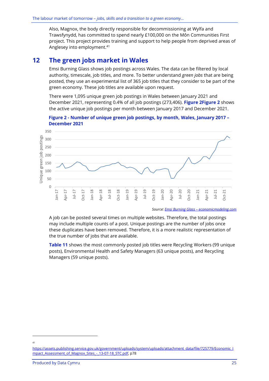Also, Magnox, the body directly responsible for decommissioning at Wylfa and Trawsfynydd, has committed to spend nearly £100,000 on the Môn Communities First project. This project provides training and support to help people from deprived areas of Anglesey into employment. 41

### <span id="page-27-0"></span>**12 The green jobs market in Wales**

Emsi Burning Glass shows job postings across Wales. The data can be filtered by local authority, timescale, job titles, and more. To better understand *green jobs* that are being posted, they use an experimental list of 365 job titles that they consider to be part of the green economy. These job titles are available upon request.

There were 1,095 unique green job postings in Wales between January 2021 and December 2021, representing 0.4% of all job postings (273,406). **[Figure 2Figure 2](#page-27-1)** shows the active unique job postings per month between January 2017 and December 2021.

<span id="page-27-1"></span>



*Source: Emsi Burning Glass – [economicmodeling.com](https://www.economicmodeling.com/)*

A job can be posted several times on multiple websites. Therefore, the total postings may include multiple counts of a post. Unique postings are the number of jobs once these duplicates have been removed. Therefore, it is a more realistic representation of the true number of jobs that are available.

**[Table](#page-28-0) 11** shows the most commonly posted job titles were Recycling Workers (99 unique posts), Environmental Health and Safety Managers (63 unique posts), and Recycling Managers (59 unique posts).

<sup>41</sup>

[https://assets.publishing.service.gov.uk/government/uploads/system/uploads/attachment\\_data/file/725779/Economic\\_I](https://assets.publishing.service.gov.uk/government/uploads/system/uploads/attachment_data/file/725779/Economic_Impact_Assessment_of_Magnox_Sites_-_13-07-18_STC.pdf) [mpact\\_Assessment\\_of\\_Magnox\\_Sites\\_-\\_13-07-18\\_STC.pdf,](https://assets.publishing.service.gov.uk/government/uploads/system/uploads/attachment_data/file/725779/Economic_Impact_Assessment_of_Magnox_Sites_-_13-07-18_STC.pdf) p78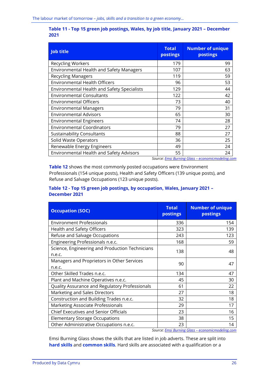<span id="page-28-0"></span>

| Table 11 - Top 15 green job postings, Wales, by job title, January 2021 - December |  |  |
|------------------------------------------------------------------------------------|--|--|
| 2021                                                                               |  |  |

| <b>Job title</b>                            | <b>Total</b><br>postings | <b>Number of unique</b><br>postings |
|---------------------------------------------|--------------------------|-------------------------------------|
| <b>Recycling Workers</b>                    | 179                      | 99                                  |
| Environmental Health and Safety Managers    | 107                      | 63                                  |
| <b>Recycling Managers</b>                   | 119                      | 59                                  |
| <b>Environmental Health Officers</b>        | 96                       | 53                                  |
| Environmental Health and Safety Specialists | 129                      | 44                                  |
| <b>Environmental Consultants</b>            | 122                      | 42                                  |
| <b>Environmental Officers</b>               | 73                       | 40                                  |
| <b>Environmental Managers</b>               | 79                       | 31                                  |
| <b>Environmental Advisors</b>               | 65                       | 30                                  |
| <b>Environmental Engineers</b>              | 74                       | 28                                  |
| <b>Environmental Coordinators</b>           | 79                       | 27                                  |
| <b>Sustainability Consultants</b>           | 88                       | 27                                  |
| Solid Waste Operators                       | 36                       | 25                                  |
| Renewable Energy Engineers                  | 49                       | 24                                  |
| Environmental Health and Safety Advisors    | 55                       | 24                                  |

*Source: Emsi Burning Glass – [economicmodeling.com](https://www.economicmodeling.com/)*

**[Table 12](#page-28-1)** shows the most commonly posted occupations were Environment Professionals (154 unique posts), Health and Safety Officers (139 unique posts), and Refuse and Salvage Occupations (123 unique posts).

#### <span id="page-28-1"></span>**Table 12 - Top 15 green job postings, by occupation, Wales, January 2021 – December 2021**

| <b>Occupation (SOC)</b>                                   | <b>Total</b><br>postings | <b>Number of unique</b><br>postings |
|-----------------------------------------------------------|--------------------------|-------------------------------------|
| <b>Environment Professionals</b>                          | 336                      | 154                                 |
| Health and Safety Officers                                | 323                      | 139                                 |
| Refuse and Salvage Occupations                            | 243                      | 123                                 |
| Engineering Professionals n.e.c.                          | 168                      | 59                                  |
| Science, Engineering and Production Technicians<br>n.e.c. | 138                      | 48                                  |
| Managers and Proprietors in Other Services<br>n.e.c.      | 90                       | 47                                  |
| Other Skilled Trades n.e.c.                               | 134                      | 47                                  |
| Plant and Machine Operatives n.e.c.                       | 45                       | 30                                  |
| Quality Assurance and Regulatory Professionals            | 61                       | 22                                  |
| Marketing and Sales Directors                             | 27                       | 18                                  |
| Construction and Building Trades n.e.c.                   | 32                       | 18                                  |
| Marketing Associate Professionals                         | 29                       | 17                                  |
| <b>Chief Executives and Senior Officials</b>              | 23                       | 16                                  |
| <b>Elementary Storage Occupations</b>                     | 38                       | 15                                  |
| Other Administrative Occupations n.e.c.                   | 23                       | 14                                  |

*Source: Emsi Burning Glass – [economicmodeling.com](https://www.economicmodeling.com/)*

Emsi Burning Glass shows the skills that are listed in job adverts. These are split into **hard skills** and **common skills**. Hard skills are associated with a qualification or a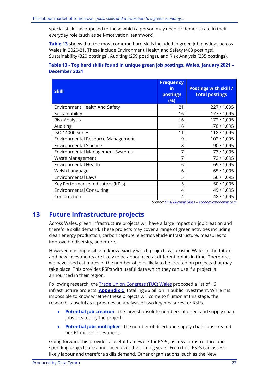specialist skill as opposed to those which a person may need or demonstrate in their everyday role (such as self-motivation, teamwork).

**[Table 13](#page-29-1)** shows that the most common hard skills included in green job postings across Wales in 2020-21. These include Environment Health and Safety (408 postings), Sustainability (320 postings), Auditing (259 postings), and Risk Analysis (235 postings).

#### <span id="page-29-1"></span>**Table 13 - Top hard skills found in unique green job postings, Wales, January 2021 – December 2021**

| <b>Skill</b>                             | <b>Frequency</b><br><u>in</u><br>postings<br>(%) | <b>Postings with skill /</b><br><b>Total postings</b> |
|------------------------------------------|--------------------------------------------------|-------------------------------------------------------|
| <b>Environment Health And Safety</b>     | 21                                               | 227/1,095                                             |
| Sustainability                           | 16                                               | 177/1,095                                             |
| Risk Analysis                            | 16                                               | 172/1,095                                             |
| Auditing                                 | 16                                               | 170 / 1,095                                           |
| ISO 14000 Series                         | 11                                               | 118 / 1,095                                           |
| <b>Environmental Resource Management</b> | 9                                                | 102 / 1,095                                           |
| <b>Environmental Science</b>             | 8                                                | 90 / 1,095                                            |
| <b>Environmental Management Systems</b>  | 7                                                | 73 / 1,095                                            |
| <b>Waste Management</b>                  | 7                                                | 72/1,095                                              |
| <b>Environmental Health</b>              | 6                                                | 69 / 1,095                                            |
| Welsh Language                           | 6                                                | 65 / 1,095                                            |
| <b>Environmental Laws</b>                | 5                                                | 56 / 1,095                                            |
| Key Performance Indicators (KPIs)        | 5                                                | 50 / 1,095                                            |
| <b>Environmental Consulting</b>          | 4                                                | 49 / 1,095                                            |
| Construction                             | 4                                                | 48 / 1,095                                            |

#### *Source: Emsi Burning Glass – [economicmodeling.com](https://www.economicmodeling.com/)*

# <span id="page-29-0"></span>**13 Future infrastructure projects**

Across Wales, green infrastructure projects will have a large impact on job creation and therefore skills demand. These projects may cover a range of green activities including clean energy production, carbon capture, electric vehicle infrastructure, measures to improve biodiversity, and more.

However, it is impossible to know exactly which projects will exist in Wales in the future and new investments are likely to be announced at different points in time. Therefore, we have used estimates of the number of jobs likely to be created on projects that may take place. This provides RSPs with useful data which they can use if a project is announced in their region.

Following research, the **Trade Union Congress (TUC) Wales** proposed a list of 16 infrastructure projects (**[Appendix C](#page-77-0)**) totalling £6 billion in public investment. While it is impossible to know whether these projects will come to fruition at this stage, the research is useful as it provides an analysis of two key measures for RSPs.

- **Potential job creation** the largest absolute numbers of direct and supply chain jobs created by the project.
- **Potential jobs multiplier** the number of direct and supply chain jobs created per £1 million investment.

Going forward this provides a useful framework for RSPs, as new infrastructure and spending projects are announced over the coming years. From this, RSPs can assess likely labour and therefore skills demand. Other organisations, such as the New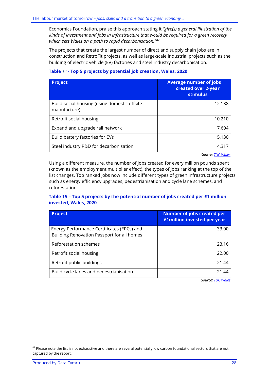Economics Foundation, praise this approach stating it *"give(s) a general illustration of the kinds of investment and jobs in infrastructure that would be required for a green recovery which sets Wales on a path to rapid decarbonisation."<sup>42</sup>*

The projects that create the largest number of direct and supply chain jobs are in construction and RetroFit projects, as well as large-scale industrial projects such as the building of electric vehicle (EV) factories and steel industry decarbonisation.

#### **Table** *14* **- Top 5 projects by potential job creation, Wales, 2020**

| <b>Project</b>                                               | <b>Average number of jobs</b><br>created over 2-year<br><b>stimulus</b> |
|--------------------------------------------------------------|-------------------------------------------------------------------------|
| Build social housing (using domestic offsite<br>manufacture) | 12,138                                                                  |
| Retrofit social housing                                      | 10,210                                                                  |
| Expand and upgrade rail network                              | 7.604                                                                   |
| Build battery factories for EVs                              | 5,130                                                                   |
| Steel industry R&D for decarbonisation                       | 4.317                                                                   |

*Source[: TUC](https://www.tuc.org.uk/research-analysis/reports/job-creation-wales-infrastructure-investment) Wales*

Using a different measure, the number of jobs created for every million pounds spent (known as the employment multiplier effect), the types of jobs ranking at the top of the list changes. Top ranked jobs now include different types of green infrastructure projects such as energy efficiency upgrades, pedestrianisation and cycle lane schemes, and reforestation.

#### **Table 15 – Top 5 projects by the potential number of jobs created per £1 million invested, Wales, 2020**

| <b>Project</b>                                                                           | <b>Number of jobs created per</b><br><b>£1million invested per year</b> |
|------------------------------------------------------------------------------------------|-------------------------------------------------------------------------|
| Energy Performance Certificates (EPCs) and<br>Building Renovation Passport for all homes | 33.00                                                                   |
| Reforestation schemes                                                                    | 23.16                                                                   |
| Retrofit social housing                                                                  | 22.00                                                                   |
| Retrofit public buildings                                                                | 21.44                                                                   |
| Build cycle lanes and pedestrianisation                                                  | 21.44                                                                   |

*Source[: TUC](https://www.tuc.org.uk/research-analysis/reports/job-creation-wales-infrastructure-investment) Wales*

 $42$  Please note the list is not exhaustive and there are several potentially low carbon foundational sectors that are not captured by the report.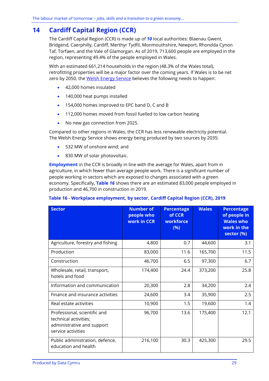# <span id="page-31-0"></span>**14 Cardiff Capital Region (CCR)**

The Cardiff Capital Region (CCR) is made up of *10* local authorities: Blaenau Gwent, Bridgend, Caerphilly, Cardiff, Merthyr Tydfil, Monmouthshire, Newport, Rhondda Cynon Taf, Torfaen, and the Vale of Glamorgan. As of 2019, 713,600 people are employed in the region, representing 49.4% of the people employed in Wales.

With an estimated 661,214 households in the region (48.3% of the Wales total), retrofitting properties will be a major factor over the coming years. If Wales is to be net zero by 2050, the [Welsh Energy Service](https://gov.wales/energy-service-public-sector-and-community-groups) believes the following needs to happen:

- 42,000 homes insulated
- 140,000 heat pumps installed
- 154,000 homes improved to EPC band D, C and B
- 112,000 homes moved from fossil fuelled to low carbon heating
- No new gas connection from 2025.

Compared to other regions in Wales, the CCR has less renewable electricity potential. The Welsh Energy Service shows energy being produced by two sources by 2035:

- 532 MW of onshore wind; and
- 830 MW of solar photovoltaic.

**Employment** in the CCR is broadly in line with the average for Wales, apart from in agriculture, in which fewer than average people work. There is a significant number of people working in sectors which are exposed to changes associated with a green economy. Specifically, **[Table](#page-31-1)** *16* shows there are an estimated 83,000 people employed in production and 46,700 in construction in 2019.

#### <span id="page-31-1"></span>**Table 16 - Workplace employment, by sector, Cardiff Capital Region (CCR), 2019**

| Sector                                                                                                    | <b>Number of</b><br>people who<br>work in CCR | <b>Percentage</b><br>of CCR<br>workforce<br>(%) | <b>Wales</b> | <b>Percentage</b><br>of people in<br><b>Wales who</b><br>work in the<br>sector (%) |
|-----------------------------------------------------------------------------------------------------------|-----------------------------------------------|-------------------------------------------------|--------------|------------------------------------------------------------------------------------|
| Agriculture, forestry and fishing                                                                         | 4,800                                         | 0.7                                             | 44,600       | 3.1                                                                                |
| Production                                                                                                | 83,000                                        | 11.6                                            | 165,700      | 11.5                                                                               |
| Construction                                                                                              | 46,700                                        | 6.5                                             | 97,300       | 6.7                                                                                |
| Wholesale, retail, transport,<br>hotels and food                                                          | 174,400                                       | 24.4                                            | 373,200      | 25.8                                                                               |
| Information and communication                                                                             | 20,300                                        | 2.8                                             | 34,200       | 2.4                                                                                |
| Finance and insurance activities                                                                          | 24,600                                        | 3.4                                             | 35,900       | 2.5                                                                                |
| Real estate activities                                                                                    | 10,900                                        | 1.5                                             | 19,600       | 1.4                                                                                |
| Professional, scientific and<br>technical activities;<br>administrative and support<br>service activities | 96,700                                        | 13.6                                            | 175,400      | 12.1                                                                               |
| Public administration, defence,<br>education and health                                                   | 216,100                                       | 30.3                                            | 425,300      | 29.5                                                                               |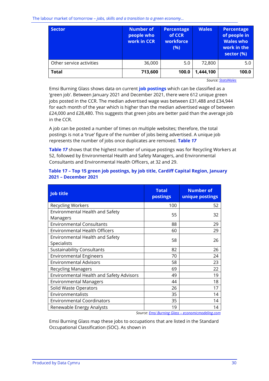The labour market of tomorrow – *jobs, skills and a transition to a green economy…*

| <b>Sector</b>            | <b>Number of</b><br>people who<br>work in CCR | <b>Percentage</b><br>of CCR<br>workforce<br>(%) | <b>Wales</b> | Percentage<br>of people in<br><b>Wales who</b><br>work in the<br>sector (%) |
|--------------------------|-----------------------------------------------|-------------------------------------------------|--------------|-----------------------------------------------------------------------------|
| Other service activities | 36,000                                        | 5.0                                             | 72,800       | 5.0                                                                         |
| <b>Total</b>             | 713,600                                       | 100.0                                           | 1,444,100    | 100.0                                                                       |

<span id="page-32-1"></span>*Source[: StatsWales](https://statswales.gov.wales/Catalogue/Business-Economy-and-Labour-Market/People-and-Work/Employment/Jobs/Whole-Workforce/workplaceemployment-by-welshlocalareas-industry)*

Emsi Burning Glass shows data on current **job postings** which can be classified as a 'green job'. Between January 2021 and December 2021, there were 612 unique green jobs posted in the CCR. The median advertised wage was between £31,488 and £34,944 for each month of the year which is higher than the median advertised wage of between £24,000 and £28,480. This suggests that green jobs are better paid than the average job in the CCR.

A job can be posted a number of times on multiple websites; therefore, the total postings is not a 'true' figure of the number of jobs being advertised. A unique job represents the number of jobs once duplicates are removed. **[Table](#page-32-0)** *1[7](#page-32-1)*

**[Table](#page-32-1)** *17* shows that the highest number of unique postings was for Recycling Workers at 52, followed by Environmental Health and Safety Managers, and Environmental Consultants and Environmental Health Officers, at 32 and 29.

<span id="page-32-0"></span>

| Table 17 - Top 15 green job postings, by job title, Cardiff Capital Region, January |  |  |
|-------------------------------------------------------------------------------------|--|--|
| 2021 - December 2021                                                                |  |  |

| <b>Job title</b>                                | <b>Total</b><br>postings | <b>Number of</b><br>unique postings |
|-------------------------------------------------|--------------------------|-------------------------------------|
| <b>Recycling Workers</b>                        | 100                      | 52                                  |
| Environmental Health and Safety<br>Managers     | 55                       | 32                                  |
| <b>Environmental Consultants</b>                | 88                       | 29                                  |
| <b>Environmental Health Officers</b>            | 60                       | 29                                  |
| Environmental Health and Safety<br>Specialists  | 58                       | 26                                  |
| <b>Sustainability Consultants</b>               | 82                       | 26                                  |
| <b>Environmental Engineers</b>                  | 70                       | 24                                  |
| <b>Environmental Advisors</b>                   | 58                       | 23                                  |
| <b>Recycling Managers</b>                       | 69                       | 22                                  |
| <b>Environmental Health and Safety Advisors</b> | 49                       | 19                                  |
| <b>Environmental Managers</b>                   | 44                       | 18                                  |
| Solid Waste Operators                           | 26                       | 17                                  |
| Environmentalists                               | 35                       | 14                                  |
| <b>Environmental Coordinators</b>               | 35                       | 14                                  |
| Renewable Energy Analysts                       | 19                       | 14                                  |

 *Source: Emsi Burning Glass – [economicmodeling.com](https://www.economicmodeling.com/)*

Emsi Burning Glass map these jobs to occupations that are listed in the Standard Occupational Classification (SOC). As shown i[n](#page-33-0)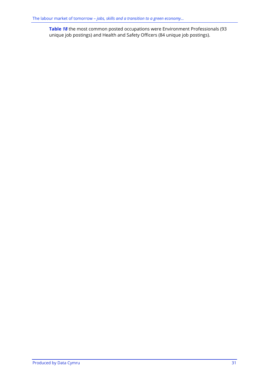<span id="page-33-0"></span>**[Table](#page-33-0)** *18* the most common posted occupations were Environment Professionals (93 unique job postings) and Health and Safety Officers (84 unique job postings).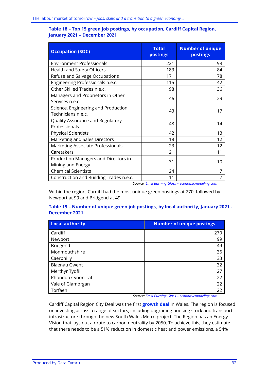#### **Table 18 – Top 15 green job postings, by occupation, Cardiff Capital Region, January 2021 – December 2021**

| <b>Occupation (SOC)</b>                 | <b>Total</b><br>postings | <b>Number of unique</b><br>postings |
|-----------------------------------------|--------------------------|-------------------------------------|
| <b>Environment Professionals</b>        | 221                      | 93                                  |
| Health and Safety Officers              | 183                      | 84                                  |
| Refuse and Salvage Occupations          | 171                      | 78                                  |
| Engineering Professionals n.e.c.        | 115                      | 42                                  |
| Other Skilled Trades n.e.c.             | 98                       | 36                                  |
| Managers and Proprietors in Other       | 46                       | 29                                  |
| Services n.e.c.                         |                          |                                     |
| Science, Engineering and Production     | 43                       | 17                                  |
| Technicians n.e.c.                      |                          |                                     |
| Quality Assurance and Regulatory        | 48                       | 14                                  |
| Professionals                           |                          |                                     |
| <b>Physical Scientists</b>              | 42                       | 13                                  |
| Marketing and Sales Directors           | 18                       | 12                                  |
| Marketing Associate Professionals       | 23                       | 12                                  |
| Caretakers                              | 21                       | 11                                  |
| Production Managers and Directors in    | 31                       | 10                                  |
| Mining and Energy                       |                          |                                     |
| <b>Chemical Scientists</b>              | 24                       |                                     |
| Construction and Building Trades n.e.c. | 11                       | $\mathbf{r}$                        |

*Source: Emsi Burning Glass – [economicmodeling.com](https://www.economicmodeling.com/)*

Within the region, Cardiff had the most unique green postings at 270, followed by Newport at 99 and Bridgend at 49.

#### **Table 19 – Number of unique green job postings, by local authority, January 2021 - December 2021**

| <b>Local authority</b> | <b>Number of unique postings</b> |
|------------------------|----------------------------------|
| Cardiff                | 270                              |
| Newport                | 99                               |
| Bridgend               | 49                               |
| Monmouthshire          | 36                               |
| Caerphilly             | 33                               |
| <b>Blaenau Gwent</b>   | 32                               |
| Merthyr Tydfil         | 27                               |
| Rhondda Cynon Taf      | 22                               |
| Vale of Glamorgan      | 22                               |
| Torfaen                | 22                               |

*Source: Emsi Burning Glass – [economicmodeling.com](https://www.economicmodeling.com/)*

Cardiff Capital Region City Deal was the first **growth deal** in Wales. The region is focused on investing across a range of sectors, including upgrading housing stock and transport infrastructure through the new South Wales Metro project. The Region has an Energy Vision that lays out a route to carbon neutrality by 2050. To achieve this, they estimate that there needs to be a 51% reduction in domestic heat and power emissions, a 54%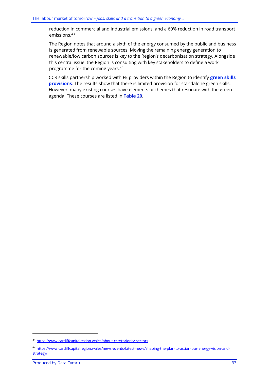reduction in commercial and industrial emissions, and a 60% reduction in road transport emissions.<sup>43</sup>

The Region notes that around a sixth of the energy consumed by the public and business is generated from renewable sources. Moving the remaining energy generation to renewable/low carbon sources is key to the Region's decarbonisation strategy. Alongside this central issue, the Region is consulting with key stakeholders to define a work programme for the coming years.<sup>44</sup>

CCR skills partnership worked with FE providers within the Region to identify **green skills provisions**. The results show that there is limited provision for standalone green skills. However, many existing courses have elements or themes that resonate with the green agenda. These courses are listed in **[Table 20](#page-37-0)**.

<sup>43</sup> [https://www.cardiffcapitalregion.wales/about-ccr/#priority-sectors.](https://www.cardiffcapitalregion.wales/about-ccr/#priority-sectors)

<sup>44</sup> [https://www.cardiffcapitalregion.wales/news-events/latest-news/shaping-the-plan-to-action-our-energy-vision-and](https://www.cardiffcapitalregion.wales/news-events/latest-news/shaping-the-plan-to-action-our-energy-vision-and-strategy/)[strategy/.](https://www.cardiffcapitalregion.wales/news-events/latest-news/shaping-the-plan-to-action-our-energy-vision-and-strategy/)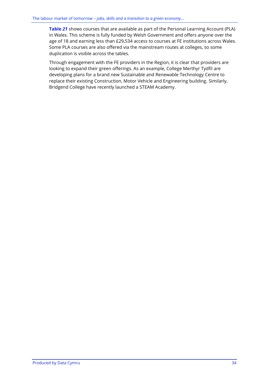**[Table](#page-40-0)** *21* shows courses that are available as part of the Personal Learning Account (PLA) in Wales. This scheme is fully funded by Welsh Government and offers anyone over the age of 18 and earning less than £29,534 access to courses at FE institutions across Wales. Some PLA courses are also offered via the mainstream routes at colleges, so some duplication is visible across the tables.

Through engagement with the FE providers in the Region, it is clear that providers are looking to expand their green offerings. As an example, College Merthyr Tydfil are developing plans for a brand new Sustainable and Renewable Technology Centre to replace their existing Construction, Motor Vehicle and Engineering building. Similarly, Bridgend College have recently launched a STEAM Academy.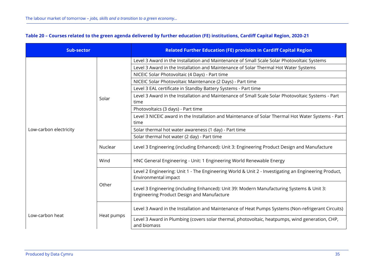| <b>Sub-sector</b>      |            | <b>Related Further Education (FE) provision in Cardiff Capital Region</b>                                                               |  |
|------------------------|------------|-----------------------------------------------------------------------------------------------------------------------------------------|--|
|                        |            | Level 3 Award in the Installation and Maintenance of Small Scale Solar Photovoltaic Systems                                             |  |
|                        |            | Level 3 Award in the Installation and Maintenance of Solar Thermal Hot Water Systems                                                    |  |
|                        |            | NICEIC Solar Photovoltaic (4 Days) - Part time                                                                                          |  |
|                        |            | NICEIC Solar Photovoltaic Maintenance (2 Days) - Part time                                                                              |  |
|                        |            | Level 3 EAL certificate in Standby Battery Systems - Part time                                                                          |  |
|                        | Solar      | Level 3 Award in the Installation and Maintenance of Small Scale Solar Photovoltaic Systems - Part<br>time                              |  |
|                        |            | Photovoltaics (3 days) - Part time                                                                                                      |  |
|                        |            | Level 3 NICEIC award in the Installation and Maintenance of Solar Thermal Hot Water Systems - Part<br>time                              |  |
| Low-carbon electricity |            | Solar thermal hot water awareness (1 day) - Part time                                                                                   |  |
|                        |            | Solar thermal hot water (2 day) - Part time                                                                                             |  |
|                        | Nuclear    | Level 3 Engineering (including Enhanced): Unit 3: Engineering Product Design and Manufacture                                            |  |
|                        | Wind       | HNC General Engineering - Unit: 1 Engineering World Renewable Energy                                                                    |  |
|                        | Other      | Level 2 Engineering: Unit 1 - The Engineering World & Unit 2 - Investigating an Engineering Product,<br>Environmental impact            |  |
|                        |            | Level 3 Engineering (including Enhanced): Unit 39: Modern Manufacturing Systems & Unit 3:<br>Engineering Product Design and Manufacture |  |
| Low-carbon heat        | Heat pumps | Level 3 Award in the Installation and Maintenance of Heat Pumps Systems (Non-refrigerant Circuits)                                      |  |
|                        |            | Level 3 Award in Plumbing (covers solar thermal, photovoltaic, heatpumps, wind generation, CHP,<br>and biomass                          |  |

## **Table 20 – Courses related to the green agenda delivered by further education (FE) institutions, Cardiff Capital Region, 2020-21**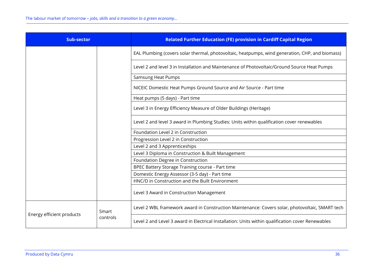| <b>Sub-sector</b>         |                   | <b>Related Further Education (FE) provision in Cardiff Capital Region</b>                         |
|---------------------------|-------------------|---------------------------------------------------------------------------------------------------|
|                           |                   | EAL Plumbing (covers solar thermal, photovoltaic, heatpumps, wind generation, CHP, and biomass)   |
|                           |                   | Level 2 and level 3 in Installation and Maintenance of Photovoltaic/Ground Source Heat Pumps      |
|                           |                   | Samsung Heat Pumps                                                                                |
|                           |                   | NICEIC Domestic Heat Pumps Ground Source and Air Source - Part time                               |
|                           |                   | Heat pumps (5 days) - Part time                                                                   |
|                           |                   | Level 3 in Energy Efficiency Measure of Older Buildings (Heritage)                                |
|                           |                   | Level 2 and level 3 award in Plumbing Studies: Units within qualification cover renewables        |
|                           |                   | Foundation Level 2 in Construction                                                                |
|                           |                   | Progression Level 2 in Construction                                                               |
|                           |                   | Level 2 and 3 Apprenticeships                                                                     |
|                           |                   | Level 3 Diploma in Construction & Built Management                                                |
|                           |                   | Foundation Degree in Construction                                                                 |
|                           |                   | BPEC Battery Storage Training course - Part time                                                  |
|                           |                   | Domestic Energy Assessor (3-5 day) - Part time                                                    |
|                           |                   | HNC/D in Construction and the Built Environment                                                   |
|                           |                   | Level 3 Award in Construction Management                                                          |
| Energy efficient products | Smart<br>controls | Level 2 WBL framework award in Construction Maintenance: Covers solar, photovoltaic, SMART tech   |
|                           |                   | Level 2 and Level 3 award in Electrical Installation: Units within qualification cover Renewables |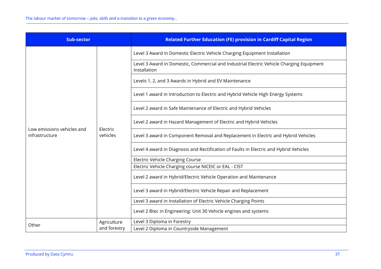| <b>Sub-sector</b>                            |                      | <b>Related Further Education (FE) provision in Cardiff Capital Region</b>                                                                                                                                                                                                                                                                                                                                 |  |
|----------------------------------------------|----------------------|-----------------------------------------------------------------------------------------------------------------------------------------------------------------------------------------------------------------------------------------------------------------------------------------------------------------------------------------------------------------------------------------------------------|--|
|                                              |                      | Level 3 Award in Domestic Electric Vehicle Charging Equipment Installation<br>Level 3 Award in Domestic, Commercial and Industrial Electric Vehicle Charging Equipment<br>Installation<br>Levels 1, 2, and 3 Awards in Hybrid and EV Maintenance<br>Level 1 award in Introduction to Electric and Hybrid Vehicle High Energy Systems<br>Level 2 award in Safe Maintenance of Electric and Hybrid Vehicles |  |
| Low emissions vehicles and<br>infrastructure | Electric<br>vehicles | Level 2 award in Hazard Management of Electric and Hybrid Vehicles<br>Level 3 award in Component Removal and Replacement in Electric and Hybrid Vehicles                                                                                                                                                                                                                                                  |  |
|                                              |                      | Level 4 award in Diagnosis and Rectification of Faults in Electric and Hybrid Vehicles                                                                                                                                                                                                                                                                                                                    |  |
|                                              |                      | <b>Electric Vehicle Charging Course</b>                                                                                                                                                                                                                                                                                                                                                                   |  |
|                                              |                      | Electric Vehicle Charging course NICEIC or EAL - CIST                                                                                                                                                                                                                                                                                                                                                     |  |
|                                              |                      | Level 2 award in Hybrid/Electric Vehicle Operation and Maintenance                                                                                                                                                                                                                                                                                                                                        |  |
|                                              |                      | Level 3 award in Hybrid/Electric Vehicle Repair and Replacement                                                                                                                                                                                                                                                                                                                                           |  |
|                                              |                      | Level 3 award in Installation of Electric Vehicle Charging Points                                                                                                                                                                                                                                                                                                                                         |  |
|                                              |                      | Level 2 Btec in Engineering: Unit 30 Vehicle engines and systems                                                                                                                                                                                                                                                                                                                                          |  |
| Agriculture                                  |                      | Level 3 Diploma in Forestry                                                                                                                                                                                                                                                                                                                                                                               |  |
| Other                                        | and forestry         | Level 2 Diploma in Countryside Management                                                                                                                                                                                                                                                                                                                                                                 |  |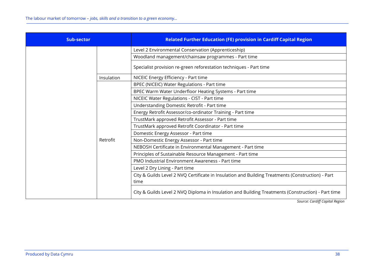<span id="page-40-0"></span>

| <b>Sub-sector</b> | <b>Related Further Education (FE) provision in Cardiff Capital Region</b>                                 |
|-------------------|-----------------------------------------------------------------------------------------------------------|
|                   | Level 2 Environmental Conservation (Apprenticeship)                                                       |
|                   | Woodland management/chainsaw programmes - Part time                                                       |
|                   | Specialist provision re-green reforestation techniques - Part time                                        |
| Insulation        | NICEIC Energy Efficiency - Part time                                                                      |
|                   | BPEC (NICEIC) Water Regulations - Part time                                                               |
|                   | BPEC Warm Water Underfloor Heating Systems - Part time                                                    |
|                   | NICEIC Water Regulations - CIST - Part time                                                               |
|                   | Understanding Domestic Retrofit - Part time                                                               |
|                   | Energy Retrofit Assessor/co-ordinator Training - Part time                                                |
|                   | TrustMark approved Retrofit Assessor - Part time                                                          |
|                   | TrustMark approved Retrofit Coordinator - Part time                                                       |
|                   | Domestic Energy Assessor - Part time                                                                      |
| Retrofit          | Non-Domestic Energy Assessor - Part time                                                                  |
|                   | NEBOSH Certificate in Environmental Management - Part time                                                |
|                   | Principles of Sustainable Resource Management - Part time                                                 |
|                   | PMO Industrial Environment Awareness - Part time                                                          |
|                   | Level 2 Dry Lining - Part time                                                                            |
|                   | City & Guilds Level 2 NVQ Certificate in Insulation and Building Treatments (Construction) - Part<br>time |
|                   | City & Guilds Level 2 NVQ Diploma in Insulation and Building Treatments (Construction) - Part time        |

*Source: Cardiff Capital Region*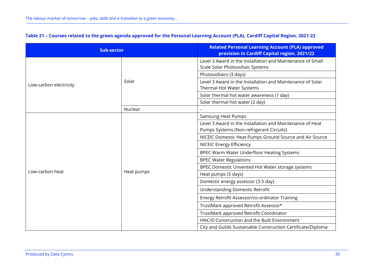| <b>Sub-sector</b>      |            | <b>Related Personal Learning Account (PLA) approved</b><br>provision in Cardiff Capital region, 2021/22 |
|------------------------|------------|---------------------------------------------------------------------------------------------------------|
|                        | Solar      | Level 3 Award in the Installation and Maintenance of Small<br>Scale Solar Photovoltaic Systems          |
|                        |            | Photovoltaics (3 days)                                                                                  |
| Low-carbon electricity |            | Level 3 Award in the Installation and Maintenance of Solar<br>Thermal Hot Water Systems                 |
|                        |            | Solar thermal hot water awareness (1 day)                                                               |
|                        |            | Solar thermal hot water (2 day)                                                                         |
|                        | Nuclear    |                                                                                                         |
|                        |            | <b>Samsung Heat Pumps</b>                                                                               |
|                        |            | Level 3 Award in the Installation and Maintenance of Heat<br>Pumps Systems (Non-refrigerant Circuits)   |
|                        | Heat pumps | NICEIC Domestic Heat Pumps Ground Source and Air Source                                                 |
|                        |            | <b>NICEIC Energy Efficiency</b>                                                                         |
|                        |            | BPEC Warm Water Underfloor Heating Systems                                                              |
|                        |            | <b>BPEC Water Regulations</b>                                                                           |
|                        |            | BPEC Domestic Unvented Hot Water storage systems                                                        |
| Low-carbon heat        |            | Heat pumps (5 days)                                                                                     |
|                        |            | Domestic energy assessor (3-5 day)                                                                      |
|                        |            | <b>Understanding Domestic Retrofit</b>                                                                  |
|                        |            | Energy Retrofit Assessor/co-ordinator Training                                                          |
|                        |            | TrustMark approved Retrofit Assessor*                                                                   |
|                        |            | TrustMark approved Retrofit Coordinator                                                                 |
|                        |            | HNC/D Construction and the Built Environment                                                            |
|                        |            | City and Guilds Sustainable Construction Certificate/Diploma                                            |

## **Table 21 – Courses related to the green agenda approved for the Personal Learning Account (PLA), Cardiff Capital Region, 2021-22**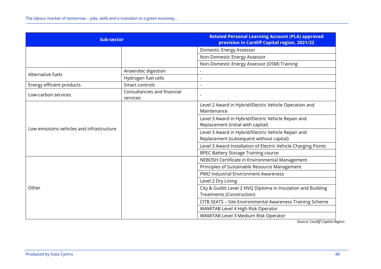| <b>Sub-sector</b>                         |                                         | <b>Related Personal Learning Account (PLA) approved</b><br>provision in Cardiff Capital region, 2021/22 |
|-------------------------------------------|-----------------------------------------|---------------------------------------------------------------------------------------------------------|
|                                           |                                         | Domestic Energy Assessor                                                                                |
|                                           |                                         | Non-Domestic Energy Assessor                                                                            |
|                                           |                                         | Non-Domestic Energy Assessor (DSM) Training                                                             |
| Alternative fuels                         | Anaerobic digestion                     |                                                                                                         |
|                                           | Hydrogen fuel cells                     | $\overline{a}$                                                                                          |
| Energy efficient products                 | Smart controls                          | L,                                                                                                      |
| Low-carbon services                       | Consultancies and financial<br>services |                                                                                                         |
|                                           |                                         | Level 2 Award in Hybrid/Electric Vehicle Operation and<br>Maintenance                                   |
| Low emissions vehicles and infrastructure |                                         | Level 3 Award in Hybrid/Electric Vehicle Repair and<br>Replacement (initial with capital)               |
|                                           |                                         | Level 3 Award in Hybrid/Electric Vehicle Repair and<br>Replacement (subsequent without capital)         |
|                                           |                                         | Level 3 Award Installation of Electric Vehicle Charging Points                                          |
|                                           |                                         | <b>BPEC Battery Storage Training course</b>                                                             |
|                                           |                                         | NEBOSH Certificate in Environmental Management                                                          |
|                                           |                                         | Principles of Sustainable Resource Management                                                           |
|                                           |                                         | PMO Industrial Environment Awareness                                                                    |
|                                           |                                         | Level 2 Dry Lining                                                                                      |
| Other                                     |                                         | City & Guilds Level 2 NVQ Diploma in Insulation and Building<br><b>Treatments (Construction)</b>        |
|                                           |                                         | CITB SEATS - Site Environmental Awareness Training Scheme                                               |
|                                           |                                         | WAMITAB Level 4 High Risk Operator                                                                      |
|                                           |                                         | WAMITAB Level 3 Medium Risk Operator                                                                    |

*Source: Cardiff Capital Region*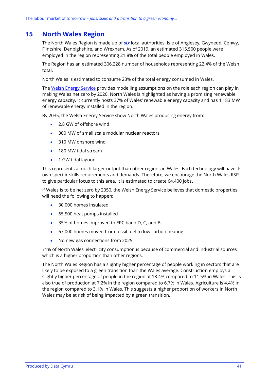# **15 North Wales Region**

The North Wales Region is made up of *six* local authorities: Isle of Anglesey, Gwynedd, Conwy, Flintshire, Denbighshire, and Wrexham. As of 2019, an estimated 315,500 people were employed in the region representing 21.8% of the total people employed in Wales.

The Region has an estimated 306,228 number of households representing 22.4% of the Welsh total.

North Wales is estimated to consume 23% of the total energy consumed in Wales.

The [Welsh Energy Service](https://gov.wales/energy-service-public-sector-and-community-groups) provides modelling assumptions on the role each region can play in making Wales net zero by 2020. North Wales is highlighted as having a promising renewable energy capacity. It currently hosts 37% of Wales' renewable energy capacity and has 1,183 MW of renewable energy installed in the region.

By 2035, the Welsh Energy Service show North Wales producing energy from:

- 2.8 GW of offshore wind
- 300 MW of small scale modular nuclear reactors
- 310 MW onshore wind
- 180 MW tidal stream
- 1 GW tidal lagoon.

This represents a much larger output than other regions in Wales. Each technology will have its own specific skills requirements and demands. Therefore, we encourage the North Wales RSP to give particular focus to this area. It is estimated to create 64,400 jobs.

If Wales is to be net zero by 2050, the Welsh Energy Service believes that domestic properties will need the following to happen:

- 30,000 homes insulated
- 65,500 heat pumps installed
- 35% of homes improved to EPC band D, C, and B
- 67,000 homes moved from fossil fuel to low carbon heating
- No new gas connections from 2025.

71% of North Wales' electricity consumption is because of commercial and industrial sources which is a higher proportion than other regions.

The North Wales Region has a slightly higher percentage of people working in sectors that are likely to be exposed to a green transition than the Wales average. Construction employs a slightly higher percentage of people in the region at 13.4% compared to 11.5% in Wales. This is also true of production at 7.2% in the region compared to 6.7% in Wales. Agriculture is 4.4% in the region compared to 3.1% in Wales. This suggests a higher proportion of workers in North Wales may be at risk of being impacted by a green transition.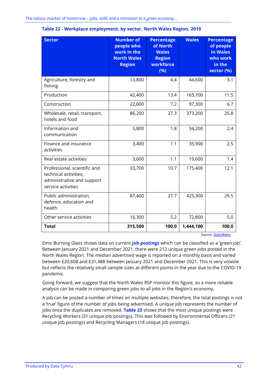| <b>Sector</b>                                                                                             | <b>Number of</b><br>people who<br>work in the<br><b>North Wales</b><br><b>Region</b> | <b>Percentage</b><br>of North<br><b>Wales</b><br><b>Region</b><br>workforce<br>(%) | <b>Wales</b> | <b>Percentage</b><br>of people<br>in Wales<br>who work<br>in the<br>sector (%) |
|-----------------------------------------------------------------------------------------------------------|--------------------------------------------------------------------------------------|------------------------------------------------------------------------------------|--------------|--------------------------------------------------------------------------------|
| Agriculture, forestry and<br>fishing                                                                      | 13,800                                                                               | 4.4                                                                                | 44,600       | 3.1                                                                            |
| Production                                                                                                | 42,400                                                                               | 13.4                                                                               | 165,700      | 11.5                                                                           |
| Construction                                                                                              | 22,800                                                                               | 7.2                                                                                | 97,300       | 6.7                                                                            |
| Wholesale, retail, transport,<br>hotels and food                                                          | 86,200                                                                               | 27.3                                                                               | 373,200      | 25.8                                                                           |
| Information and<br>communication                                                                          | 5,800                                                                                | 1.8                                                                                | 34,200       | 2.4                                                                            |
| Finance and insurance<br>activities                                                                       | 3,400                                                                                | 1.1                                                                                | 35,900       | 2.5                                                                            |
| Real estate activities                                                                                    | 3,600                                                                                | 1.1                                                                                | 19,600       | 1.4                                                                            |
| Professional, scientific and<br>technical activities;<br>administrative and support<br>service activities | 33,700                                                                               | 10.7                                                                               | 175,400      | 12.1                                                                           |
| Public administration,<br>defence, education and<br>health                                                | 87,400                                                                               | 27.7                                                                               | 425,300      | 29.5                                                                           |
| Other service activities                                                                                  | 16,300                                                                               | 5.2                                                                                | 72,800       | 5.0                                                                            |
| <b>Total</b>                                                                                              | 315,500                                                                              | 100.0                                                                              | 1,444,100    | 100.0<br>$141 - 1$                                                             |

#### **Table 22 - Workplace employment, by sector, North Wales Region, 2019**

*Source[: StatsWales](https://statswales.gov.wales/Catalogue/Business-Economy-and-Labour-Market/People-and-Work/Employment/Jobs/Whole-Workforce/workplaceemployment-by-welshlocalareas-industry)*

Emsi Burning Glass shows data on current **job postings** which can be classified as a 'green job'. Between January 2021 and December 2021, there were 212 unique green jobs posted in the North Wales Region. The median advertised wage is reported on a monthly basis and varied between £20,608 and £31,488 between January 2021 and December 2021. This is very volatile but reflects the relatively small sample sizes at different points in the year due to the COVID-19 pandemic.

Going forward, we suggest that the North Wales RSP monitor this figure, so a more reliable analysis can be made in comparing green jobs to all jobs in the Region's economy.

A job can be posted a number of times on multiple websites; therefore, the total postings is not a 'true' figure of the number of jobs being advertised. A unique job represents the number of jobs once the duplicates are removed. **[Table 23](#page-45-0)** shows that the most unique postings were Recycling Workers (31 unique job postings). This was followed by Environmental Officers (21 unique job postings) and Recycling Managers (18 unique job postings).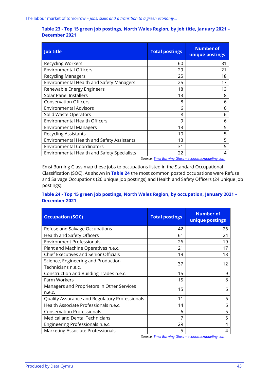#### <span id="page-45-0"></span>**Table 23 - Top 15 green job postings, North Wales Region, by job title, January 2021 – December 2021**

| <b>Job title</b>                                   | <b>Total postings</b>                                                   | <b>Number of</b><br>unique postings |
|----------------------------------------------------|-------------------------------------------------------------------------|-------------------------------------|
| <b>Recycling Workers</b>                           | 60                                                                      | 31                                  |
| <b>Environmental Officers</b>                      | 29                                                                      | 21                                  |
| <b>Recycling Managers</b>                          | 25                                                                      | 18                                  |
| Environmental Health and Safety Managers           | 25                                                                      | 17                                  |
| Renewable Energy Engineers                         | 18                                                                      | 13                                  |
| <b>Solar Panel Installers</b>                      | 13                                                                      | 8                                   |
| <b>Conservation Officers</b>                       | 8                                                                       | 6                                   |
| <b>Environmental Advisors</b>                      | 6                                                                       | 6                                   |
| Solid Waste Operators                              | 8                                                                       | 6                                   |
| <b>Environmental Health Officers</b>               | 9                                                                       | 6                                   |
| <b>Environmental Managers</b>                      | 13                                                                      | 5                                   |
| <b>Recycling Assistants</b>                        | 10                                                                      | 5                                   |
| <b>Environmental Health and Safety Assistants</b>  | 13                                                                      | 5                                   |
| <b>Environmental Coordinators</b>                  | 31                                                                      | 5                                   |
| <b>Environmental Health and Safety Specialists</b> | 22                                                                      | 4                                   |
|                                                    | Carrieras Finant Disimilian Claude - and in provincia dell'in provincia |                                     |

*Source: Emsi Burning Glass – [economicmodeling.com](https://www.economicmodeling.com/)*

Emsi Burning Glass map these jobs to occupations listed in the Standard Occupational Classification (SOC). As shown in **[Table 24](#page-45-1)** the most common posted occupations were Refuse and Salvage Occupations (26 unique job postings) and Health and Safety Officers (24 unique job postings).

### <span id="page-45-1"></span>**Table 24 - Top 15 green job postings, North Wales Region, by occupation, January 2021 – December 2021**

| <b>Occupation (SOC)</b>                              | <b>Total postings</b> | <b>Number of</b><br>unique postings |
|------------------------------------------------------|-----------------------|-------------------------------------|
| Refuse and Salvage Occupations                       | 42                    | 26                                  |
| Health and Safety Officers                           | 61                    | 24                                  |
| <b>Environment Professionals</b>                     | 26                    | 19                                  |
| Plant and Machine Operatives n.e.c.                  | 21                    | 17                                  |
| <b>Chief Executives and Senior Officials</b>         | 19                    | 13                                  |
| Science, Engineering and Production                  | 37                    | 12                                  |
| Technicians n.e.c.                                   |                       |                                     |
| Construction and Building Trades n.e.c.              | 15                    | 9                                   |
| Farm Workers                                         | 15                    | 8                                   |
| Managers and Proprietors in Other Services<br>n.e.c. | 15                    | 6                                   |
| Quality Assurance and Regulatory Professionals       | 11                    | 6                                   |
| Health Associate Professionals n.e.c.                | 14                    | 6                                   |
| <b>Conservation Professionals</b>                    | 6                     | 5                                   |
| <b>Medical and Dental Technicians</b>                | 7                     | 5                                   |
| Engineering Professionals n.e.c.                     | 29                    | 4                                   |
| Marketing Associate Professionals                    | 5                     | 4                                   |

*Source: Emsi Burning Glass – [economicmodeling.com](https://www.economicmodeling.com/)*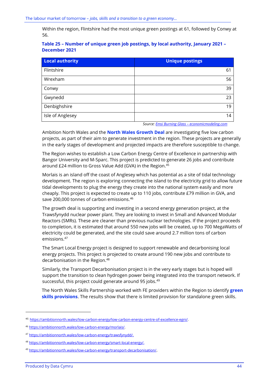Within the region, Flintshire had the most unique green postings at 61, followed by Conwy at 56.

## **Table 25 – Number of unique green job postings, by local authority, January 2021 – December 2021**

| <b>Local authority</b> | <b>Unique postings</b> |
|------------------------|------------------------|
| Flintshire             | 61                     |
| Wrexham                | 56                     |
| Conwy                  | 39                     |
| Gwynedd                | 23                     |
| Denbighshire           | 19                     |
| Isle of Anglesey       | 14                     |

 *Source: Emsi Burning Glass – [economicmodeling.com](https://www.economicmodeling.com/)*

Ambition North Wales and the **North Wales Growth Deal** are investigating five low carbon projects, as part of their aim to generate investment in the region. These projects are generally in the early stages of development and projected impacts are therefore susceptible to change.

The Region wishes to establish a Low Carbon Energy Centre of Excellence in partnership with Bangor University and M-Sparc. This project is predicted to generate 26 jobs and contribute around £24 million to Gross Value Add (GVA) in the Region.<sup>45</sup>

Morlais is an island off the coast of Anglesey which has potential as a site of tidal technology development. The region is exploring connecting the island to the electricity grid to allow future tidal developments to plug the energy they create into the national system easily and more cheaply. This project is expected to create up to 110 jobs, contribute £79 million in GVA, and save 200,000 tonnes of carbon emissions.<sup>46</sup>

The growth deal is supporting and investing in a second energy generation project, at the Trawsfynydd nuclear power plant. They are looking to invest in Small and Advanced Modular Reactors (SMRs). These are cleaner than previous nuclear technologies. If the project proceeds to completion, it is estimated that around 550 new jobs will be created, up to 700 MegaWatts of electricity could be generated, and the site could save around 2.7 million tons of carbon emissions.<sup>47</sup>

The Smart Local Energy project is designed to support renewable and decarbonising local energy projects. This project is projected to create around 190 new jobs and contribute to decarbonisation in the Region.<sup>48</sup>

Similarly, the Transport Decarbonisation project is in the very early stages but is hoped will support the transition to clean hydrogen power being integrated into the transport network. If successful, this project could generate around 95 jobs.<sup>49</sup>

The North Wales Skills Partnership worked with FE providers within the Region to identify **green skills provisions**. The results show that there is limited provision for standalone green skills.

<sup>45</sup> [https://ambitionnorth.wales/low-carbon-energy/low-carbon-energy-centre-of-excellence-egni/.](https://ambitionnorth.wales/low-carbon-energy/low-carbon-energy-centre-of-excellence-egni/)

<sup>46</sup> [https://ambitionnorth.wales/low-carbon-energy/morlais/.](https://ambitionnorth.wales/low-carbon-energy/morlais/)

<sup>47</sup> [https://ambitionnorth.wales/low-carbon-energy/trawsfynydd/.](https://ambitionnorth.wales/low-carbon-energy/trawsfynydd/)

<sup>48</sup> [https://ambitionnorth.wales/low-carbon-energy/smart-local-energy/.](https://ambitionnorth.wales/low-carbon-energy/smart-local-energy/)

<sup>49</sup> <https://ambitionnorth.wales/low-carbon-energy/transport-decarbonisation/>.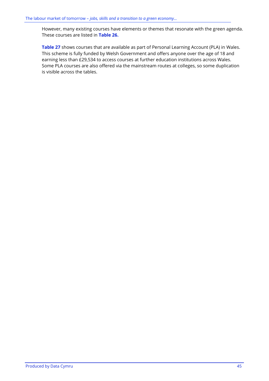However, many existing courses have elements or themes that resonate with the green agenda. These courses are listed in **[Table 26.](#page-48-0)**

**[Table 27](#page-53-0)** shows courses that are available as part of Personal Learning Account (PLA) in Wales. This scheme is fully funded by Welsh Government and offers anyone over the age of 18 and earning less than £29,534 to access courses at further education institutions across Wales. Some PLA courses are also offered via the mainstream routes at colleges, so some duplication is visible across the tables.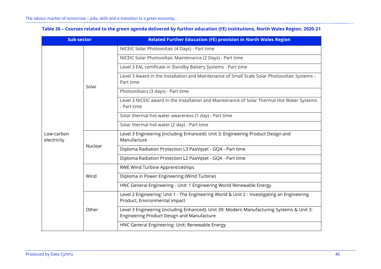<span id="page-48-0"></span>

| <b>Sub-sector</b>         |         | <b>Related Further Education (FE) provision in North Wales Region</b>                                                                   |  |
|---------------------------|---------|-----------------------------------------------------------------------------------------------------------------------------------------|--|
|                           |         | NICEIC Solar Photovoltaic (4 Days) - Part time                                                                                          |  |
|                           |         | NICEIC Solar Photovoltaic Maintenance (2 Days) - Part time                                                                              |  |
|                           |         | Level 3 EAL certificate in Standby Battery Systems - Part time                                                                          |  |
|                           | Solar   | Level 3 Award in the Installation and Maintenance of Small Scale Solar Photovoltaic Systems -<br>Part time                              |  |
|                           |         | Photovoltaics (3 days) - Part time                                                                                                      |  |
|                           |         | Level 3 NICEIC award in the Installation and Maintenance of Solar Thermal Hot Water Systems<br>- Part time                              |  |
|                           |         | Solar thermal hot water awareness (1 day) - Part time                                                                                   |  |
|                           |         | Solar thermal hot water (2 day) - Part time                                                                                             |  |
| Low-carbon<br>electricity | Nuclear | Level 3 Engineering (including Enhanced): Unit 3: Engineering Product Design and<br>Manufacture                                         |  |
|                           |         | Diploma Radiation Protection L3 PaaVqset - GQA - Part time                                                                              |  |
|                           |         | Diploma Radiation Protection L2 PaaVgset - GQA - Part time                                                                              |  |
|                           | Wind    | RWE Wind Turbine Apprenticeships                                                                                                        |  |
|                           |         | Diploma in Power Engineering (Wind Turbine)                                                                                             |  |
|                           |         | HNC General Engineering - Unit: 1 Engineering World Renewable Energy                                                                    |  |
|                           | Other   | Level 2 Engineering: Unit 1 - The Engineering World & Unit 2 - Investigating an Engineering<br>Product, Environmental impact            |  |
|                           |         | Level 3 Engineering (including Enhanced): Unit 39: Modern Manufacturing Systems & Unit 3:<br>Engineering Product Design and Manufacture |  |
|                           |         | HNC General Engineering: Unit: Renewable Energy                                                                                         |  |

## **Table 26 – Courses related to the green agenda delivered by further education (FE) institutions, North Wales Region, 2020-21**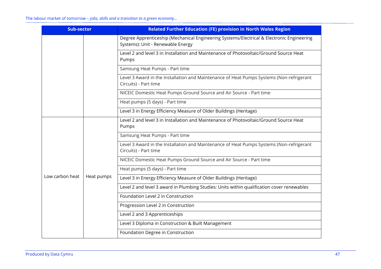| <b>Sub-sector</b> |            | <b>Related Further Education (FE) provision in North Wales Region</b>                                                          |
|-------------------|------------|--------------------------------------------------------------------------------------------------------------------------------|
|                   |            | Degree Apprenticeship (Mechanical Engineering Systems/Electrical & Electronic Engineering<br>Systems): Unit - Renewable Energy |
|                   |            | Level 2 and level 3 in Installation and Maintenance of Photovoltaic/Ground Source Heat<br>Pumps                                |
|                   |            | Samsung Heat Pumps - Part time                                                                                                 |
|                   |            | Level 3 Award in the Installation and Maintenance of Heat Pumps Systems (Non-refrigerant<br>Circuits) - Part time              |
|                   |            | NICEIC Domestic Heat Pumps Ground Source and Air Source - Part time                                                            |
|                   |            | Heat pumps (5 days) - Part time                                                                                                |
|                   |            | Level 3 in Energy Efficiency Measure of Older Buildings (Heritage)                                                             |
|                   |            | Level 2 and level 3 in Installation and Maintenance of Photovoltaic/Ground Source Heat<br>Pumps                                |
|                   |            | Samsung Heat Pumps - Part time                                                                                                 |
|                   |            | Level 3 Award in the Installation and Maintenance of Heat Pumps Systems (Non-refrigerant<br>Circuits) - Part time              |
|                   |            | NICEIC Domestic Heat Pumps Ground Source and Air Source - Part time                                                            |
|                   |            | Heat pumps (5 days) - Part time                                                                                                |
| Low carbon heat   | Heat pumps | Level 3 in Energy Efficiency Measure of Older Buildings (Heritage)                                                             |
|                   |            | Level 2 and level 3 award in Plumbing Studies: Units within qualification cover renewables                                     |
|                   |            | Foundation Level 2 in Construction                                                                                             |
|                   |            | Progression Level 2 in Construction                                                                                            |
|                   |            | Level 2 and 3 Apprenticeships                                                                                                  |
|                   |            | Level 3 Diploma in Construction & Built Management                                                                             |
|                   |            | Foundation Degree in Construction                                                                                              |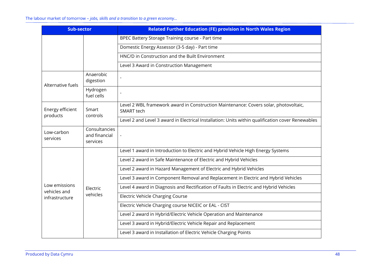#### The labour market of tomorrow – *jobs, skills and a transition to a green economy…*

| <b>Sub-sector</b>             |                                            | <b>Related Further Education (FE) provision in North Wales Region</b>                              |
|-------------------------------|--------------------------------------------|----------------------------------------------------------------------------------------------------|
|                               |                                            | BPEC Battery Storage Training course - Part time                                                   |
|                               |                                            | Domestic Energy Assessor (3-5 day) - Part time                                                     |
|                               |                                            | HNC/D in Construction and the Built Environment                                                    |
|                               |                                            | Level 3 Award in Construction Management                                                           |
| Alternative fuels             | Anaerobic<br>digestion                     |                                                                                                    |
|                               | Hydrogen<br>fuel cells                     |                                                                                                    |
| Energy efficient<br>Smart     | controls                                   | Level 2 WBL framework award in Construction Maintenance: Covers solar, photovoltaic,<br>SMART tech |
| products                      |                                            | Level 2 and Level 3 award in Electrical Installation: Units within qualification cover Renewables  |
| Low-carbon<br>services        | Consultancies<br>and financial<br>services |                                                                                                    |
|                               |                                            | Level 1 award in Introduction to Electric and Hybrid Vehicle High Energy Systems                   |
|                               |                                            | Level 2 award in Safe Maintenance of Electric and Hybrid Vehicles                                  |
|                               | Electric<br>vehicles                       | Level 2 award in Hazard Management of Electric and Hybrid Vehicles                                 |
|                               |                                            | Level 3 award in Component Removal and Replacement in Electric and Hybrid Vehicles                 |
| Low emissions<br>vehicles and |                                            | Level 4 award in Diagnosis and Rectification of Faults in Electric and Hybrid Vehicles             |
| infrastructure                |                                            | <b>Electric Vehicle Charging Course</b>                                                            |
|                               |                                            | Electric Vehicle Charging course NICEIC or EAL - CIST                                              |
|                               |                                            | Level 2 award in Hybrid/Electric Vehicle Operation and Maintenance                                 |
|                               |                                            | Level 3 award in Hybrid/Electric Vehicle Repair and Replacement                                    |
|                               |                                            | Level 3 award in Installation of Electric Vehicle Charging Points                                  |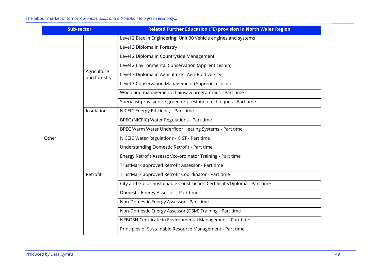| <b>Sub-sector</b> |                             | <b>Related Further Education (FE) provision in North Wales Region</b>    |  |
|-------------------|-----------------------------|--------------------------------------------------------------------------|--|
|                   |                             | Level 2 Btec in Engineering: Unit 30 Vehicle engines and systems         |  |
|                   |                             | Level 3 Diploma in Forestry                                              |  |
|                   |                             | Level 2 Diploma in Countryside Management                                |  |
|                   |                             | Level 2 Environmental Conservation (Apprenticeship)                      |  |
|                   | Agriculture<br>and forestry | Level 3 Diploma in Agriculture - Agri-Biodiversity                       |  |
|                   |                             | Level 3 Conservation Management (Apprenticeships)                        |  |
|                   |                             | Woodland management/chainsaw programmes - Part time                      |  |
|                   |                             | Specialist provision re-green reforestation techniques - Part time       |  |
|                   | Insulation                  | NICEIC Energy Efficiency - Part time                                     |  |
|                   | Retrofit                    | BPEC (NICEIC) Water Regulations - Part time                              |  |
|                   |                             | BPEC Warm Water Underfloor Heating Systems - Part time                   |  |
| Other             |                             | NICEIC Water Regulations - CIST - Part time                              |  |
|                   |                             | Understanding Domestic Retrofit - Part time                              |  |
|                   |                             | Energy Retrofit Assessor/co-ordinator Training - Part time               |  |
|                   |                             | TrustMark approved Retrofit Assessor - Part time                         |  |
|                   |                             | TrustMark approved Retrofit Coordinator - Part time                      |  |
|                   |                             | City and Guilds Sustainable Construction Certificate/Diploma - Part time |  |
|                   |                             | Domestic Energy Assessor - Part time                                     |  |
|                   |                             | Non-Domestic Energy Assessor - Part time                                 |  |
|                   |                             | Non-Domestic Energy Assessor (DSM) Training - Part time                  |  |
|                   |                             | NEBOSH Certificate in Environmental Management - Part time               |  |
|                   |                             | Principles of Sustainable Resource Management - Part time                |  |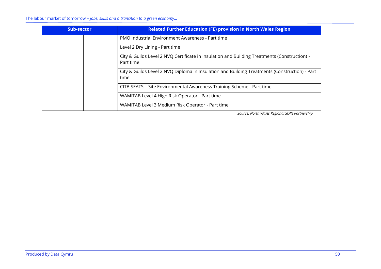The labour market of tomorrow – *jobs, skills and a transition to a green economy…*

| Sub-sector | <b>Related Further Education (FE) provision in North Wales Region</b>                                     |
|------------|-----------------------------------------------------------------------------------------------------------|
|            | PMO Industrial Environment Awareness - Part time                                                          |
|            | Level 2 Dry Lining - Part time                                                                            |
|            | City & Guilds Level 2 NVQ Certificate in Insulation and Building Treatments (Construction) -<br>Part time |
|            | City & Guilds Level 2 NVQ Diploma in Insulation and Building Treatments (Construction) - Part<br>time     |
|            | CITB SEATS - Site Environmental Awareness Training Scheme - Part time                                     |
|            | WAMITAB Level 4 High Risk Operator - Part time                                                            |
|            | WAMITAB Level 3 Medium Risk Operator - Part time                                                          |

*Source: North Wales Regional Skills Partnership*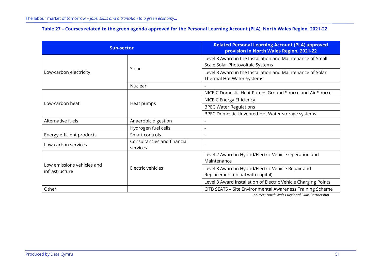## **Table 27 – Courses related to the green agenda approved for the Personal Learning Account (PLA), North Wales Region, 2021-22**

<span id="page-53-0"></span>

| <b>Sub-sector</b>                            |                                         | <b>Related Personal Learning Account (PLA) approved</b><br>provision in North Wales Region, 2021-22 |
|----------------------------------------------|-----------------------------------------|-----------------------------------------------------------------------------------------------------|
|                                              | Solar                                   | Level 3 Award in the Installation and Maintenance of Small<br>Scale Solar Photovoltaic Systems      |
| Low-carbon electricity                       |                                         | Level 3 Award in the Installation and Maintenance of Solar<br>Thermal Hot Water Systems             |
|                                              | Nuclear                                 |                                                                                                     |
|                                              |                                         | NICEIC Domestic Heat Pumps Ground Source and Air Source                                             |
| Low-carbon heat                              | Heat pumps                              | <b>NICEIC Energy Efficiency</b>                                                                     |
|                                              |                                         | <b>BPEC Water Regulations</b>                                                                       |
|                                              |                                         | BPEC Domestic Unvented Hot Water storage systems                                                    |
| Alternative fuels                            | Anaerobic digestion                     |                                                                                                     |
|                                              | Hydrogen fuel cells                     |                                                                                                     |
| Energy efficient products                    | Smart controls                          |                                                                                                     |
| Low-carbon services                          | Consultancies and financial<br>services |                                                                                                     |
|                                              |                                         | Level 2 Award in Hybrid/Electric Vehicle Operation and<br>Maintenance                               |
| Low emissions vehicles and<br>infrastructure | Electric vehicles                       | Level 3 Award in Hybrid/Electric Vehicle Repair and<br>Replacement (initial with capital)           |
|                                              |                                         | Level 3 Award Installation of Electric Vehicle Charging Points                                      |
| Other                                        |                                         | CITB SEATS - Site Environmental Awareness Training Scheme                                           |

*Source: North Wales Regional Skills Partnership*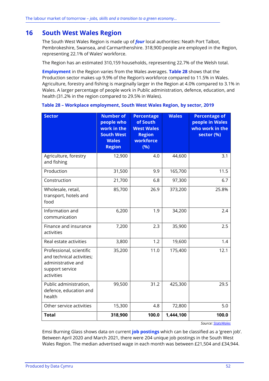# **16 South West Wales Region**

The South West Wales Region is made up of *four* local authorities: Neath Port Talbot, Pembrokeshire, Swansea, and Carmarthenshire. 318,900 people are employed in the Region, representing 22.1% of Wales' workforce.

The Region has an estimated 310,159 households, representing 22.7% of the Welsh total.

**Employment** in the Region varies from the Wales averages. **[Table 28](#page-54-0)** shows that the Production sector makes up 9.9% of the Region's workforce compared to 11.5% in Wales. Agriculture, forestry and fishing is marginally larger in the Region at 4.0% compared to 3.1% in Wales. A larger percentage of people work in Public administration, defence, education, and health (31.2% in the region compared to 29.5% in Wales).

| <b>Sector</b>                                                                                                | <b>Number of</b><br>people who<br>work in the<br><b>South West</b><br><b>Wales</b><br><b>Region</b> | <b>Percentage</b><br>of South<br><b>West Wales</b><br><b>Region</b><br>workforce<br>(%) | <b>Wales</b> | <b>Percentage of</b><br>people in Wales<br>who work in the<br>sector (%) |
|--------------------------------------------------------------------------------------------------------------|-----------------------------------------------------------------------------------------------------|-----------------------------------------------------------------------------------------|--------------|--------------------------------------------------------------------------|
| Agriculture, forestry<br>and fishing                                                                         | 12,900                                                                                              | 4.0                                                                                     | 44,600       | 3.1                                                                      |
| Production                                                                                                   | 31,500                                                                                              | 9.9                                                                                     | 165,700      | 11.5                                                                     |
| Construction                                                                                                 | 21,700                                                                                              | 6.8                                                                                     | 97,300       | 6.7                                                                      |
| Wholesale, retail,<br>transport, hotels and<br>food                                                          | 85,700                                                                                              | 26.9                                                                                    | 373,200      | 25.8%                                                                    |
| Information and<br>communication                                                                             | 6,200                                                                                               | 1.9                                                                                     | 34,200       | 2.4                                                                      |
| Finance and insurance<br>activities                                                                          | 7,200                                                                                               | 2.3                                                                                     | 35,900       | 2.5                                                                      |
| Real estate activities                                                                                       | 3,800                                                                                               | 1.2                                                                                     | 19,600       | 1.4                                                                      |
| Professional, scientific<br>and technical activities;<br>administrative and<br>support service<br>activities | 35,200                                                                                              | 11.0                                                                                    | 175,400      | 12.1                                                                     |
| Public administration,<br>defence, education and<br>health                                                   | 99,500                                                                                              | 31.2                                                                                    | 425,300      | 29.5                                                                     |
| Other service activities                                                                                     | 15,300                                                                                              | 4.8                                                                                     | 72,800       | 5.0                                                                      |
| <b>Total</b>                                                                                                 | 318,900                                                                                             | 100.0                                                                                   | 1,444,100    | 100.0                                                                    |

<span id="page-54-0"></span>**Table 28 – Workplace employment, South West Wales Region, by sector, 2019**

*Source[: StatsWales](https://statswales.gov.wales/Catalogue/Business-Economy-and-Labour-Market/People-and-Work/Employment/Jobs/Whole-Workforce/workplaceemployment-by-welshlocalareas-industry)*

Emsi Burning Glass shows data on current **job postings** which can be classified as a 'green job'. Between April 2020 and March 2021, there were 204 unique job postings in the South West Wales Region. The median advertised wage in each month was between £21,504 and £34,944.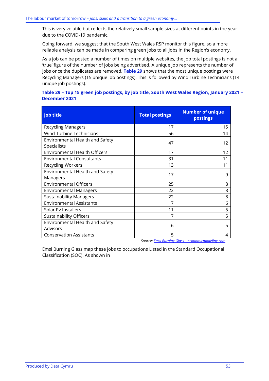This is very volatile but reflects the relatively small sample sizes at different points in the year due to the COVID-19 pandemic.

Going forward, we suggest that the South West Wales RSP monitor this figure, so a more reliable analysis can be made in comparing green jobs to all jobs in the Region's economy.

As a job can be posted a number of times on multiple websites, the job total postings is not a 'true' figure of the number of jobs being advertised. A unique job represents the number of jobs once the duplicates are removed. **[Table 29](#page-55-0)** shows that the most unique postings were Recycling Managers (15 unique job postings). This is followed by Wind Turbine Technicians (14 unique job postings).

## <span id="page-55-0"></span>**Table 29 – Top 15 green job postings, by job title, South West Wales Region, January 2021 – December 2021**

| <b>Job title</b>                               | <b>Total postings</b> | <b>Number of unique</b><br>postings |
|------------------------------------------------|-----------------------|-------------------------------------|
| <b>Recycling Managers</b>                      | 17                    | 15                                  |
| <b>Wind Turbine Technicians</b>                | 56                    | 14                                  |
| Environmental Health and Safety<br>Specialists | 47                    | 12                                  |
| <b>Environmental Health Officers</b>           | 17                    | 12                                  |
| <b>Environmental Consultants</b>               | 31                    | 11                                  |
| <b>Recycling Workers</b>                       | 13                    | 11                                  |
| Environmental Health and Safety<br>Managers    | 17                    | 9                                   |
| <b>Environmental Officers</b>                  | 25                    | 8                                   |
| <b>Environmental Managers</b>                  | 22                    | 8                                   |
| <b>Sustainability Managers</b>                 | 22                    | 8                                   |
| <b>Environmental Assistants</b>                | 7                     | 6                                   |
| Solar Py Installers                            | 11                    | 5                                   |
| <b>Sustainability Officers</b>                 | 7                     | 5                                   |
| Environmental Health and Safety<br>Advisors    | 6                     | 5                                   |
| <b>Conservation Assistants</b>                 | 5                     | 4                                   |

*Source: Emsi Burning Glass – [economicmodeling.com](https://www.economicmodeling.com/)*

Emsi Burning Glass map these jobs to occupations Listed in the Standard Occupational Classification (SOC). As shown in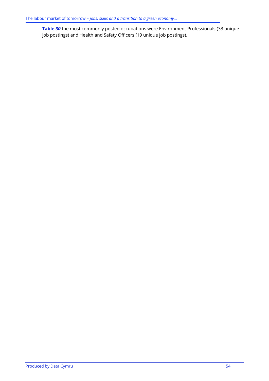<span id="page-56-0"></span>**[Table](#page-56-0)** *30* the most commonly posted occupations were Environment Professionals (33 unique job postings) and Health and Safety Officers (19 unique job postings).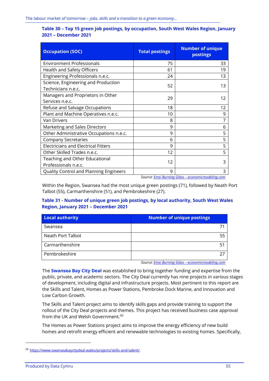| Table 30 - Top 15 green job postings, by occupation, South West Wales Region, January |  |
|---------------------------------------------------------------------------------------|--|
| 2021 - December 2021                                                                  |  |

| <b>Occupation (SOC)</b>                                   | <b>Total postings</b> | <b>Number of unique</b><br>postings               |
|-----------------------------------------------------------|-----------------------|---------------------------------------------------|
| <b>Environment Professionals</b>                          | 75                    | 33                                                |
| Health and Safety Officers                                | 61                    | 19                                                |
| Engineering Professionals n.e.c.                          | 24                    | 13                                                |
| Science, Engineering and Production<br>Technicians n.e.c. | 52                    | 13                                                |
| Managers and Proprietors in Other<br>Services n.e.c.      | 29                    | 12                                                |
| Refuse and Salvage Occupations                            | 18                    | 12                                                |
| Plant and Machine Operatives n.e.c.                       | 10                    | 9                                                 |
| <b>Van Drivers</b>                                        | 8                     | 7                                                 |
| Marketing and Sales Directors                             | 9                     | 6                                                 |
| Other Administrative Occupations n.e.c.                   | 9                     | 5                                                 |
| <b>Company Secretaries</b>                                | 6                     | 5                                                 |
| <b>Electricians and Electrical Fitters</b>                | 9                     | 5                                                 |
| Other Skilled Trades n.e.c.                               | 12                    | 5                                                 |
| Teaching and Other Educational<br>Professionals n.e.c.    | 12                    | 3                                                 |
| Quality Control and Planning Engineers                    | 9                     | 3                                                 |
|                                                           |                       | Course: Emsi Burning Class associationadeling som |

*Source: Emsi Burning Glass – [economicmodeling.com](https://www.economicmodeling.com/)*

Within the Region, Swansea had the most unique green postings (71), followed by Neath Port Talbot (55), Carmarthenshire (51), and Pembrokeshire (27).

### **Table 31 - Number of unique green job postings, by local authority, South West Wales Region, January 2021 – December 2021**

| Local authority   | <b>Number of unique postings</b> |
|-------------------|----------------------------------|
| Swansea           |                                  |
| Neath Port Talbot | 55                               |
| Carmarthenshire   | 5 <sup>1</sup>                   |
| Pembrokeshire     |                                  |

*Source: Emsi Burning Glass – [economicmodeling.com](https://www.economicmodeling.com/)*

The **Swansea Bay City Deal** was established to bring together funding and expertise from the public, private, and academic sectors. The City Deal currently has nine projects in various stages of development, including digital and infrastructure projects. Most pertinent to this report are the Skills and Talent, Homes as Power Stations, Pembroke Dock Marine, and Innovation and Low Carbon Growth.

The Skills and Talent project aims to identify skills gaps and provide training to support the rollout of the City Deal projects and themes. This project has received business case approval from the UK and Welsh Government.<sup>50</sup>

The Homes as Power Stations project aims to improve the energy efficiency of new build homes and retrofit energy efficient and renewable technologies to existing homes. Specifically,

<sup>50</sup> [https://www.swanseabaycitydeal.wales/projects/skills-and-talent/.](https://www.swanseabaycitydeal.wales/projects/skills-and-talent/)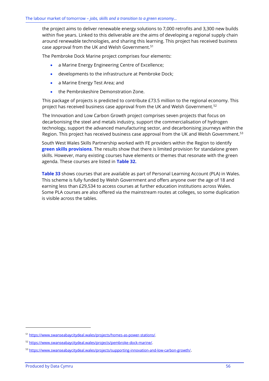the project aims to deliver renewable energy solutions to 7,000 retrofits and 3,300 new builds within five years. Linked to this deliverable are the aims of developing a regional supply chain around renewable technologies, and sharing this learning. This project has received business case approval from the UK and Welsh Government.<sup>51</sup>

The Pembroke Dock Marine project comprises four elements:

- a Marine Energy Engineering Centre of Excellence;
- developments to the infrastructure at Pembroke Dock;
- a Marine Energy Test Area; and
- the Pembrokeshire Demonstration Zone.

This package of projects is predicted to contribute £73.5 million to the regional economy. This project has received business case approval from the UK and Welsh Government.<sup>52</sup>

The Innovation and Low Carbon Growth project comprises seven projects that focus on decarbonising the steel and metals industry, support the commercialisation of hydrogen technology, support the advanced manufacturing sector, and decarbonising journeys within the Region. This project has received business case approval from the UK and Welsh Government.<sup>53</sup>

South West Wales Skills Partnership worked with FE providers within the Region to identify **green skills provisions**. The results show that there is limited provision for standalone green skills. However, many existing courses have elements or themes that resonate with the green agenda. These courses are listed in **[Table 32.](#page-59-0)**

**[Table 33](#page-61-0)** shows courses that are available as part of Personal Learning Account (PLA) in Wales. This scheme is fully funded by Welsh Government and offers anyone over the age of 18 and earning less than £29,534 to access courses at further education institutions across Wales. Some PLA courses are also offered via the mainstream routes at colleges, so some duplication is visible across the tables.

<sup>51</sup> [https://www.swanseabaycitydeal.wales/projects/homes-as-power-stations/.](https://www.swanseabaycitydeal.wales/projects/homes-as-power-stations/)

<sup>52</sup> [https://www.swanseabaycitydeal.wales/projects/pembroke-dock-marine/.](https://www.swanseabaycitydeal.wales/projects/pembroke-dock-marine/)

<sup>53</sup> <https://www.swanseabaycitydeal.wales/projects/supporting-innovation-and-low-carbon-growth/>.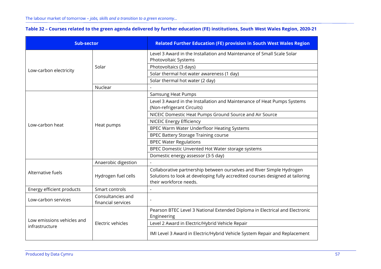| Table 32 - Courses related to the green agenda delivered by further education (FE) institutions, South West Wales Region, 2020-21 |  |  |
|-----------------------------------------------------------------------------------------------------------------------------------|--|--|
|-----------------------------------------------------------------------------------------------------------------------------------|--|--|

<span id="page-59-0"></span>

| <b>Sub-sector</b>                            |                                         | <b>Related Further Education (FE) provision in South West Wales Region</b>                                                                                                        |
|----------------------------------------------|-----------------------------------------|-----------------------------------------------------------------------------------------------------------------------------------------------------------------------------------|
|                                              |                                         | Level 3 Award in the Installation and Maintenance of Small Scale Solar<br>Photovoltaic Systems                                                                                    |
|                                              | Solar                                   | Photovoltaics (3 days)                                                                                                                                                            |
| Low-carbon electricity                       |                                         | Solar thermal hot water awareness (1 day)                                                                                                                                         |
|                                              |                                         | Solar thermal hot water (2 day)                                                                                                                                                   |
|                                              | Nuclear                                 |                                                                                                                                                                                   |
|                                              |                                         | <b>Samsung Heat Pumps</b>                                                                                                                                                         |
|                                              |                                         | Level 3 Award in the Installation and Maintenance of Heat Pumps Systems<br>(Non-refrigerant Circuits)                                                                             |
|                                              |                                         | NICEIC Domestic Heat Pumps Ground Source and Air Source                                                                                                                           |
|                                              | Heat pumps                              | <b>NICEIC Energy Efficiency</b>                                                                                                                                                   |
| Low-carbon heat                              |                                         | BPEC Warm Water Underfloor Heating Systems                                                                                                                                        |
|                                              |                                         | <b>BPEC Battery Storage Training course</b>                                                                                                                                       |
|                                              |                                         | <b>BPEC Water Regulations</b>                                                                                                                                                     |
|                                              |                                         | BPEC Domestic Unvented Hot Water storage systems                                                                                                                                  |
|                                              |                                         | Domestic energy assessor (3-5 day)                                                                                                                                                |
|                                              | Anaerobic digestion                     |                                                                                                                                                                                   |
| Alternative fuels                            | Hydrogen fuel cells                     | Collaborative partnership between ourselves and River Simple Hydrogen<br>Solutions to look at developing fully accredited courses designed at tailoring<br>their workforce needs. |
| Energy efficient products                    | Smart controls                          | $\blacksquare$                                                                                                                                                                    |
| Low-carbon services                          | Consultancies and<br>financial services |                                                                                                                                                                                   |
| Low emissions vehicles and<br>infrastructure |                                         | Pearson BTEC Level 3 National Extended Diploma in Electrical and Electronic<br>Engineering                                                                                        |
|                                              | Electric vehicles                       | Level 2 Award in Electric/Hybrid Vehicle Repair                                                                                                                                   |
|                                              |                                         | IMI Level 3 Award in Electric/Hybrid Vehicle System Repair and Replacement                                                                                                        |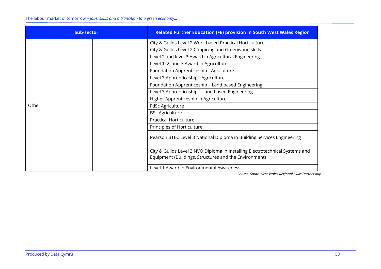The labour market of tomorrow – *jobs, skills and a transition to a green economy…*

| Sub-sector | <b>Related Further Education (FE) provision in South West Wales Region</b>   |
|------------|------------------------------------------------------------------------------|
|            | City & Guilds Level 2 Work based Practical Horticulture                      |
|            | City & Guilds Level 2 Coppicing and Greenwood skills                         |
|            | Level 2 and level 3 Award in Agricultural Engineering                        |
|            | Level 1, 2, and 3 Award in Agriculture                                       |
|            | Foundation Apprenticeship - Agriculture                                      |
|            | Level 3 Apprenticeship - Agriculture                                         |
|            | Foundation Apprenticeship - Land based Engineering                           |
|            | Level 3 Apprenticeship - Land based Engineering                              |
|            | Higher Apprenticeship in Agriculture                                         |
| Other      | FdSc Agriculture                                                             |
|            | <b>BSc Agriculture</b>                                                       |
|            | <b>Practical Horticulture</b>                                                |
|            | Principles of Horticulture                                                   |
|            | Pearson BTEC Level 3 National Diploma in Building Services Engineering       |
|            | City & Guilds Level 3 NVQ Diploma in Installing Electrotechnical Systems and |
|            | Equipment (Buildings, Structures and the Environment)                        |
|            | Level 1 Award in Environmental Awareness                                     |

*Source: South West Wales Regional Skills Partnership*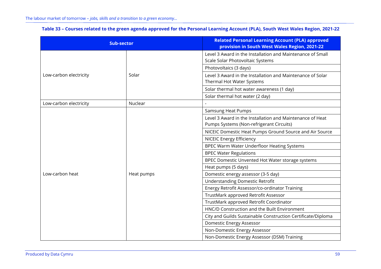|  | Table 33 - Courses related to the green agenda approved for the Personal Learning Account (PLA), South West Wales Region, 2021-22 |  |
|--|-----------------------------------------------------------------------------------------------------------------------------------|--|
|  |                                                                                                                                   |  |

<span id="page-61-0"></span>

| <b>Sub-sector</b>      |            | <b>Related Personal Learning Account (PLA) approved</b><br>provision in South West Wales Region, 2021-22 |
|------------------------|------------|----------------------------------------------------------------------------------------------------------|
|                        |            | Level 3 Award in the Installation and Maintenance of Small<br>Scale Solar Photovoltaic Systems           |
|                        |            | Photovoltaics (3 days)                                                                                   |
| Low-carbon electricity | Solar      | Level 3 Award in the Installation and Maintenance of Solar<br>Thermal Hot Water Systems                  |
|                        |            | Solar thermal hot water awareness (1 day)                                                                |
|                        |            | Solar thermal hot water (2 day)                                                                          |
| Low-carbon electricity | Nuclear    |                                                                                                          |
|                        |            | <b>Samsung Heat Pumps</b>                                                                                |
|                        |            | Level 3 Award in the Installation and Maintenance of Heat<br>Pumps Systems (Non-refrigerant Circuits)    |
|                        |            | NICEIC Domestic Heat Pumps Ground Source and Air Source                                                  |
|                        |            | <b>NICEIC Energy Efficiency</b>                                                                          |
|                        |            | BPEC Warm Water Underfloor Heating Systems                                                               |
|                        |            | <b>BPEC Water Regulations</b>                                                                            |
|                        | Heat pumps | BPEC Domestic Unvented Hot Water storage systems                                                         |
|                        |            | Heat pumps (5 days)                                                                                      |
| Low-carbon heat        |            | Domestic energy assessor (3-5 day)                                                                       |
|                        |            | <b>Understanding Domestic Retrofit</b>                                                                   |
|                        |            | Energy Retrofit Assessor/co-ordinator Training                                                           |
|                        |            | TrustMark approved Retrofit Assessor                                                                     |
|                        |            | TrustMark approved Retrofit Coordinator                                                                  |
|                        |            | HNC/D Construction and the Built Environment                                                             |
|                        |            | City and Guilds Sustainable Construction Certificate/Diploma                                             |
|                        |            | Domestic Energy Assessor                                                                                 |
|                        |            | Non-Domestic Energy Assessor                                                                             |
|                        |            | Non-Domestic Energy Assessor (DSM) Training                                                              |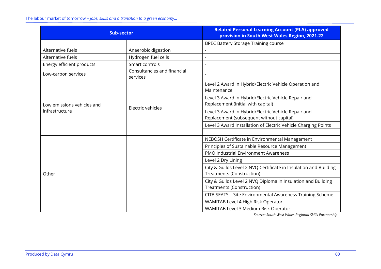The labour market of tomorrow – *jobs, skills and a transition to a green economy…*

| <b>Sub-sector</b>          |                                         | <b>Related Personal Learning Account (PLA) approved</b><br>provision in South West Wales Region, 2021-22 |
|----------------------------|-----------------------------------------|----------------------------------------------------------------------------------------------------------|
|                            |                                         | <b>BPEC Battery Storage Training course</b>                                                              |
| Alternative fuels          | Anaerobic digestion                     |                                                                                                          |
| Alternative fuels          | Hydrogen fuel cells                     |                                                                                                          |
| Energy efficient products  | Smart controls                          |                                                                                                          |
| Low-carbon services        | Consultancies and financial<br>services |                                                                                                          |
|                            |                                         | Level 2 Award in Hybrid/Electric Vehicle Operation and<br>Maintenance                                    |
| Low emissions vehicles and | Electric vehicles                       | Level 3 Award in Hybrid/Electric Vehicle Repair and<br>Replacement (initial with capital)                |
| infrastructure             |                                         | Level 3 Award in Hybrid/Electric Vehicle Repair and<br>Replacement (subsequent without capital)          |
|                            |                                         | Level 3 Award Installation of Electric Vehicle Charging Points                                           |
|                            |                                         | NEBOSH Certificate in Environmental Management                                                           |
|                            |                                         | Principles of Sustainable Resource Management                                                            |
|                            |                                         | PMO Industrial Environment Awareness                                                                     |
|                            |                                         | Level 2 Dry Lining                                                                                       |
| Other                      |                                         | City & Guilds Level 2 NVQ Certificate in Insulation and Building<br><b>Treatments (Construction)</b>     |
|                            |                                         | City & Guilds Level 2 NVQ Diploma in Insulation and Building<br><b>Treatments (Construction)</b>         |
|                            |                                         | CITB SEATS - Site Environmental Awareness Training Scheme                                                |
|                            |                                         | WAMITAB Level 4 High Risk Operator                                                                       |
|                            |                                         | WAMITAB Level 3 Medium Risk Operator                                                                     |

*Source: South West Wales Regional Skills Partnership*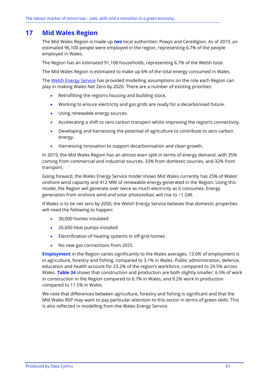# **17 Mid Wales Region**

The Mid Wales Region is made up *two* local authorities: Powys and Ceredigion. As of 2019, an estimated 96,100 people were employed in the region, representing 6.7% of the people employed in Wales.

The Region has an estimated 91,108 households, representing 6.7% of the Welsh total.

The Mid Wales Region is estimated to make up 6% of the total energy consumed in Wales.

The Welsh [Energy Service](https://gov.wales/energy-service-public-sector-and-community-groups) has provided modelling assumptions on the role each Region can play in making Wales Net Zero by 2020. There are a number of existing priorities:

- Retrofitting the region's housing and building stock.
- Working to ensure electricity and gas grids are ready for a decarbonised future.
- Using renewable energy sources.
- Accelerating a shift to zero carbon transport whilst improving the region's connectivity.
- Developing and harnessing the potential of agriculture to contribute to zero carbon energy.
- Harnessing innovation to support decarbonisation and clean growth.

In 2019, the Mid Wales Region has an almost even split in terms of energy demand, with 35% coming from commercial and industrial sources, 33% from domestic sources, and 32% from transport.

Going forward, the Wales Energy Service model shows Mid Wales currently has 25% of Wales' onshore wind capacity and 412 MW of renewable energy generated in the Region. Using this model, the Region will generate over twice as much electricity as it consumes. Energy generation from onshore wind and solar photovoltaic will rise to ~1 GW.

If Wales is to be net zero by 2050, the Welsh Energy Service believes that domestic properties will need the following to happen:

- 30,000 homes insulated
- 26,600 heat pumps installed
- Electrification of heating systems in off-grid homes
- No new gas connections from 2025.

**Employment** in the Region varies significantly to the Wales averages. 13.6% of employment is in agriculture, forestry and fishing, compared to 3.1% in Wales. Public administration, defence, education and health account for 23.2% of the region's workforce, compared to 29.5% across Wales. **[Table 34](#page-64-0)** shows that construction and production are both slightly smaller; 6.5% of work in construction in the Region compared to 6.7% in Wales, and 9.2% work in production compared to 11.5% in Wales.

We note that differences between agriculture, forestry and fishing is significant and that the Mid Wales RSP may want to pay particular attention to this sector in terms of green skills. This is also reflected in modelling from the Wales Energy Service.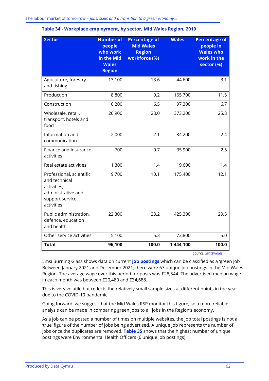| <b>Sector</b>                                                                                                   | <b>Number of</b><br>people<br>who work<br>in the Mid<br><b>Wales</b><br><b>Region</b> | <b>Percentage of</b><br><b>Mid Wales</b><br><b>Region</b><br>workforce (%) | <b>Wales</b> | <b>Percentage of</b><br>people in<br><b>Wales who</b><br>work in the<br>sector (%) |
|-----------------------------------------------------------------------------------------------------------------|---------------------------------------------------------------------------------------|----------------------------------------------------------------------------|--------------|------------------------------------------------------------------------------------|
| Agriculture, forestry<br>and fishing                                                                            | 13,100                                                                                | 13.6                                                                       | 44,600       | 3.1                                                                                |
| Production                                                                                                      | 8,800                                                                                 | 9.2                                                                        | 165,700      | 11.5                                                                               |
| Construction                                                                                                    | 6,200                                                                                 | 6.5                                                                        | 97,300       | 6.7                                                                                |
| Wholesale, retail,<br>transport, hotels and<br>food                                                             | 26,900                                                                                | 28.0                                                                       | 373,200      | 25.8                                                                               |
| Information and<br>communication                                                                                | 2,000                                                                                 | 2.1                                                                        | 34,200       | 2.4                                                                                |
| Finance and insurance<br>activities                                                                             | 700                                                                                   | 0.7                                                                        | 35,900       | 2.5                                                                                |
| Real estate activities                                                                                          | 1,300                                                                                 | 1.4                                                                        | 19,600       | 1.4                                                                                |
| Professional, scientific<br>and technical<br>activities;<br>administrative and<br>support service<br>activities | 9,700                                                                                 | 10.1                                                                       | 175,400      | 12.1                                                                               |
| Public administration,<br>defence, education<br>and health                                                      | 22,300                                                                                | 23.2                                                                       | 425,300      | 29.5                                                                               |
| Other service activities                                                                                        | 5,100                                                                                 | 5.3                                                                        | 72,800       | 5.0                                                                                |
| <b>Total</b>                                                                                                    | 96,100                                                                                | 100.0                                                                      | 1,444,100    | 100.0                                                                              |

<span id="page-64-0"></span>

| Table 34 - Workplace employment, by sector, Mid Wales Region, 2019 |  |  |  |
|--------------------------------------------------------------------|--|--|--|
|                                                                    |  |  |  |

*Source[: StatsWales](https://statswales.gov.wales/Catalogue/Business-Economy-and-Labour-Market/People-and-Work/Employment/Jobs/Whole-Workforce/workplaceemployment-by-welshlocalareas-industry)*

Emsi Burning Glass shows data on current **job postings** which can be classified as a 'green job'. Between January 2021 and December 2021, there were 67 unique job postings in the Mid Wales Region. The average wage over this period for posts was £28,544. The advertised median wage in each month was between £20,480 and £34,688.

This is very volatile but reflects the relatively small sample sizes at different points in the year due to the COVID-19 pandemic.

Going forward, we suggest that the Mid Wales RSP monitor this figure, so a more reliable analysis can be made in comparing green jobs to all jobs in the Region's economy.

As a job can be posted a number of times on multiple websites, the job total postings is not a 'true' figure of the number of jobs being advertised. A unique job represents the number of jobs once the duplicates are removed. **[Table 35](#page-65-0)** shows that the highest number of unique postings were Environmental Health Officers (6 unique job postings).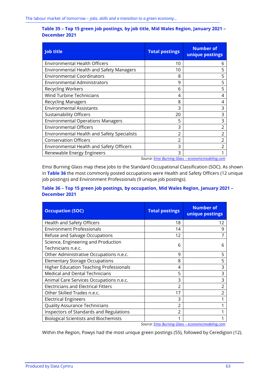### <span id="page-65-0"></span>**Table 35 – Top 15 green job postings, by job title, Mid Wales Region, January 2021 – December 2021**

| <b>Job title</b>                                   | <b>Total postings</b> | <b>Number of</b><br>unique postings             |
|----------------------------------------------------|-----------------------|-------------------------------------------------|
| <b>Environmental Health Officers</b>               | 10                    | b                                               |
| <b>Environmental Health and Safety Managers</b>    | 10                    | 5                                               |
| <b>Environmental Coordinators</b>                  | 8                     | 5                                               |
| <b>Environmental Administrators</b>                | 9                     | 5                                               |
| <b>Recycling Workers</b>                           | 6                     | 5                                               |
| <b>Wind Turbine Technicians</b>                    | 4                     | 4                                               |
| <b>Recycling Managers</b>                          | 8                     | 4                                               |
| <b>Environmental Assistants</b>                    | 3                     | 3                                               |
| <b>Sustainability Officers</b>                     | 20                    | 3                                               |
| <b>Environmental Operations Managers</b>           | 5                     | 3                                               |
| <b>Environmental Officers</b>                      | 3                     | $\mathfrak z$                                   |
| <b>Environmental Health and Safety Specialists</b> | $\mathfrak z$         | $\mathfrak z$                                   |
| <b>Conservation Officers</b>                       | 2                     |                                                 |
| Environmental Health and Safety Officers           | 3                     |                                                 |
| Renewable Energy Engineers                         | 3                     |                                                 |
|                                                    |                       | Course Emsi Burning Class essenamismodeling som |

*Source: Emsi Burning Glass – [economicmodeling.com](https://www.economicmodeling.com/)*

Emsi Burning Glass map these jobs to the Standard Occupational Classification (SOC). As shown in **[Table 36](#page-65-1)** the most commonly posted occupations were Health and Safety Officers (12 unique job postings) and Environment Professionals (9 unique job postings).

## <span id="page-65-1"></span>**Table 36 – Top 15 green job postings, by occupation, Mid Wales Region, January 2021 – December 2021**

| <b>Occupation (SOC)</b>                                   | <b>Total postings</b> | <b>Number of</b><br>unique postings |
|-----------------------------------------------------------|-----------------------|-------------------------------------|
| Health and Safety Officers                                | 18                    | 12                                  |
| <b>Environment Professionals</b>                          | 14                    | 9                                   |
| Refuse and Salvage Occupations                            | 12                    | 7                                   |
| Science, Engineering and Production<br>Technicians n.e.c. | 6                     | 6                                   |
| Other Administrative Occupations n.e.c.                   | 9                     | 5                                   |
| <b>Elementary Storage Occupations</b>                     | 8                     | 5                                   |
| <b>Higher Education Teaching Professionals</b>            | 4                     | 3                                   |
| <b>Medical and Dental Technicians</b>                     | 5                     | 3                                   |
| Animal Care Services Occupations n.e.c.                   | 3                     | 3                                   |
| <b>Electricians and Electrical Fitters</b>                | 2                     | 2                                   |
| Other Skilled Trades n.e.c.                               | 17                    | 2                                   |
| <b>Electrical Engineers</b>                               | 3                     |                                     |
| <b>Quality Assurance Technicians</b>                      | 2                     |                                     |
| Inspectors of Standards and Regulations                   | 2                     |                                     |
| <b>Biological Scientists and Biochemists</b>              |                       |                                     |

*Source: Emsi Burning Glass – [economicmodeling.com](https://www.economicmodeling.com/)*

Within the Region, Powys had the most unique green postings (55), followed by Ceredigion (12).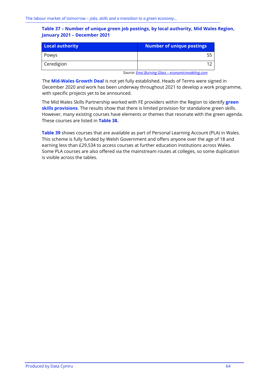### **Table 37 – Number of unique green job postings, by local authority, Mid Wales Region, January 2021 – December 2021**

| <b>Local authority</b> | Number of unique postings |
|------------------------|---------------------------|
| Powys                  | 55                        |
| Ceredigion             |                           |

*Source: Emsi Burning Glass – [economicmodeling.com](https://www.economicmodeling.com/)*

The **Mid-Wales Growth Deal** is not yet fully established. Heads of Terms were signed in December 2020 and work has been underway throughout 2021 to develop a work programme, with specific projects yet to be announced.

The Mid Wales Skills Partnership worked with FE providers within the Region to identify **green skills provisions**. The results show that there is limited provision for standalone green skills. However, many existing courses have elements or themes that resonate with the green agenda. These courses are listed in **[Table 38.](#page-67-0)**

**[Table 39](#page-69-0)** shows courses that are available as part of Personal Learning Account (PLA) in Wales. This scheme is fully funded by Welsh Government and offers anyone over the age of 18 and earning less than £29,534 to access courses at further education institutions across Wales. Some PLA courses are also offered via the mainstream routes at colleges, so some duplication is visible across the tables.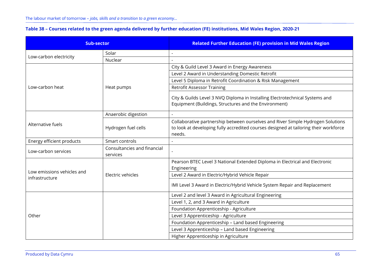| Table 38 - Courses related to the green agenda delivered by further education (FE) institutions, Mid Wales Region, 2020-21 |  |  |  |  |
|----------------------------------------------------------------------------------------------------------------------------|--|--|--|--|
|----------------------------------------------------------------------------------------------------------------------------|--|--|--|--|

<span id="page-67-0"></span>

| <b>Sub-sector</b>                            |                                         | <b>Related Further Education (FE) provision in Mid Wales Region</b>                                                                                                               |
|----------------------------------------------|-----------------------------------------|-----------------------------------------------------------------------------------------------------------------------------------------------------------------------------------|
|                                              | Solar                                   |                                                                                                                                                                                   |
| Low-carbon electricity                       | Nuclear                                 |                                                                                                                                                                                   |
|                                              |                                         | City & Guild Level 3 Award in Energy Awareness                                                                                                                                    |
|                                              |                                         | Level 2 Award in Understanding Domestic Retrofit                                                                                                                                  |
|                                              |                                         | Level 5 Diploma in Retrofit Coordination & Risk Management                                                                                                                        |
| Low-carbon heat                              | Heat pumps                              | <b>Retrofit Assessor Training</b>                                                                                                                                                 |
|                                              |                                         | City & Guilds Level 3 NVQ Diploma in Installing Electrotechnical Systems and<br>Equipment (Buildings, Structures and the Environment)                                             |
|                                              | Anaerobic digestion                     |                                                                                                                                                                                   |
| Alternative fuels                            | Hydrogen fuel cells                     | Collaborative partnership between ourselves and River Simple Hydrogen Solutions<br>to look at developing fully accredited courses designed at tailoring their workforce<br>needs. |
| Energy efficient products                    | Smart controls                          |                                                                                                                                                                                   |
| Low-carbon services                          | Consultancies and financial<br>services |                                                                                                                                                                                   |
|                                              |                                         | Pearson BTEC Level 3 National Extended Diploma in Electrical and Electronic<br>Engineering                                                                                        |
| Low emissions vehicles and<br>infrastructure | Electric vehicles                       | Level 2 Award in Electric/Hybrid Vehicle Repair                                                                                                                                   |
|                                              |                                         | IMI Level 3 Award in Electric/Hybrid Vehicle System Repair and Replacement                                                                                                        |
|                                              |                                         | Level 2 and level 3 Award in Agricultural Engineering                                                                                                                             |
|                                              |                                         | Level 1, 2, and 3 Award in Agriculture                                                                                                                                            |
|                                              |                                         | Foundation Apprenticeship - Agriculture                                                                                                                                           |
| Other                                        |                                         | Level 3 Apprenticeship - Agriculture                                                                                                                                              |
|                                              |                                         | Foundation Apprenticeship - Land based Engineering                                                                                                                                |
|                                              |                                         | Level 3 Apprenticeship - Land based Engineering                                                                                                                                   |
|                                              |                                         | Higher Apprenticeship in Agriculture                                                                                                                                              |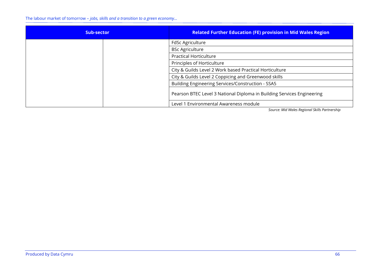The labour market of tomorrow – *jobs, skills and a transition to a green economy…*

| <b>Sub-sector</b> | <b>Related Further Education (FE) provision in Mid Wales Region</b>    |
|-------------------|------------------------------------------------------------------------|
|                   | <b>FdSc Agriculture</b>                                                |
|                   | <b>BSc Agriculture</b>                                                 |
|                   | <b>Practical Horticulture</b>                                          |
|                   | Principles of Horticulture                                             |
|                   | City & Guilds Level 2 Work based Practical Horticulture                |
|                   | City & Guilds Level 2 Coppicing and Greenwood skills                   |
|                   | Building Engineering Services/Construction - SSA5                      |
|                   | Pearson BTEC Level 3 National Diploma in Building Services Engineering |
|                   | Level 1 Environmental Awareness module                                 |

*Source: Mid Wales Regional Skills Partnership*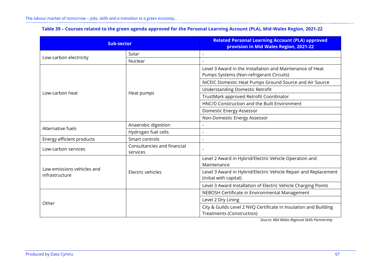<span id="page-69-0"></span>

| <b>Sub-sector</b>                            |                                         | <b>Related Personal Learning Account (PLA) approved</b><br>provision in Mid Wales Region, 2021-22     |
|----------------------------------------------|-----------------------------------------|-------------------------------------------------------------------------------------------------------|
|                                              | Solar                                   |                                                                                                       |
| Low-carbon electricity                       | Nuclear                                 |                                                                                                       |
|                                              |                                         | Level 3 Award in the Installation and Maintenance of Heat<br>Pumps Systems (Non-refrigerant Circuits) |
|                                              |                                         | NICEIC Domestic Heat Pumps Ground Source and Air Source                                               |
| Low-carbon heat                              | Heat pumps                              | <b>Understanding Domestic Retrofit</b>                                                                |
|                                              |                                         | TrustMark approved Retrofit Coordinator                                                               |
|                                              |                                         | HNC/D Construction and the Built Environment                                                          |
|                                              |                                         | Domestic Energy Assessor                                                                              |
|                                              |                                         | Non-Domestic Energy Assessor                                                                          |
| Alternative fuels                            | Anaerobic digestion                     |                                                                                                       |
|                                              | Hydrogen fuel cells                     |                                                                                                       |
| Energy efficient products                    | Smart controls                          | $\overline{a}$                                                                                        |
| Low-carbon services                          | Consultancies and financial<br>services |                                                                                                       |
|                                              |                                         | Level 2 Award in Hybrid/Electric Vehicle Operation and<br>Maintenance                                 |
| Low emissions vehicles and<br>infrastructure | Electric vehicles                       | Level 3 Award in Hybrid/Electric Vehicle Repair and Replacement<br>(initial with capital)             |
|                                              |                                         | Level 3 Award Installation of Electric Vehicle Charging Points                                        |
|                                              |                                         | NEBOSH Certificate in Environmental Management                                                        |
|                                              |                                         | Level 2 Dry Lining                                                                                    |
| Other                                        |                                         | City & Guilds Level 2 NVQ Certificate in Insulation and Building<br><b>Treatments (Construction)</b>  |

## **Table 39 – Courses related to the green agenda approved for the Personal Learning Account (PLA), Mid-Wales Region, 2021-22**

*Source: Mid Wales Regional Skills Partnership*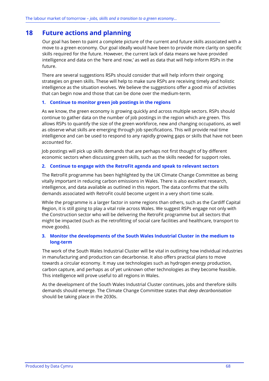# **18 Future actions and planning**

Our goal has been to paint a complete picture of the current and future skills associated with a move to a green economy. Our goal ideally would have been to provide more clarity on specific skills required for the future. However, the current lack of data means we have provided intelligence and data on the 'here and now,' as well as data that will help inform RSPs in the future.

There are several suggestions RSPs should consider that will help inform their ongoing strategies on green skills. These will help to make sure RSPs are receiving timely and holistic intelligence as the situation evolves. We believe the suggestions offer a good mix of activities that can begin now and those that can be done over the medium-term.

### **1. Continue to monitor green job postings in the regions**

As we know, the green economy is growing quickly and across multiple sectors. RSPs should continue to gather data on the number of job postings in the region which are green. This allows RSPs to quantify the size of the green workforce, new and changing occupations, as well as observe what skills are emerging through job specifications. This will provide real time intelligence and can be used to respond to any rapidly growing gaps or skills that have not been accounted for.

Job postings will pick up skills demands that are perhaps not first thought of by different economic sectors when discussing green skills, such as the skills needed for support roles.

## **2. Continue to engage with the RetroFit agenda and speak to relevant sectors**

The RetroFit programme has been highlighted by the UK Climate Change Committee as being vitally important in reducing carbon emissions in Wales. There is also excellent research, intelligence, and data available as outlined in this report. The data confirms that the skills demands associated with RetroFit could become urgent in a very short time scale.

While the programme is a larger factor in some regions than others, such as the Cardiff Capital Region, it is still going to play a vital role across Wales. We suggest RSPs engage not only with the Construction sector who will be delivering the RetroFit programme but all sectors that might be impacted (such as the retrofitting of social care facilities and healthcare, transport to move goods).

## **3. Monitor the developments of the South Wales Industrial Cluster in the medium to long-term**

The work of the South Wales Industrial Cluster will be vital in outlining how individual industries in manufacturing and production can decarbonise. It also offers practical plans to move towards a circular economy. It may use technologies such as hydrogen energy production, carbon capture, and perhaps as of yet unknown other technologies as they become feasible. This intelligence will prove useful to all regions in Wales.

As the development of the South Wales Industrial Cluster continues, jobs and therefore skills demands should emerge. The Climate Change Committee states that *deep decarbonisation* should be taking place in the 2030s.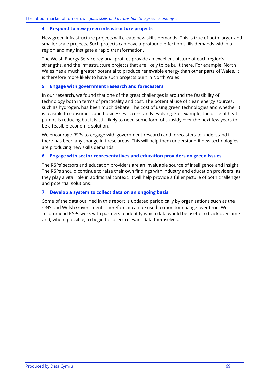#### **4. Respond to new green infrastructure projects**

New green infrastructure projects will create new skills demands. This is true of both larger and smaller scale projects. Such projects can have a profound effect on skills demands within a region and may instigate a rapid transformation.

The Welsh Energy Service regional profiles provide an excellent picture of each region's strengths, and the infrastructure projects that are likely to be built there. For example, North Wales has a much greater potential to produce renewable energy than other parts of Wales. It is therefore more likely to have such projects built in North Wales.

#### **5. Engage with government research and forecasters**

In our research, we found that one of the great challenges is around the feasibility of technology both in terms of practicality and cost. The potential use of clean energy sources, such as hydrogen, has been much debate. The cost of using green technologies and whether it is feasible to consumers and businesses is constantly evolving. For example, the price of heat pumps is reducing but it is still likely to need some form of subsidy over the next few years to be a feasible economic solution.

We encourage RSPs to engage with government research and forecasters to understand if there has been any change in these areas. This will help them understand if new technologies are producing new skills demands.

#### **6. Engage with sector representatives and education providers on green issues**

The RSPs' sectors and education providers are an invaluable source of intelligence and insight. The RSPs should continue to raise their own findings with industry and education providers, as they play a vital role in additional context. It will help provide a fuller picture of both challenges and potential solutions.

### **7. Develop a system to collect data on an ongoing basis**

Some of the data outlined in this report is updated periodically by organisations such as the ONS and Welsh Government. Therefore, it can be used to monitor change over time. We recommend RSPs work with partners to identify which data would be useful to track over time and, where possible, to begin to collect relevant data themselves.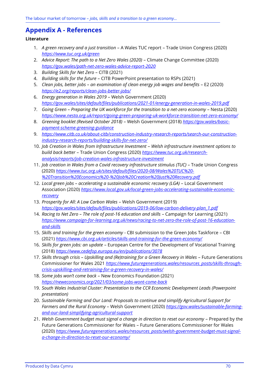### **Appendix A - References**

### **Literature**

- 1. *A green recovery and a just transition* A Wales TUC report Trade Union Congress (2020) *<https://www.tuc.org.uk/green>*
- 2. *Advice Report: The path to a Net Zero Wales (2020)* Climate Change Committee (2020) *<https://gov.wales/path-net-zero-wales-advice-report-2020>*
- 3. *Building Skills for Net Zero* CITB (2021)
- 4. *Building skills for the future* CITB PowerPoint presentation to RSPs (2021)
- 5. *Clean jobs, better jobs – an examination of clean energy job wages and benefits* E2 (2020) *<https://e2.org/reports/clean-jobs-better-jobs/>*
- 6. *Energy generation in Wales 2019* Welsh Government (2020) *<https://gov.wales/sites/default/files/publications/2021-01/energy-generation-in-wales-2019.pdf>*
- 7. *Going Green – Preparing the UK workforce for the transition to a net-zero economy* Nesta (2020) *<https://www.nesta.org.uk/report/going-green-preparing-uk-workforce-transition-net-zero-economy/>*
- 8. *Greening booklet (Revised October 2018)* Welsh Government (2018) *[https://gov.wales/basic](https://gov.wales/basic-payment-scheme-greening-guidance)[payment-scheme-greening-guidance](https://gov.wales/basic-payment-scheme-greening-guidance)*
- 9. *[https://www.citb.co.uk/about-citb/construction-industry-research-reports/search-our-construction](https://www.citb.co.uk/about-citb/construction-industry-research-reports/search-our-construction-industry-research-reports/building-skills-for-net-zero/)[industry-research-reports/building-skills-for-net-zero/](https://www.citb.co.uk/about-citb/construction-industry-research-reports/search-our-construction-industry-research-reports/building-skills-for-net-zero/)*
- 10. *Job Creation in Wales from Infrastructure Investment Welsh infrastructure investment options to build back better* – Trade Union Congress (2020) *[https://www.tuc.org.uk/research](https://www.tuc.org.uk/research-analysis/reports/job-creation-wales-infrastructure-investment)[analysis/reports/job-creation-wales-infrastructure-investment](https://www.tuc.org.uk/research-analysis/reports/job-creation-wales-infrastructure-investment)*
- 11. *Job creation in Wales from a Covid recovery infrastructure stimulus (TUC) Trade Union Congress* (2020) *[https://www.tuc.org.uk/sites/default/files/2020-08/Wales%20TUC%20-](https://www.tuc.org.uk/sites/default/files/2020-08/Wales%20TUC%20-%20Transition%20Economics%20-%20Job%20Creation%20Just%20Recovery.pdf) [%20Transition%20Economics%20-%20Job%20Creation%20Just%20Recovery.pdf](https://www.tuc.org.uk/sites/default/files/2020-08/Wales%20TUC%20-%20Transition%20Economics%20-%20Job%20Creation%20Just%20Recovery.pdf)*
- 12. *Local green jobs – accelerating a sustainable economic recovery (LGA)* Local Government Association (2020) *[https://www.local.gov.uk/local-green-jobs-accelerating-sustainable-economic](https://www.local.gov.uk/local-green-jobs-accelerating-sustainable-economic-recovery)[recovery](https://www.local.gov.uk/local-green-jobs-accelerating-sustainable-economic-recovery)*
- 13. *Prosperity for All: A Low Carbon Wales*  Welsh Government (2019) *[https://gov.wales/sites/default/files/publications/2019-06/low-carbon-delivery-plan\\_1.pdf](https://gov.wales/sites/default/files/publications/2019-06/low-carbon-delivery-plan_1.pdf)*
- 14. *Racing to Net Zero – The role of post-16 education and skills*  Campaign for Learning (2021) *[https://www.campaign-for-learning.org.uk/news/racing-to-net-zero-the-role-of-post-16-education](https://www.campaign-for-learning.org.uk/news/racing-to-net-zero-the-role-of-post-16-education-and-skills)[and-skills](https://www.campaign-for-learning.org.uk/news/racing-to-net-zero-the-role-of-post-16-education-and-skills)*
- 15. *Skills and training for the green economy* CBI submission to the Green Jobs Taskforce CBI (2021) *<https://www.cbi.org.uk/articles/skills-and-training-for-the-green-economy/>*
- 16. *Skills for green jobs: an update* European Centre for the Development of Vocational Training (2018) *<https://www.cedefop.europa.eu/en/publications/3078>*
- 17. *Skills through crisis – Upskilling and (Re)training for a Green Recovery in Wales* Future Generations Commissioner for Wales 2021 *[https://www.futuregenerations.wales/resources\\_posts/skills-through](https://www.futuregenerations.wales/resources_posts/skills-through-crisis-upskilling-and-retraining-for-a-green-recovery-in-wales/)[crisis-upskilling-and-retraining-for-a-green-recovery-in-wales/](https://www.futuregenerations.wales/resources_posts/skills-through-crisis-upskilling-and-retraining-for-a-green-recovery-in-wales/)*
- 18. *Some jobs won't come back* New Economics Foundation (2021) *<https://neweconomics.org/2021/03/some-jobs-wont-come-back>*
- 19. *South Wales Industrial Cluster: Presentation to the CCR Economic Development Leads (Powerpoint presentation)*
- 20. *Sustainable Farming and Our Land: Proposals to continue and simplify Agricultural Support for Farmers and the Rural Economy* – Welsh Government (2020) *[https://gov.wales/sustainable-farming](https://gov.wales/sustainable-farming-and-our-land-simplifying-agricultural-support)[and-our-land-simplifying-agricultural-support](https://gov.wales/sustainable-farming-and-our-land-simplifying-agricultural-support)*
- 21. *Welsh Government budget must signal a change in direction to reset our economy* Prepared by the Future Generations Commissioner for Wales – Future Generations Commissioner for Wales (2020) *[https://www.futuregenerations.wales/resources\\_posts/welsh-government-budget-must-signal](https://www.futuregenerations.wales/resources_posts/welsh-government-budget-must-signal-a-change-in-direction-to-reset-our-economy/)[a-change-in-direction-to-reset-our-economy/](https://www.futuregenerations.wales/resources_posts/welsh-government-budget-must-signal-a-change-in-direction-to-reset-our-economy/)*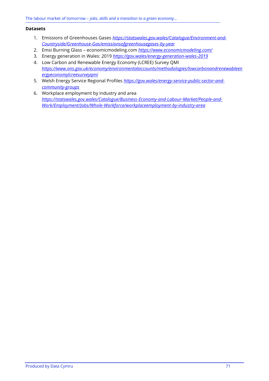#### **Datasets**

- 1. Emissions of Greenhouses Gases *[https://statswales.gov.wales/Catalogue/Environment-and-](https://statswales.gov.wales/Catalogue/Environment-and-Countryside/Greenhouse-Gas/emissionsofgreenhousegases-by-year)[Countryside/Greenhouse-Gas/emissionsofgreenhousegases-by-year](https://statswales.gov.wales/Catalogue/Environment-and-Countryside/Greenhouse-Gas/emissionsofgreenhousegases-by-year)*
- 2. Emsi Burning Glass economicmodeling.com *<https://www.economicmodeling.com/>*
- 3. Energy generation in Wales: 2019 *<https://gov.wales/energy-generation-wales-2019>*
- 4. Low Carbon and Renewable Energy Economy (LCREE) Survey QMI *[https://www.ons.gov.uk/economy/environmentalaccounts/methodologies/lowcarbonandrenewableen](https://www.ons.gov.uk/economy/environmentalaccounts/methodologies/lowcarbonandrenewableenergyeconomylcreesurveyqmi) [ergyeconomylcreesurveyqmi](https://www.ons.gov.uk/economy/environmentalaccounts/methodologies/lowcarbonandrenewableenergyeconomylcreesurveyqmi)*
- 5. Welsh Energy Service Regional Profiles *[https://gov.wales/energy-service-public-sector-and](https://gov.wales/energy-service-public-sector-and-community-groups)[community-groups](https://gov.wales/energy-service-public-sector-and-community-groups)*
- 6. Workplace employment by industry and area *[https://statswales.gov.wales/Catalogue/Business-Economy-and-Labour-Market/People-and-](https://statswales.gov.wales/Catalogue/Business-Economy-and-Labour-Market/People-and-Work/Employment/Jobs/Whole-Workforce/workplaceemployment-by-industry-area)[Work/Employment/Jobs/Whole-Workforce/workplaceemployment-by-industry-area](https://statswales.gov.wales/Catalogue/Business-Economy-and-Labour-Market/People-and-Work/Employment/Jobs/Whole-Workforce/workplaceemployment-by-industry-area)*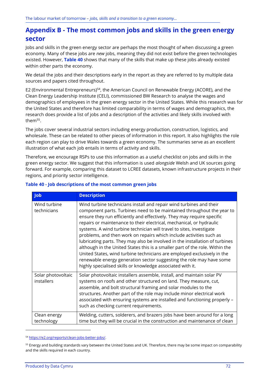### **Appendix B - The most common jobs and skills in the green energy sector**

Jobs and skills in the green energy sector are perhaps the most thought of when discussing a green economy. Many of these jobs are *new* jobs, meaning they did not exist before the green technologies existed. However, **[Table 40](#page-74-0)** shows that many of the skills that make up these jobs already existed within other parts the economy.

We detail the jobs and their descriptions early in the report as they are referred to by multiple data sources and papers cited throughout.

E2 (Environmental Entrepreneurs)<sup>54</sup>, the American Council on Renewable Energy (ACORE), and the Clean Energy Leadership Institute (CELI), commissioned BW Research to analyse the wages and demographics of employees in the green energy sector in the United States. While this research was for the United States and therefore has limited comparability in terms of wages and demographics, the research does provide a list of jobs and a description of the activities and likely skills involved with them<sup>55</sup>.

The jobs cover several industrial sectors including energy production, construction, logistics, and wholesale. These can be related to other pieces of information in this report. It also highlights the role each region can play to drive Wales towards a green economy. The summaries serve as an excellent illustration of what each job entails in terms of activity and skills.

Therefore, we encourage RSPs to use this information as a useful checklist on jobs and skills in the green energy sector. We suggest that this information is used *alongside* Welsh and UK sources going forward. For example, comparing this dataset to LCREE datasets, known infrastructure projects in their regions, and priority sector intelligence.

| <b>Job</b>                       | <b>Description</b>                                                                                                                                                                                                                                                                                                                                                                                                                                                                                                                                                                                                                                                                                                                                                                                                              |
|----------------------------------|---------------------------------------------------------------------------------------------------------------------------------------------------------------------------------------------------------------------------------------------------------------------------------------------------------------------------------------------------------------------------------------------------------------------------------------------------------------------------------------------------------------------------------------------------------------------------------------------------------------------------------------------------------------------------------------------------------------------------------------------------------------------------------------------------------------------------------|
| Wind turbine<br>technicians      | Wind turbine technicians install and repair wind turbines and their<br>component parts. Turbines need to be maintained throughout the year to<br>ensure they run efficiently and effectively. They may require specific<br>repairs or maintenance to their electrical, mechanical, or hydraulic<br>systems. A wind turbine technician will travel to sites, investigate<br>problems, and then work on repairs which include activities such as<br>lubricating parts. They may also be involved in the installation of turbines<br>although in the United States this is a smaller part of the role. Within the<br>United States, wind turbine technicians are employed exclusively in the<br>renewable energy generation sector suggesting the role may have some<br>highly specialised skills or knowledge associated with it. |
| Solar photovoltaic<br>installers | Solar photovoltaic installers assemble, install, and maintain solar PV<br>systems on roofs and other structured on land. They measure, cut,<br>assemble, and bolt structural framing and solar modules to the<br>structures. Another part of the role may include minor electrical work<br>associated with ensuring systems are installed and functioning properly -<br>such as checking current requirements.                                                                                                                                                                                                                                                                                                                                                                                                                  |
| Clean energy<br>technology       | Welding, cutters, solderers, and brazers jobs have been around for a long<br>time but they will be crucial in the construction and maintenance of clean                                                                                                                                                                                                                                                                                                                                                                                                                                                                                                                                                                                                                                                                         |

#### <span id="page-74-0"></span>**Table 40 - Job descriptions of the most common green jobs**

<sup>54</sup> [https://e2.org/reports/clean-jobs-better-jobs/.](https://e2.org/reports/clean-jobs-better-jobs/)

<sup>&</sup>lt;sup>55</sup> Energy and building standards vary between the United States and UK. Therefore, there may be some impact on comparability and the skills required in each country.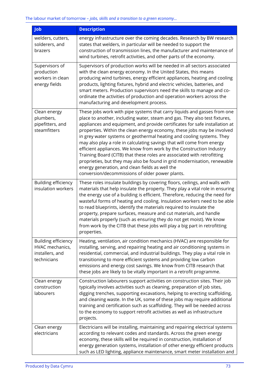| <b>Job</b>                                                                      | <b>Description</b>                                                                                                                                                                                                                                                                                                                                                                                                                                                                                                                                                                                                                                                                                                                                                                                       |  |  |  |
|---------------------------------------------------------------------------------|----------------------------------------------------------------------------------------------------------------------------------------------------------------------------------------------------------------------------------------------------------------------------------------------------------------------------------------------------------------------------------------------------------------------------------------------------------------------------------------------------------------------------------------------------------------------------------------------------------------------------------------------------------------------------------------------------------------------------------------------------------------------------------------------------------|--|--|--|
| welders, cutters,<br>solderers, and<br>brazers                                  | energy infrastructure over the coming decades. Research by BW research<br>states that welders, in particular will be needed to support the<br>construction of transmission lines, the manufacturer and maintenance of<br>wind turbines, retrofit activities, and other parts of the economy.                                                                                                                                                                                                                                                                                                                                                                                                                                                                                                             |  |  |  |
| Supervisors of<br>production<br>workers in clean<br>energy fields               | Supervisors of production works will be needed in all sectors associated<br>with the clean energy economy. In the United States, this means<br>producing wind turbines, energy efficient appliances, heating and cooling<br>products, lighting fixtures, hybrid and electric vehicles, batteries, and<br>smart meters. Production supervisors need the skills to manage and co-<br>ordinate the activities of production and operation workers across the<br>manufacturing and development process.                                                                                                                                                                                                                                                                                                      |  |  |  |
| Clean energy<br>plumbers,<br>pipefitters, and<br>steamfitters                   | These jobs work with pipe systems that carry liquids and gasses from one<br>place to another, including water, steam and gas. They also test fixtures,<br>appliances and equipment, and provide certificates for safe installation at<br>properties. Within the clean energy economy, these jobs may be involved<br>in grey water systems or geothermal heating and cooling systems. They<br>may also play a role in calculating savings that will come from energy<br>efficient appliances. We know from work by the Construction Industry<br>Training Board (CITB) that these roles are associated with retrofitting<br>proprieties, but they may also be found in grid modernisation, renewable<br>energy generation, and clean fields as well the<br>conversion/decommissions of older power plants. |  |  |  |
| <b>Building efficiency</b><br>insulation workers                                | These roles insulate buildings by covering floors, ceilings, and walls with<br>materials that help insulate the property. They play a vital role in ensuring<br>the energy use of a building is efficient. Therefore, reducing the need for<br>wasteful forms of heating and cooling. Insulation workers need to be able<br>to read blueprints, identify the materials required to insulate the<br>property, prepare surfaces, measure and cut materials, and handle<br>materials properly (such as ensuring they do not get moist). We know<br>from work by the CITB that these jobs will play a big part in retrofitting<br>properties.                                                                                                                                                                |  |  |  |
| <b>Building efficiency</b><br>HVAC mechanics,<br>installers, and<br>technicians | Heating, ventilation, air condition mechanics (HVAC) are responsible for<br>installing, serving, and repairing heating and air conditioning systems in<br>residential, commercial, and industrial buildings. They play a vital role in<br>transitioning to more efficient systems and providing low carbon<br>emissions and energy cost savings. We know from CITB research that<br>these jobs are likely to be vitally important in a retrofit programme.                                                                                                                                                                                                                                                                                                                                               |  |  |  |
| Clean energy<br>construction<br>labourers                                       | Construction labourers support activities on construction sites. Their job<br>typically involves activities such as cleaning, preparation of job sites,<br>digging trenches, supporting excavations, helping to erecting scaffolding,<br>and cleaning waste. In the UK, some of these jobs may require additional<br>training and certification such as scaffolding. They will be needed across<br>to the economy to support retrofit activities as well as infrastructure<br>projects.                                                                                                                                                                                                                                                                                                                  |  |  |  |
| Clean energy<br>electricians                                                    | Electricians will be installing, maintaining and repairing electrical systems<br>according to relevant codes and standards. Across the green energy<br>economy, these skills will be required in construction, installation of<br>energy generation systems, installation of other energy efficient products<br>such as LED lighting, appliance maintenance, smart meter installation and                                                                                                                                                                                                                                                                                                                                                                                                                |  |  |  |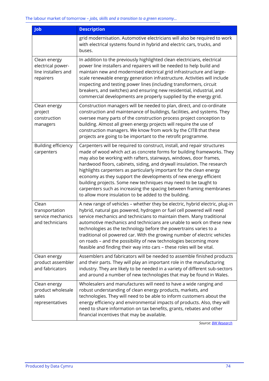| <b>Job</b>                                                            | <b>Description</b>                                                                                                                                                                                                                                                                                                                                                                                                                                                                                                                                                                                                                                 |
|-----------------------------------------------------------------------|----------------------------------------------------------------------------------------------------------------------------------------------------------------------------------------------------------------------------------------------------------------------------------------------------------------------------------------------------------------------------------------------------------------------------------------------------------------------------------------------------------------------------------------------------------------------------------------------------------------------------------------------------|
|                                                                       | grid modernisation. Automotive electricians will also be required to work<br>with electrical systems found in hybrid and electric cars, trucks, and<br>buses.                                                                                                                                                                                                                                                                                                                                                                                                                                                                                      |
| Clean energy<br>electrical power-<br>line installers and<br>repairers | In addition to the previously highlighted clean electricians, electrical<br>power line installers and repairers will be needed to help build and<br>maintain new and modernised electrical grid infrastructure and large-<br>scale renewable energy generation infrastructure. Activities will include<br>inspecting and testing power lines (including transformers, circuit<br>breakers, and switches) and ensuring new residential, industrial, and<br>commercial developments are properly supplied by the energy grid.                                                                                                                        |
| Clean energy<br>project<br>construction<br>managers                   | Construction managers will be needed to plan, direct, and co-ordinate<br>construction and maintenance of buildings, facilities, and systems. They<br>oversee many parts of the construction process project conception to<br>building. Almost all green energy projects will require the use of<br>construction managers. We know from work by the CITB that these<br>projects are going to be important to the retrofit programme.                                                                                                                                                                                                                |
| <b>Building efficiency</b><br>carpenters                              | Carpenters will be required to construct, install, and repair structures<br>made of wood which act as concrete forms for building frameworks. They<br>may also be working with rafters, stairways, windows, door frames,<br>hardwood floors, cabinets, siding, and drywall insulation. The research<br>highlights carpenters as particularly important for the clean energy<br>economy as they support the developments of new energy efficient<br>building projects. Some new techniques may need to be taught to<br>carpenters such as increasing the spacing between framing membranes<br>to allow more insulation to be added to the building. |
| Clean<br>transportation<br>service mechanics<br>and technicians       | A new range of vehicles - whether they be electric, hybrid electric, plug-in<br>hybrid, natural gas powered, hydrogen or fuel cell powered will need<br>service mechanics and technicians to maintain them. Many traditional<br>automotive mechanics and technicians are unable to work on these new<br>technologies as the technology before the powertrains varies to a<br>traditional oil powered car. With the growing number of electric vehicles<br>on roads - and the possibility of new technologies becoming more<br>feasible and finding their way into cars - these roles will be vital.                                                |
| Clean energy<br>product assembler<br>and fabricators                  | Assemblers and fabricators will be needed to assemble finished products<br>and their parts. They will play an important role in the manufacturing<br>industry. They are likely to be needed in a variety of different sub-sectors<br>and around a number of new technologies that may be found in Wales.                                                                                                                                                                                                                                                                                                                                           |
| Clean energy<br>product wholesale<br>sales<br>representatives         | Wholesalers and manufactures will need to have a wide ranging and<br>robust understanding of clean energy products, markets, and<br>technologies. They will need to be able to inform customers about the<br>energy efficiency and environmental impacts of products. Also, they will<br>need to share information on tax benefits, grants, rebates and other<br>financial incentives that may be available.                                                                                                                                                                                                                                       |

*Source[: BW Research](https://e2.org/reports/clean-jobs-better-jobs/)*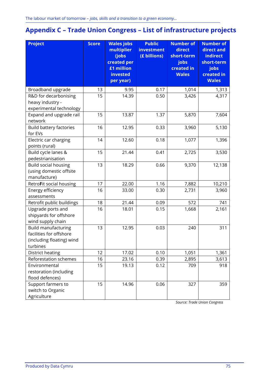# **Appendix C – Trade Union Congress – List of infrastructure projects**

| <b>Project</b>                                                                                 | <b>Score</b> | <b>Wales jobs</b><br>multiplier<br>(jobs<br>created per<br>£1 million<br>invested<br>per year) | <b>Public</b><br><b>investment</b><br>(£ billions) | <b>Number of</b><br>direct<br>short-term<br>jobs<br>created in<br><b>Wales</b> | <b>Number of</b><br>direct and<br>indirect<br>short-term<br>jobs<br>created in<br><b>Wales</b> |
|------------------------------------------------------------------------------------------------|--------------|------------------------------------------------------------------------------------------------|----------------------------------------------------|--------------------------------------------------------------------------------|------------------------------------------------------------------------------------------------|
| Broadband upgrade                                                                              | 13           | 9.95                                                                                           | 0.17                                               | 1,014                                                                          | 1,313                                                                                          |
| R&D for decarbonising<br>heavy industry -<br>experimental technology                           | 15           | 14.39                                                                                          | 0.50                                               | 3,426                                                                          | 4,317                                                                                          |
| Expand and upgrade rail<br>network                                                             | 15           | 13.87                                                                                          | 1.37                                               | 5,870                                                                          | 7,604                                                                                          |
| <b>Build battery factories</b><br>for EVs                                                      | 16           | 12.95                                                                                          | 0.33                                               | 3,960                                                                          | 5,130                                                                                          |
| Electric car charging<br>points (rural)                                                        | 14           | 12.60                                                                                          | 0.18                                               | 1,077                                                                          | 1,396                                                                                          |
| Build cycle lanes &<br>pedestrianisation                                                       | 15           | 21.44                                                                                          | 0.41                                               | 2,725                                                                          | 3,530                                                                                          |
| <b>Build social housing</b><br>(using domestic offsite<br>manufacture)                         | 13           | 18.29                                                                                          | 0.66                                               | 9,370                                                                          | 12,138                                                                                         |
| RetroFit social housing                                                                        | 17           | 22.00                                                                                          | 1.16                                               | 7,882                                                                          | 10,210                                                                                         |
| Energy efficiency<br>assessments                                                               | 16           | 33.00                                                                                          | 0.30                                               | 2,731                                                                          | 3,960                                                                                          |
| Retrofit public buildings                                                                      | 18           | 21.44                                                                                          | 0.09                                               | 572                                                                            | 741                                                                                            |
| Upgrade ports and<br>shipyards for offshore<br>wind supply chain                               | 16           | 18.01                                                                                          | 0.15                                               | 1,668                                                                          | 2,161                                                                                          |
| <b>Build manufacturing</b><br>facilities for offshore<br>(including floating) wind<br>turbines | 13           | 12.95                                                                                          | 0.03                                               | 240                                                                            | 311                                                                                            |
| District heating                                                                               | 12           | 17.02                                                                                          | 0.10                                               | 1,051                                                                          | 1,361                                                                                          |
| Reforestation schemes                                                                          | 16           | 23.16                                                                                          | 0.39                                               | 2,895                                                                          | 3,613                                                                                          |
| Environmental<br>restoration (including<br>flood defences)                                     | 15           | 19.13                                                                                          | 0.12                                               | 709                                                                            | 918                                                                                            |
| Support farmers to<br>switch to Organic<br>Agriculture                                         | 15           | 14.96                                                                                          | 0.06                                               | 327                                                                            | 359                                                                                            |

*Source: Trade Union Congress*